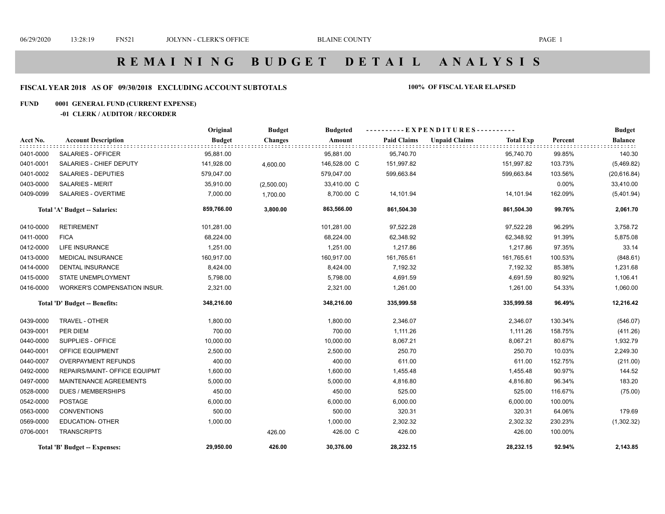## **FISCAL YEAR 2018 AS OF 09/30/2018 EXCLUDING ACCOUNT SUBTOTALS 100% OF FISCAL YEAR ELAPSED**

### **FUND 0001 GENERAL FUND (CURRENT EXPENSE)**

## **-01 CLERK / AUDITOR / RECORDER**

|           |                               | Original      | <b>Budget</b>  | <b>Budgeted</b> |                    | ----------EXPENDITURES---------- |                  |         | <b>Budget</b>  |
|-----------|-------------------------------|---------------|----------------|-----------------|--------------------|----------------------------------|------------------|---------|----------------|
| Acct No.  | <b>Account Description</b>    | <b>Budget</b> | <b>Changes</b> | Amount          | <b>Paid Claims</b> | <b>Unpaid Claims</b>             | <b>Total Exp</b> | Percent | <b>Balance</b> |
| 0401-0000 | SALARIES - OFFICER            | 95,881.00     |                | 95,881.00       | 95,740.70          |                                  | 95,740.70        | 99.85%  | 140.30         |
| 0401-0001 | SALARIES - CHIEF DEPUTY       | 141,928.00    | 4,600.00       | 146,528.00 C    | 151,997.82         |                                  | 151,997.82       | 103.73% | (5,469.82)     |
| 0401-0002 | <b>SALARIES - DEPUTIES</b>    | 579,047.00    |                | 579,047.00      | 599,663.84         |                                  | 599,663.84       | 103.56% | (20, 616.84)   |
| 0403-0000 | <b>SALARIES - MERIT</b>       | 35,910.00     | (2,500.00)     | 33,410.00 C     |                    |                                  |                  | 0.00%   | 33,410.00      |
| 0409-0099 | <b>SALARIES - OVERTIME</b>    | 7,000.00      | 1,700.00       | 8,700.00 C      | 14,101.94          |                                  | 14,101.94        | 162.09% | (5,401.94)     |
|           | Total 'A' Budget -- Salaries: | 859,766.00    | 3,800.00       | 863,566.00      | 861,504.30         |                                  | 861,504.30       | 99.76%  | 2,061.70       |
| 0410-0000 | <b>RETIREMENT</b>             | 101,281.00    |                | 101,281.00      | 97,522.28          |                                  | 97,522.28        | 96.29%  | 3,758.72       |
| 0411-0000 | <b>FICA</b>                   | 68,224.00     |                | 68,224.00       | 62,348.92          |                                  | 62,348.92        | 91.39%  | 5,875.08       |
| 0412-0000 | <b>LIFE INSURANCE</b>         | 1,251.00      |                | 1,251.00        | 1,217.86           |                                  | 1,217.86         | 97.35%  | 33.14          |
| 0413-0000 | <b>MEDICAL INSURANCE</b>      | 160,917.00    |                | 160,917.00      | 161,765.61         |                                  | 161,765.61       | 100.53% | (848.61)       |
| 0414-0000 | <b>DENTAL INSURANCE</b>       | 8,424.00      |                | 8,424.00        | 7,192.32           |                                  | 7,192.32         | 85.38%  | 1,231.68       |
| 0415-0000 | <b>STATE UNEMPLOYMENT</b>     | 5,798.00      |                | 5,798.00        | 4,691.59           |                                  | 4,691.59         | 80.92%  | 1,106.41       |
| 0416-0000 | WORKER'S COMPENSATION INSUR.  | 2,321.00      |                | 2,321.00        | 1,261.00           |                                  | 1,261.00         | 54.33%  | 1,060.00       |
|           | Total 'D' Budget -- Benefits: | 348,216.00    |                | 348,216.00      | 335,999.58         |                                  | 335,999.58       | 96.49%  | 12,216.42      |
| 0439-0000 | TRAVEL - OTHER                | 1,800.00      |                | 1,800.00        | 2,346.07           |                                  | 2,346.07         | 130.34% | (546.07)       |
| 0439-0001 | PER DIEM                      | 700.00        |                | 700.00          | 1,111.26           |                                  | 1,111.26         | 158.75% | (411.26)       |
| 0440-0000 | SUPPLIES - OFFICE             | 10,000.00     |                | 10,000.00       | 8,067.21           |                                  | 8,067.21         | 80.67%  | 1,932.79       |
| 0440-0001 | OFFICE EQUIPMENT              | 2,500.00      |                | 2,500.00        | 250.70             |                                  | 250.70           | 10.03%  | 2,249.30       |
| 0440-0007 | <b>OVERPAYMENT REFUNDS</b>    | 400.00        |                | 400.00          | 611.00             |                                  | 611.00           | 152.75% | (211.00)       |
| 0492-0000 | REPAIRS/MAINT- OFFICE EQUIPMT | 1,600.00      |                | 1,600.00        | 1,455.48           |                                  | 1,455.48         | 90.97%  | 144.52         |
| 0497-0000 | MAINTENANCE AGREEMENTS        | 5,000.00      |                | 5,000.00        | 4,816.80           |                                  | 4,816.80         | 96.34%  | 183.20         |
| 0528-0000 | <b>DUES / MEMBERSHIPS</b>     | 450.00        |                | 450.00          | 525.00             |                                  | 525.00           | 116.67% | (75.00)        |
| 0542-0000 | <b>POSTAGE</b>                | 6,000.00      |                | 6,000.00        | 6,000.00           |                                  | 6,000.00         | 100.00% |                |
| 0563-0000 | <b>CONVENTIONS</b>            | 500.00        |                | 500.00          | 320.31             |                                  | 320.31           | 64.06%  | 179.69         |
| 0569-0000 | <b>EDUCATION- OTHER</b>       | 1,000.00      |                | 1,000.00        | 2,302.32           |                                  | 2,302.32         | 230.23% | (1,302.32)     |
| 0706-0001 | <b>TRANSCRIPTS</b>            |               | 426.00         | 426.00 C        | 426.00             |                                  | 426.00           | 100.00% |                |
|           | Total 'B' Budget -- Expenses: | 29,950.00     | 426.00         | 30,376.00       | 28,232.15          |                                  | 28,232.15        | 92.94%  | 2,143.85       |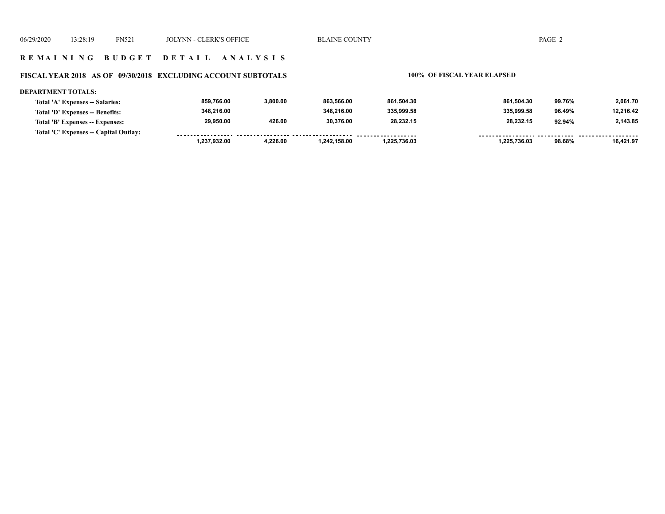#### **FISCAL YEAR 2018 AS OF 09/30/2018 EXCLUDING ACCOUNT SUBTOTALS 100% OF FISCAL YEAR ELAPSED**

#### **DEPARTMENT TOTALS: 859,766.00 3,800.00 863,566.00 861,504.30 861,504.30 99.76% 2,061.70 Total 'A' Expenses -- Salaries: 335,999.58 335,999.58 12,216.42 Total 'D' Expenses -- Benefits: 348,216.00 348,216.00 96.49% 2,143.85 29,950.00 426.00 30,376.00 28,232.15 28,232.15 92.94% Total 'B' Expenses -- Expenses: Total 'C' Expenses -- Capital Outlay:** ------------------......... <u>......... ......</u> ------- -------- **1,237,932.00 4,226.00 1,242,158.00 1,225,736.03 1,225,736.03 98.68% 16,421.97**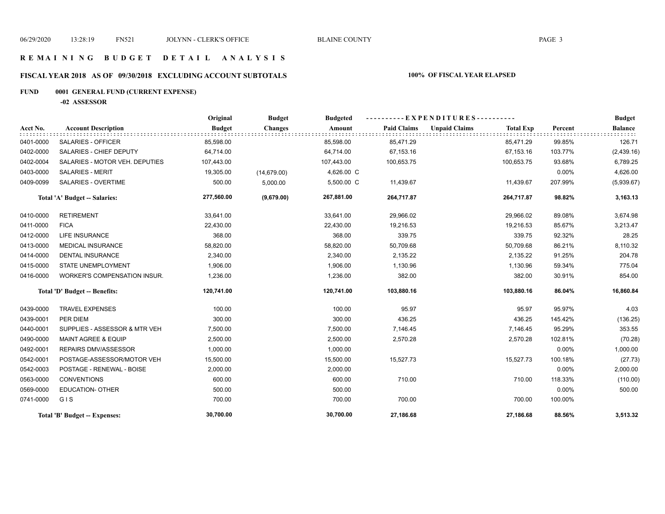## **R E M A I N I N G B U D G E T D E T A I L A N A L Y S I S**

## **FISCAL YEAR 2018 AS OF 09/30/2018 EXCLUDING ACCOUNT SUBTOTALS 100% OF FISCAL YEAR ELAPSED**

## **FUND 0001 GENERAL FUND (CURRENT EXPENSE)**

**-02 ASSESSOR**

|           |                                | Original      | <b>Budget</b>  | <b>Budgeted</b> |                    | - EXPENDITURES---------- |                  |         | <b>Budget</b>  |
|-----------|--------------------------------|---------------|----------------|-----------------|--------------------|--------------------------|------------------|---------|----------------|
| Acct No.  | <b>Account Description</b>     | <b>Budget</b> | <b>Changes</b> | Amount          | <b>Paid Claims</b> | <b>Unpaid Claims</b>     | <b>Total Exp</b> | Percent | <b>Balance</b> |
| 0401-0000 | <b>SALARIES - OFFICER</b>      | 85,598.00     |                | 85,598.00       | 85,471.29          |                          | 85,471.29        | 99.85%  | 126.71         |
| 0402-0000 | SALARIES - CHIEF DEPUTY        | 64,714.00     |                | 64,714.00       | 67,153.16          |                          | 67,153.16        | 103.77% | (2,439.16)     |
| 0402-0004 | SALARIES - MOTOR VEH. DEPUTIES | 107,443.00    |                | 107,443.00      | 100,653.75         |                          | 100,653.75       | 93.68%  | 6,789.25       |
| 0403-0000 | <b>SALARIES - MERIT</b>        | 19,305.00     | (14, 679.00)   | 4,626.00 C      |                    |                          |                  | 0.00%   | 4,626.00       |
| 0409-0099 | <b>SALARIES - OVERTIME</b>     | 500.00        | 5,000.00       | 5,500.00 C      | 11,439.67          |                          | 11,439.67        | 207.99% | (5,939.67)     |
|           | Total 'A' Budget -- Salaries:  | 277,560.00    | (9,679.00)     | 267,881.00      | 264,717.87         |                          | 264,717.87       | 98.82%  | 3,163.13       |
| 0410-0000 | <b>RETIREMENT</b>              | 33,641.00     |                | 33,641.00       | 29,966.02          |                          | 29,966.02        | 89.08%  | 3,674.98       |
| 0411-0000 | <b>FICA</b>                    | 22,430.00     |                | 22,430.00       | 19,216.53          |                          | 19,216.53        | 85.67%  | 3,213.47       |
| 0412-0000 | <b>LIFE INSURANCE</b>          | 368.00        |                | 368.00          | 339.75             |                          | 339.75           | 92.32%  | 28.25          |
| 0413-0000 | <b>MEDICAL INSURANCE</b>       | 58,820.00     |                | 58,820.00       | 50,709.68          |                          | 50,709.68        | 86.21%  | 8,110.32       |
| 0414-0000 | <b>DENTAL INSURANCE</b>        | 2,340.00      |                | 2,340.00        | 2,135.22           |                          | 2,135.22         | 91.25%  | 204.78         |
| 0415-0000 | <b>STATE UNEMPLOYMENT</b>      | 1,906.00      |                | 1,906.00        | 1,130.96           |                          | 1,130.96         | 59.34%  | 775.04         |
| 0416-0000 | WORKER'S COMPENSATION INSUR.   | 1,236.00      |                | 1,236.00        | 382.00             |                          | 382.00           | 30.91%  | 854.00         |
|           | Total 'D' Budget -- Benefits:  | 120,741.00    |                | 120,741.00      | 103,880.16         |                          | 103,880.16       | 86.04%  | 16,860.84      |
| 0439-0000 | <b>TRAVEL EXPENSES</b>         | 100.00        |                | 100.00          | 95.97              |                          | 95.97            | 95.97%  | 4.03           |
| 0439-0001 | PER DIEM                       | 300.00        |                | 300.00          | 436.25             |                          | 436.25           | 145.42% | (136.25)       |
| 0440-0001 | SUPPLIES - ASSESSOR & MTR VEH  | 7,500.00      |                | 7,500.00        | 7,146.45           |                          | 7,146.45         | 95.29%  | 353.55         |
| 0490-0000 | <b>MAINT AGREE &amp; EQUIP</b> | 2,500.00      |                | 2,500.00        | 2,570.28           |                          | 2,570.28         | 102.81% | (70.28)        |
| 0492-0001 | <b>REPAIRS DMV/ASSESSOR</b>    | 1,000.00      |                | 1,000.00        |                    |                          |                  | 0.00%   | 1,000.00       |
| 0542-0001 | POSTAGE-ASSESSOR/MOTOR VEH     | 15,500.00     |                | 15,500.00       | 15,527.73          |                          | 15,527.73        | 100.18% | (27.73)        |
| 0542-0003 | POSTAGE - RENEWAL - BOISE      | 2,000.00      |                | 2,000.00        |                    |                          |                  | 0.00%   | 2,000.00       |
| 0563-0000 | <b>CONVENTIONS</b>             | 600.00        |                | 600.00          | 710.00             |                          | 710.00           | 118.33% | (110.00)       |
| 0569-0000 | <b>EDUCATION- OTHER</b>        | 500.00        |                | 500.00          |                    |                          |                  | 0.00%   | 500.00         |
| 0741-0000 | GIS                            | 700.00        |                | 700.00          | 700.00             |                          | 700.00           | 100.00% |                |
|           | Total 'B' Budget -- Expenses:  | 30,700.00     |                | 30,700.00       | 27,186.68          |                          | 27,186.68        | 88.56%  | 3,513.32       |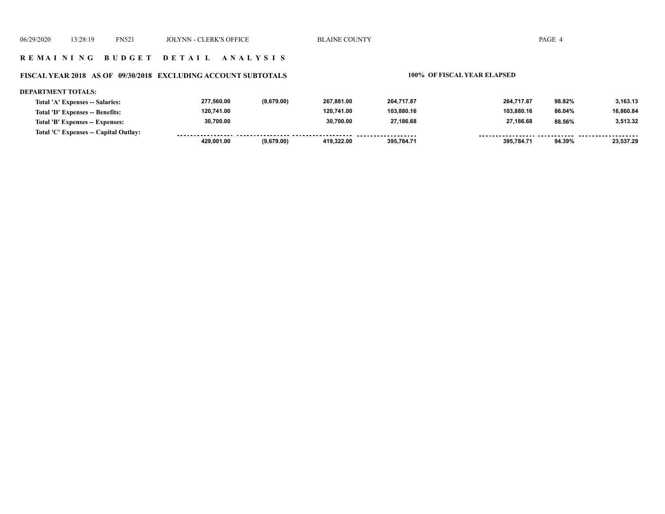### **R E M A I N I N G B U D G E T D E T A I L A N A L Y S I S**

#### **FISCAL YEAR 2018 AS OF 09/30/2018 EXCLUDING ACCOUNT SUBTOTALS 100% OF FISCAL YEAR ELAPSED**

#### **DEPARTMENT TOTALS: 277,560.00 (9,679.00) 267,881.00 264,717.87 264,717.87 98.82% 3,163.13 Total 'A' Expenses -- Salaries: 120,741.00 120,741.00 103,880.16 103,880.16 16,860.84 Total 'D' Expenses -- Benefits: 86.04% 30,700.00 30,700.00 27,186.68 27,186.68 3,513.32 Total 'B' Expenses -- Expenses: 88.56% Total 'C' Expenses -- Capital Outlay:** -----------------.......... ................... ......... <u>--------- -----</u> ------- -------- **429,001.00 (9,679.00) 419,322.00 395,784.71 395,784.71 94.39% 23,537.29**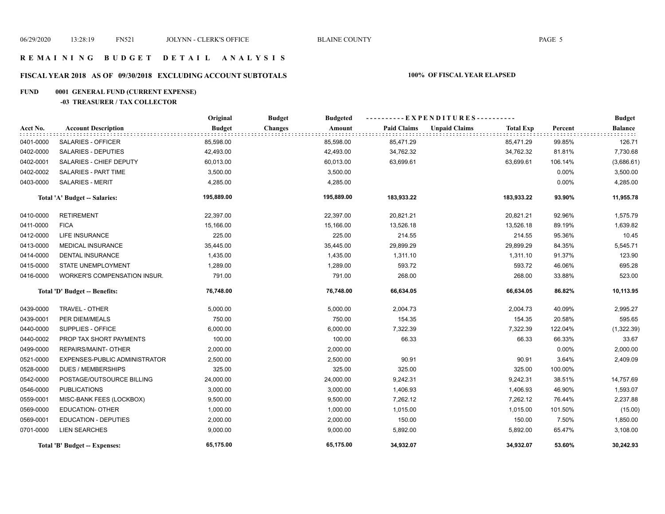# **R E M A I N I N G B U D G E T D E T A I L A N A L Y S I S**

## **FISCAL YEAR 2018 AS OF 09/30/2018 EXCLUDING ACCOUNT SUBTOTALS 100% OF FISCAL YEAR ELAPSED**

## **FUND 0001 GENERAL FUND (CURRENT EXPENSE)**

## **-03 TREASURER / TAX COLLECTOR**

|           |                                      | Original      | <b>Budget</b><br><b>Budgeted</b> |                    | ----------EXPENDITURES----------         |         | <b>Budget</b>  |
|-----------|--------------------------------------|---------------|----------------------------------|--------------------|------------------------------------------|---------|----------------|
| Acct No.  | <b>Account Description</b>           | <b>Budget</b> | <b>Changes</b><br>Amount         | <b>Paid Claims</b> | <b>Unpaid Claims</b><br><b>Total Exp</b> | Percent | <b>Balance</b> |
| 0401-0000 | <b>SALARIES - OFFICER</b>            | 85,598.00     | 85,598.00                        | 85,471.29          | 85,471.29                                | 99.85%  | 126.71         |
| 0402-0000 | <b>SALARIES - DEPUTIES</b>           | 42,493.00     | 42,493.00                        | 34,762.32          | 34,762.32                                | 81.81%  | 7,730.68       |
| 0402-0001 | SALARIES - CHIEF DEPUTY              | 60,013.00     | 60,013.00                        | 63,699.61          | 63,699.61                                | 106.14% | (3,686.61)     |
| 0402-0002 | <b>SALARIES - PART TIME</b>          | 3,500.00      | 3,500.00                         |                    |                                          | 0.00%   | 3,500.00       |
| 0403-0000 | <b>SALARIES - MERIT</b>              | 4,285.00      | 4,285.00                         |                    |                                          | 0.00%   | 4,285.00       |
|           | Total 'A' Budget -- Salaries:        | 195,889.00    | 195,889.00                       | 183,933.22         | 183,933.22                               | 93.90%  | 11,955.78      |
| 0410-0000 | <b>RETIREMENT</b>                    | 22,397.00     | 22,397.00                        | 20,821.21          | 20,821.21                                | 92.96%  | 1,575.79       |
| 0411-0000 | <b>FICA</b>                          | 15,166.00     | 15,166.00                        | 13,526.18          | 13,526.18                                | 89.19%  | 1,639.82       |
| 0412-0000 | <b>LIFE INSURANCE</b>                | 225.00        | 225.00                           | 214.55             | 214.55                                   | 95.36%  | 10.45          |
| 0413-0000 | <b>MEDICAL INSURANCE</b>             | 35,445.00     | 35,445.00                        | 29,899.29          | 29,899.29                                | 84.35%  | 5,545.71       |
| 0414-0000 | <b>DENTAL INSURANCE</b>              | 1,435.00      | 1,435.00                         | 1,311.10           | 1,311.10                                 | 91.37%  | 123.90         |
| 0415-0000 | STATE UNEMPLOYMENT                   | 1,289.00      | 1,289.00                         | 593.72             | 593.72                                   | 46.06%  | 695.28         |
| 0416-0000 | WORKER'S COMPENSATION INSUR.         | 791.00        | 791.00                           | 268.00             | 268.00                                   | 33.88%  | 523.00         |
|           | Total 'D' Budget -- Benefits:        | 76,748.00     | 76,748.00                        | 66,634.05          | 66,634.05                                | 86.82%  | 10,113.95      |
| 0439-0000 | TRAVEL - OTHER                       | 5,000.00      | 5,000.00                         | 2,004.73           | 2,004.73                                 | 40.09%  | 2,995.27       |
| 0439-0001 | PER DIEM/MEALS                       | 750.00        | 750.00                           | 154.35             | 154.35                                   | 20.58%  | 595.65         |
| 0440-0000 | SUPPLIES - OFFICE                    | 6,000.00      | 6,000.00                         | 7,322.39           | 7,322.39                                 | 122.04% | (1,322.39)     |
| 0440-0002 | PROP TAX SHORT PAYMENTS              | 100.00        | 100.00                           | 66.33              | 66.33                                    | 66.33%  | 33.67          |
| 0499-0000 | REPAIRS/MAINT- OTHER                 | 2,000.00      | 2,000.00                         |                    |                                          | 0.00%   | 2,000.00       |
| 0521-0000 | <b>EXPENSES-PUBLIC ADMINISTRATOR</b> | 2,500.00      | 2,500.00                         | 90.91              | 90.91                                    | 3.64%   | 2,409.09       |
| 0528-0000 | <b>DUES / MEMBERSHIPS</b>            | 325.00        | 325.00                           | 325.00             | 325.00                                   | 100.00% |                |
| 0542-0000 | POSTAGE/OUTSOURCE BILLING            | 24,000.00     | 24,000.00                        | 9,242.31           | 9,242.31                                 | 38.51%  | 14,757.69      |
| 0546-0000 | <b>PUBLICATIONS</b>                  | 3,000.00      | 3,000.00                         | 1,406.93           | 1,406.93                                 | 46.90%  | 1,593.07       |
| 0559-0001 | MISC-BANK FEES (LOCKBOX)             | 9,500.00      | 9,500.00                         | 7,262.12           | 7,262.12                                 | 76.44%  | 2,237.88       |
| 0569-0000 | <b>EDUCATION- OTHER</b>              | 1,000.00      | 1,000.00                         | 1,015.00           | 1,015.00                                 | 101.50% | (15.00)        |
| 0569-0001 | <b>EDUCATION - DEPUTIES</b>          | 2,000.00      | 2,000.00                         | 150.00             | 150.00                                   | 7.50%   | 1,850.00       |
| 0701-0000 | <b>LIEN SEARCHES</b>                 | 9,000.00      | 9,000.00                         | 5,892.00           | 5,892.00                                 | 65.47%  | 3,108.00       |
|           | Total 'B' Budget -- Expenses:        | 65,175.00     | 65,175.00                        | 34.932.07          | 34.932.07                                | 53.60%  | 30,242.93      |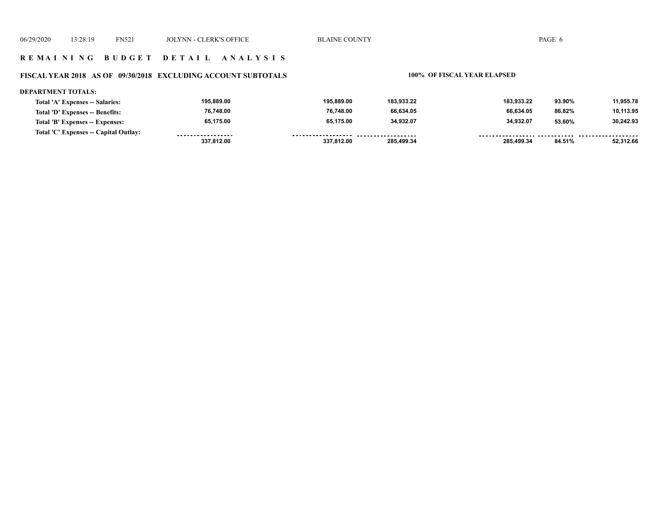## **FISCAL YEAR 2018 AS OF 09/30/2018 EXCLUDING ACCOUNT SUBTOTALS 100% OF FISCAL YEAR ELAPSED**

#### **DEPARTMENT TOTALS:**

| Total 'A' Expenses -- Salaries:       | 195.889.00        | 195.889.00         | 183.933.22 | 183.933.22 | 93.90% | 11,955.78   |
|---------------------------------------|-------------------|--------------------|------------|------------|--------|-------------|
| Total 'D' Expenses -- Benefits:       | 76.748.00         | 76,748.00          | 66.634.05  | 66.634.05  | 86.82% | 10,113.95   |
| Total 'B' Expenses -- Expenses:       | 65,175.00         | 65,175.00          | 34,932.07  | 34.932.07  | 53.60% | 30,242.93   |
| Total 'C' Expenses -- Capital Outlay: | ----------------- | ------------------ | .          |            |        | ----------- |
|                                       | 337,812.00        | 337,812.00         | 285.499.34 | 285.499.34 | 84.51% | 52.312.66   |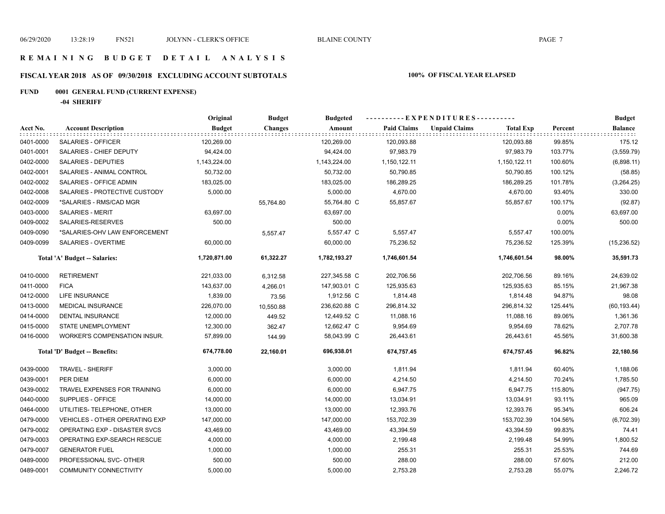## **FISCAL YEAR 2018 AS OF 09/30/2018 EXCLUDING ACCOUNT SUBTOTALS 100% OF FISCAL YEAR ELAPSED**

## **FUND 0001 GENERAL FUND (CURRENT EXPENSE)**

**-04 SHERIFF**

|           |                                       | Original      | <b>Budget</b>  | <b>Budgeted</b> |                    | ----------EXPENDITURES----------         |         | <b>Budget</b>  |
|-----------|---------------------------------------|---------------|----------------|-----------------|--------------------|------------------------------------------|---------|----------------|
| Acct No.  | <b>Account Description</b>            | <b>Budget</b> | <b>Changes</b> | Amount          | <b>Paid Claims</b> | <b>Unpaid Claims</b><br><b>Total Exp</b> | Percent | <b>Balance</b> |
| 0401-0000 | <b>SALARIES - OFFICER</b>             | 120,269.00    |                | 120,269.00      | 120,093.88         | 120,093.88                               | 99.85%  | 175.12         |
| 0401-0001 | SALARIES - CHIEF DEPUTY               | 94,424.00     |                | 94,424.00       | 97,983.79          | 97,983.79                                | 103.77% | (3,559.79)     |
| 0402-0000 | SALARIES - DEPUTIES                   | 1,143,224.00  |                | 1,143,224.00    | 1,150,122.11       | 1,150,122.11                             | 100.60% | (6,898.11)     |
| 0402-0001 | SALARIES - ANIMAL CONTROL             | 50,732.00     |                | 50,732.00       | 50,790.85          | 50,790.85                                | 100.12% | (58.85)        |
| 0402-0002 | SALARIES - OFFICE ADMIN               | 183,025.00    |                | 183,025.00      | 186,289.25         | 186,289.25                               | 101.78% | (3,264.25)     |
| 0402-0008 | SALARIES - PROTECTIVE CUSTODY         | 5,000.00      |                | 5,000.00        | 4,670.00           | 4,670.00                                 | 93.40%  | 330.00         |
| 0402-0009 | *SALARIES - RMS/CAD MGR               |               | 55,764.80      | 55,764.80 C     | 55,857.67          | 55,857.67                                | 100.17% | (92.87)        |
| 0403-0000 | <b>SALARIES - MERIT</b>               | 63,697.00     |                | 63,697.00       |                    |                                          | 0.00%   | 63,697.00      |
| 0409-0002 | SALARIES-RESERVES                     | 500.00        |                | 500.00          |                    |                                          | 0.00%   | 500.00         |
| 0409-0090 | *SALARIES-OHV LAW ENFORCEMENT         |               | 5,557.47       | 5,557.47 C      | 5,557.47           | 5,557.47                                 | 100.00% |                |
| 0409-0099 | SALARIES - OVERTIME                   | 60,000.00     |                | 60,000.00       | 75,236.52          | 75,236.52                                | 125.39% | (15, 236.52)   |
|           | Total 'A' Budget -- Salaries:         | 1,720,871.00  | 61,322.27      | 1,782,193.27    | 1,746,601.54       | 1,746,601.54                             | 98.00%  | 35,591.73      |
| 0410-0000 | <b>RETIREMENT</b>                     | 221,033.00    | 6,312.58       | 227,345.58 C    | 202,706.56         | 202,706.56                               | 89.16%  | 24,639.02      |
| 0411-0000 | <b>FICA</b>                           | 143,637.00    | 4,266.01       | 147,903.01 C    | 125,935.63         | 125,935.63                               | 85.15%  | 21,967.38      |
| 0412-0000 | <b>LIFE INSURANCE</b>                 | 1,839.00      | 73.56          | 1,912.56 C      | 1,814.48           | 1,814.48                                 | 94.87%  | 98.08          |
| 0413-0000 | <b>MEDICAL INSURANCE</b>              | 226,070.00    | 10,550.88      | 236,620.88 C    | 296,814.32         | 296,814.32                               | 125.44% | (60, 193.44)   |
| 0414-0000 | <b>DENTAL INSURANCE</b>               | 12,000.00     | 449.52         | 12,449.52 C     | 11,088.16          | 11,088.16                                | 89.06%  | 1,361.36       |
| 0415-0000 | <b>STATE UNEMPLOYMENT</b>             | 12,300.00     | 362.47         | 12,662.47 C     | 9,954.69           | 9,954.69                                 | 78.62%  | 2,707.78       |
| 0416-0000 | WORKER'S COMPENSATION INSUR.          | 57,899.00     | 144.99         | 58,043.99 C     | 26,443.61          | 26,443.61                                | 45.56%  | 31,600.38      |
|           | Total 'D' Budget -- Benefits:         | 674,778.00    | 22,160.01      | 696,938.01      | 674,757.45         | 674,757.45                               | 96.82%  | 22,180.56      |
| 0439-0000 | <b>TRAVEL - SHERIFF</b>               | 3,000.00      |                | 3,000.00        | 1,811.94           | 1,811.94                                 | 60.40%  | 1,188.06       |
| 0439-0001 | PER DIEM                              | 6,000.00      |                | 6,000.00        | 4,214.50           | 4,214.50                                 | 70.24%  | 1,785.50       |
| 0439-0002 | TRAVEL EXPENSES FOR TRAINING          | 6,000.00      |                | 6,000.00        | 6,947.75           | 6,947.75                                 | 115.80% | (947.75)       |
| 0440-0000 | SUPPLIES - OFFICE                     | 14,000.00     |                | 14,000.00       | 13,034.91          | 13,034.91                                | 93.11%  | 965.09         |
| 0464-0000 | UTILITIES- TELEPHONE, OTHER           | 13,000.00     |                | 13,000.00       | 12,393.76          | 12,393.76                                | 95.34%  | 606.24         |
| 0479-0000 | <b>VEHICLES - OTHER OPERATING EXP</b> | 147,000.00    |                | 147,000.00      | 153,702.39         | 153,702.39                               | 104.56% | (6,702.39)     |
| 0479-0002 | OPERATING EXP - DISASTER SVCS         | 43,469.00     |                | 43,469.00       | 43,394.59          | 43,394.59                                | 99.83%  | 74.41          |
| 0479-0003 | OPERATING EXP-SEARCH RESCUE           | 4,000.00      |                | 4,000.00        | 2,199.48           | 2,199.48                                 | 54.99%  | 1,800.52       |
| 0479-0007 | <b>GENERATOR FUEL</b>                 | 1,000.00      |                | 1,000.00        | 255.31             | 255.31                                   | 25.53%  | 744.69         |
| 0489-0000 | PROFESSIONAL SVC- OTHER               | 500.00        |                | 500.00          | 288.00             | 288.00                                   | 57.60%  | 212.00         |
| 0489-0001 | <b>COMMUNITY CONNECTIVITY</b>         | 5,000.00      |                | 5,000.00        | 2,753.28           | 2,753.28                                 | 55.07%  | 2,246.72       |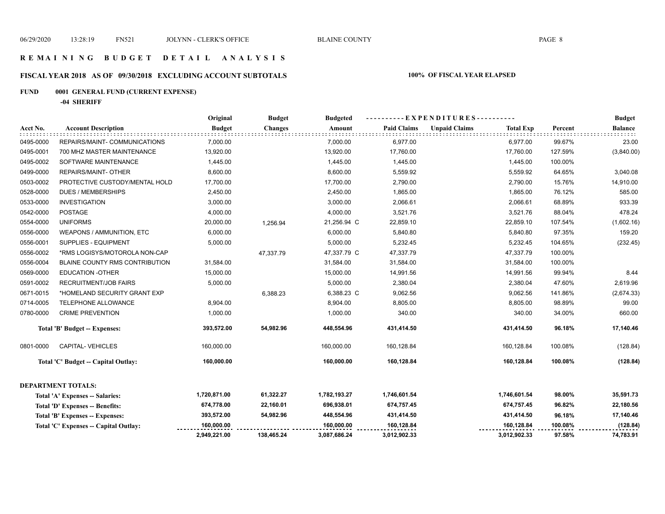## **R E M A I N I N G B U D G E T D E T A I L A N A L Y S I S**

## **FISCAL YEAR 2018 AS OF 09/30/2018 EXCLUDING ACCOUNT SUBTOTALS 100% OF FISCAL YEAR ELAPSED**

## **FUND 0001 GENERAL FUND (CURRENT EXPENSE)**

**-04 SHERIFF**

|           |                                       | Original      | <b>Budget</b>  | <b>Budgeted</b> |                    | $-EXPENDITURES$ --------- |                  |         | <b>Budget</b>  |
|-----------|---------------------------------------|---------------|----------------|-----------------|--------------------|---------------------------|------------------|---------|----------------|
| Acct No.  | <b>Account Description</b>            | <b>Budget</b> | <b>Changes</b> | Amount          | <b>Paid Claims</b> | <b>Unpaid Claims</b>      | <b>Total Exp</b> | Percent | <b>Balance</b> |
| 0495-0000 | REPAIRS/MAINT- COMMUNICATIONS         | 7,000.00      |                | 7,000.00        | 6,977.00           |                           | 6,977.00         | 99.67%  | 23.00          |
| 0495-0001 | 700 MHZ MASTER MAINTENANCE            | 13,920.00     |                | 13,920.00       | 17,760.00          |                           | 17,760.00        | 127.59% | (3,840.00)     |
| 0495-0002 | SOFTWARE MAINTENANCE                  | 1,445.00      |                | 1,445.00        | 1,445.00           |                           | 1,445.00         | 100.00% |                |
| 0499-0000 | REPAIRS/MAINT- OTHER                  | 8,600.00      |                | 8,600.00        | 5,559.92           |                           | 5,559.92         | 64.65%  | 3,040.08       |
| 0503-0002 | PROTECTIVE CUSTODY/MENTAL HOLD        | 17,700.00     |                | 17,700.00       | 2,790.00           |                           | 2,790.00         | 15.76%  | 14,910.00      |
| 0528-0000 | <b>DUES / MEMBERSHIPS</b>             | 2,450.00      |                | 2,450.00        | 1,865.00           |                           | 1,865.00         | 76.12%  | 585.00         |
| 0533-0000 | <b>INVESTIGATION</b>                  | 3,000.00      |                | 3,000.00        | 2,066.61           |                           | 2,066.61         | 68.89%  | 933.39         |
| 0542-0000 | <b>POSTAGE</b>                        | 4,000.00      |                | 4,000.00        | 3,521.76           |                           | 3,521.76         | 88.04%  | 478.24         |
| 0554-0000 | <b>UNIFORMS</b>                       | 20,000.00     | 1,256.94       | 21,256.94 C     | 22,859.10          |                           | 22,859.10        | 107.54% | (1,602.16)     |
| 0556-0000 | <b>WEAPONS / AMMUNITION, ETC</b>      | 6,000.00      |                | 6,000.00        | 5,840.80           |                           | 5,840.80         | 97.35%  | 159.20         |
| 0556-0001 | SUPPLIES - EQUIPMENT                  | 5,000.00      |                | 5,000.00        | 5,232.45           |                           | 5,232.45         | 104.65% | (232.45)       |
| 0556-0002 | *RMS LOGISYS/MOTOROLA NON-CAP         |               | 47,337.79      | 47,337.79 C     | 47,337.79          |                           | 47,337.79        | 100.00% |                |
| 0556-0004 | BLAINE COUNTY RMS CONTRIBUTION        | 31,584.00     |                | 31,584.00       | 31,584.00          |                           | 31,584.00        | 100.00% |                |
| 0569-0000 | <b>EDUCATION -OTHER</b>               | 15,000.00     |                | 15,000.00       | 14,991.56          |                           | 14,991.56        | 99.94%  | 8.44           |
| 0591-0002 | <b>RECRUITMENT/JOB FAIRS</b>          | 5,000.00      |                | 5,000.00        | 2,380.04           |                           | 2,380.04         | 47.60%  | 2,619.96       |
| 0671-0015 | *HOMELAND SECURITY GRANT EXP          |               | 6,388.23       | 6,388.23 C      | 9,062.56           |                           | 9,062.56         | 141.86% | (2,674.33)     |
| 0714-0005 | TELEPHONE ALLOWANCE                   | 8,904.00      |                | 8,904.00        | 8,805.00           |                           | 8,805.00         | 98.89%  | 99.00          |
| 0780-0000 | <b>CRIME PREVENTION</b>               | 1,000.00      |                | 1,000.00        | 340.00             |                           | 340.00           | 34.00%  | 660.00         |
|           | <b>Total 'B' Budget -- Expenses:</b>  | 393,572.00    | 54,982.96      | 448,554.96      | 431,414.50         |                           | 431,414.50       | 96.18%  | 17,140.46      |
| 0801-0000 | <b>CAPITAL-VEHICLES</b>               | 160,000.00    |                | 160,000.00      | 160,128.84         |                           | 160,128.84       | 100.08% | (128.84)       |
|           | Total 'C' Budget -- Capital Outlay:   | 160,000.00    |                | 160,000.00      | 160,128.84         |                           | 160,128.84       | 100.08% | (128.84)       |
|           | <b>DEPARTMENT TOTALS:</b>             |               |                |                 |                    |                           |                  |         |                |
|           | Total 'A' Expenses -- Salaries:       | 1,720,871.00  | 61,322.27      | 1,782,193.27    | 1,746,601.54       |                           | 1,746,601.54     | 98.00%  | 35,591.73      |
|           | Total 'D' Expenses -- Benefits:       | 674,778.00    | 22,160.01      | 696,938.01      | 674,757.45         |                           | 674,757.45       | 96.82%  | 22,180.56      |
|           | Total 'B' Expenses -- Expenses:       | 393,572.00    | 54,982.96      | 448,554.96      | 431,414.50         |                           | 431,414.50       | 96.18%  | 17,140.46      |
|           | Total 'C' Expenses -- Capital Outlay: | 160,000.00    |                | 160,000.00      | 160,128.84         |                           | 160,128.84       | 100.08% | (128.84)       |
|           |                                       | 2,949,221.00  | 138,465.24     | 3,087,686.24    | 3,012,902.33       |                           | 3,012,902.33     | 97.58%  | 74,783.91      |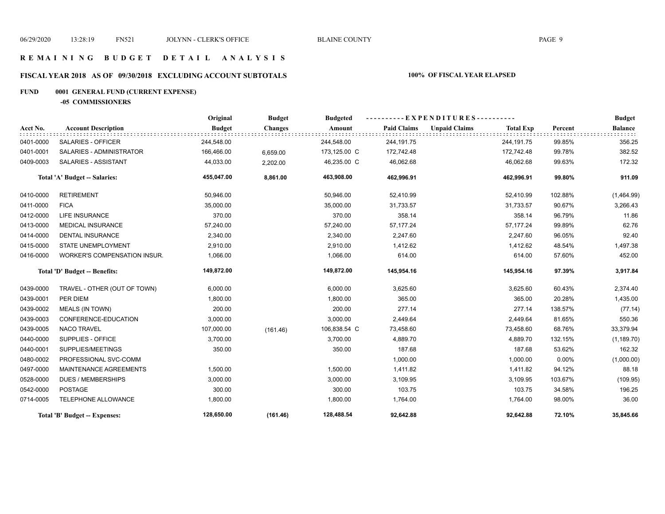## **R E M A I N I N G B U D G E T D E T A I L A N A L Y S I S**

## **FISCAL YEAR 2018 AS OF 09/30/2018 EXCLUDING ACCOUNT SUBTOTALS 100% OF FISCAL YEAR ELAPSED**

## **FUND 0001 GENERAL FUND (CURRENT EXPENSE)**

**-05 COMMISSIONERS**

|           |                               | Original      | <b>Budget</b>  | <b>Budgeted</b> |                    | - - EXPENDITURES -   |                  |         | <b>Budget</b>  |
|-----------|-------------------------------|---------------|----------------|-----------------|--------------------|----------------------|------------------|---------|----------------|
| Acct No.  | <b>Account Description</b>    | <b>Budget</b> | <b>Changes</b> | Amount          | <b>Paid Claims</b> | <b>Unpaid Claims</b> | <b>Total Exp</b> | Percent | <b>Balance</b> |
| 0401-0000 | SALARIES - OFFICER            | 244,548.00    |                | 244,548.00      | 244,191.75         |                      | 244,191.75       | 99.85%  | 356.25         |
| 0401-0001 | SALARIES - ADMINISTRATOR      | 166,466.00    | 6,659.00       | 173,125.00 C    | 172,742.48         |                      | 172,742.48       | 99.78%  | 382.52         |
| 0409-0003 | SALARIES - ASSISTANT          | 44,033.00     | 2,202.00       | 46,235.00 C     | 46,062.68          |                      | 46,062.68        | 99.63%  | 172.32         |
|           | Total 'A' Budget -- Salaries: | 455,047.00    | 8,861.00       | 463,908.00      | 462,996.91         |                      | 462,996.91       | 99.80%  | 911.09         |
| 0410-0000 | <b>RETIREMENT</b>             | 50,946.00     |                | 50,946.00       | 52,410.99          |                      | 52,410.99        | 102.88% | (1,464.99)     |
| 0411-0000 | <b>FICA</b>                   | 35,000.00     |                | 35,000.00       | 31,733.57          |                      | 31,733.57        | 90.67%  | 3,266.43       |
| 0412-0000 | <b>LIFE INSURANCE</b>         | 370.00        |                | 370.00          | 358.14             |                      | 358.14           | 96.79%  | 11.86          |
| 0413-0000 | MEDICAL INSURANCE             | 57,240.00     |                | 57,240.00       | 57, 177.24         |                      | 57,177.24        | 99.89%  | 62.76          |
| 0414-0000 | <b>DENTAL INSURANCE</b>       | 2,340.00      |                | 2,340.00        | 2,247.60           |                      | 2,247.60         | 96.05%  | 92.40          |
| 0415-0000 | <b>STATE UNEMPLOYMENT</b>     | 2,910.00      |                | 2,910.00        | 1,412.62           |                      | 1,412.62         | 48.54%  | 1,497.38       |
| 0416-0000 | WORKER'S COMPENSATION INSUR.  | 1,066.00      |                | 1,066.00        | 614.00             |                      | 614.00           | 57.60%  | 452.00         |
|           | Total 'D' Budget -- Benefits: | 149,872.00    |                | 149,872.00      | 145,954.16         |                      | 145,954.16       | 97.39%  | 3,917.84       |
| 0439-0000 | TRAVEL - OTHER (OUT OF TOWN)  | 6,000.00      |                | 6,000.00        | 3,625.60           |                      | 3,625.60         | 60.43%  | 2,374.40       |
| 0439-0001 | PER DIEM                      | 1,800.00      |                | 1,800.00        | 365.00             |                      | 365.00           | 20.28%  | 1,435.00       |
| 0439-0002 | <b>MEALS (IN TOWN)</b>        | 200.00        |                | 200.00          | 277.14             |                      | 277.14           | 138.57% | (77.14)        |
| 0439-0003 | CONFERENCE-EDUCATION          | 3,000.00      |                | 3,000.00        | 2,449.64           |                      | 2,449.64         | 81.65%  | 550.36         |
| 0439-0005 | <b>NACO TRAVEL</b>            | 107,000.00    | (161.46)       | 106,838.54 C    | 73,458.60          |                      | 73,458.60        | 68.76%  | 33,379.94      |
| 0440-0000 | SUPPLIES - OFFICE             | 3,700.00      |                | 3,700.00        | 4,889.70           |                      | 4,889.70         | 132.15% | (1, 189.70)    |
| 0440-0001 | SUPPLIES/MEETINGS             | 350.00        |                | 350.00          | 187.68             |                      | 187.68           | 53.62%  | 162.32         |
| 0480-0002 | PROFESSIONAL SVC-COMM         |               |                |                 | 1,000.00           |                      | 1,000.00         | 0.00%   | (1,000.00)     |
| 0497-0000 | <b>MAINTENANCE AGREEMENTS</b> | 1,500.00      |                | 1,500.00        | 1,411.82           |                      | 1,411.82         | 94.12%  | 88.18          |
| 0528-0000 | <b>DUES / MEMBERSHIPS</b>     | 3,000.00      |                | 3,000.00        | 3,109.95           |                      | 3,109.95         | 103.67% | (109.95)       |
| 0542-0000 | <b>POSTAGE</b>                | 300.00        |                | 300.00          | 103.75             |                      | 103.75           | 34.58%  | 196.25         |
| 0714-0005 | TELEPHONE ALLOWANCE           | 1,800.00      |                | 1,800.00        | 1,764.00           |                      | 1,764.00         | 98.00%  | 36.00          |
|           | Total 'B' Budget -- Expenses: | 128,650.00    | (161.46)       | 128,488.54      | 92,642.88          |                      | 92,642.88        | 72.10%  | 35,845.66      |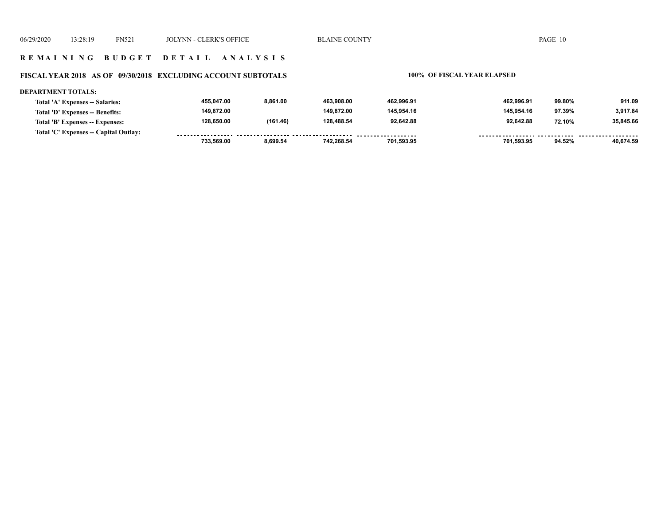**DEPARTMENT TOTALS:**

#### **R E M A I N I N G B U D G E T D E T A I L A N A L Y S I S**

#### **FISCAL YEAR 2018 AS OF 09/30/2018 EXCLUDING ACCOUNT SUBTOTALS 100% OF FISCAL YEAR ELAPSED**

#### **462,996.91 462,996.91 99.80% 911.09 463,908.00 8,861.00 455,047.00**

| Total 'A' Expenses -- Salaries:       | 455.047.00 | 8.861.00 | 463.908.00 | 462.996.91 | 462.996.91 | 99.80% | 911.09    |
|---------------------------------------|------------|----------|------------|------------|------------|--------|-----------|
| Total 'D' Expenses -- Benefits:       | 149.872.00 |          | 149.872.00 | 145.954.16 | 145.954.16 | 97.39% | 3.917.84  |
| Total 'B' Expenses -- Expenses:       | 128.650.00 | (161.46) | 128.488.54 | 92.642.88  | 92.642.88  | 72.10% | 35.845.66 |
| Total 'C' Expenses -- Capital Outlay: |            |          |            |            |            |        |           |
|                                       | 733.569.00 | 8.699.54 | 742.268.54 | 701.593.95 | 701,593.95 | 94.52% | 40.674.59 |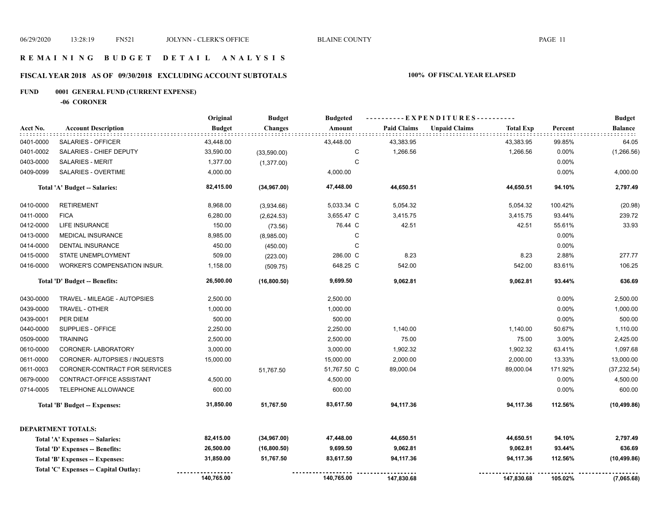## **R E M A I N I N G B U D G E T D E T A I L A N A L Y S I S**

## **FISCAL YEAR 2018 AS OF 09/30/2018 EXCLUDING ACCOUNT SUBTOTALS 100% OF FISCAL YEAR ELAPSED**

## **FUND 0001 GENERAL FUND (CURRENT EXPENSE)**

**-06 CORONER**

|           |                                       | Original      | <b>Budget</b>  | <b>Budgeted</b> |                    | ----------EXPENDITURES---------- |                  |         |                |  |
|-----------|---------------------------------------|---------------|----------------|-----------------|--------------------|----------------------------------|------------------|---------|----------------|--|
| Acct No.  | <b>Account Description</b>            | <b>Budget</b> | <b>Changes</b> | Amount          | <b>Paid Claims</b> | <b>Unpaid Claims</b>             | <b>Total Exp</b> | Percent | <b>Balance</b> |  |
| 0401-0000 | SALARIES - OFFICER                    | 43,448.00     |                | 43,448.00       | 43,383.95          |                                  | 43,383.95        | 99.85%  | 64.05          |  |
| 0401-0002 | SALARIES - CHIEF DEPUTY               | 33,590.00     | (33,590.00)    | С               | 1,266.56           |                                  | 1,266.56         | 0.00%   | (1,266.56)     |  |
| 0403-0000 | <b>SALARIES - MERIT</b>               | 1,377.00      | (1,377.00)     | C               |                    |                                  |                  | 0.00%   |                |  |
| 0409-0099 | SALARIES - OVERTIME                   | 4,000.00      |                | 4,000.00        |                    |                                  |                  | 0.00%   | 4,000.00       |  |
|           | Total 'A' Budget -- Salaries:         | 82,415.00     | (34, 967.00)   | 47,448.00       | 44,650.51          |                                  | 44,650.51        | 94.10%  | 2,797.49       |  |
| 0410-0000 | <b>RETIREMENT</b>                     | 8,968.00      | (3,934.66)     | 5,033.34 C      | 5,054.32           |                                  | 5,054.32         | 100.42% | (20.98)        |  |
| 0411-0000 | <b>FICA</b>                           | 6,280.00      | (2,624.53)     | 3,655.47 C      | 3,415.75           |                                  | 3,415.75         | 93.44%  | 239.72         |  |
| 0412-0000 | <b>LIFE INSURANCE</b>                 | 150.00        | (73.56)        | 76.44 C         | 42.51              |                                  | 42.51            | 55.61%  | 33.93          |  |
| 0413-0000 | <b>MEDICAL INSURANCE</b>              | 8,985.00      | (8,985.00)     | C               |                    |                                  |                  | 0.00%   |                |  |
| 0414-0000 | <b>DENTAL INSURANCE</b>               | 450.00        | (450.00)       | C               |                    |                                  |                  | 0.00%   |                |  |
| 0415-0000 | STATE UNEMPLOYMENT                    | 509.00        | (223.00)       | 286.00 C        | 8.23               |                                  | 8.23             | 2.88%   | 277.77         |  |
| 0416-0000 | WORKER'S COMPENSATION INSUR.          | 1,158.00      | (509.75)       | 648.25 C        | 542.00             |                                  | 542.00           | 83.61%  | 106.25         |  |
|           | Total 'D' Budget -- Benefits:         | 26,500.00     | (16,800.50)    | 9,699.50        | 9,062.81           |                                  | 9,062.81         | 93.44%  | 636.69         |  |
| 0430-0000 | TRAVEL - MILEAGE - AUTOPSIES          | 2,500.00      |                | 2,500.00        |                    |                                  |                  | 0.00%   | 2,500.00       |  |
| 0439-0000 | TRAVEL - OTHER                        | 1,000.00      |                | 1,000.00        |                    |                                  |                  | 0.00%   | 1,000.00       |  |
| 0439-0001 | PER DIEM                              | 500.00        |                | 500.00          |                    |                                  |                  | 0.00%   | 500.00         |  |
| 0440-0000 | SUPPLIES - OFFICE                     | 2,250.00      |                | 2,250.00        | 1,140.00           |                                  | 1,140.00         | 50.67%  | 1,110.00       |  |
| 0509-0000 | <b>TRAINING</b>                       | 2,500.00      |                | 2,500.00        | 75.00              |                                  | 75.00            | 3.00%   | 2,425.00       |  |
| 0610-0000 | CORONER-LABORATORY                    | 3,000.00      |                | 3,000.00        | 1,902.32           |                                  | 1,902.32         | 63.41%  | 1,097.68       |  |
| 0611-0000 | CORONER-AUTOPSIES / INQUESTS          | 15,000.00     |                | 15,000.00       | 2,000.00           |                                  | 2,000.00         | 13.33%  | 13,000.00      |  |
| 0611-0003 | CORONER-CONTRACT FOR SERVICES         |               | 51,767.50      | 51,767.50 C     | 89,000.04          |                                  | 89,000.04        | 171.92% | (37, 232.54)   |  |
| 0679-0000 | CONTRACT-OFFICE ASSISTANT             | 4,500.00      |                | 4,500.00        |                    |                                  |                  | 0.00%   | 4,500.00       |  |
| 0714-0005 | TELEPHONE ALLOWANCE                   | 600.00        |                | 600.00          |                    |                                  |                  | 0.00%   | 600.00         |  |
|           | <b>Total 'B' Budget -- Expenses:</b>  | 31,850.00     | 51,767.50      | 83,617.50       | 94,117.36          |                                  | 94,117.36        | 112.56% | (10, 499.86)   |  |
|           | <b>DEPARTMENT TOTALS:</b>             |               |                |                 |                    |                                  |                  |         |                |  |
|           | Total 'A' Expenses -- Salaries:       | 82,415.00     | (34, 967.00)   | 47,448.00       | 44,650.51          |                                  | 44,650.51        | 94.10%  | 2,797.49       |  |
|           | Total 'D' Expenses -- Benefits:       | 26,500.00     | (16,800.50)    | 9,699.50        | 9,062.81           |                                  | 9,062.81         | 93.44%  | 636.69         |  |
|           | Total 'B' Expenses -- Expenses:       | 31,850.00     | 51,767.50      | 83,617.50       | 94,117.36          |                                  | 94,117.36        | 112.56% | (10, 499.86)   |  |
|           | Total 'C' Expenses -- Capital Outlay: |               |                |                 |                    |                                  |                  |         |                |  |
|           |                                       | 140,765.00    |                | 140,765.00      | 147,830.68         |                                  | 147,830.68       | 105.02% | (7,065.68)     |  |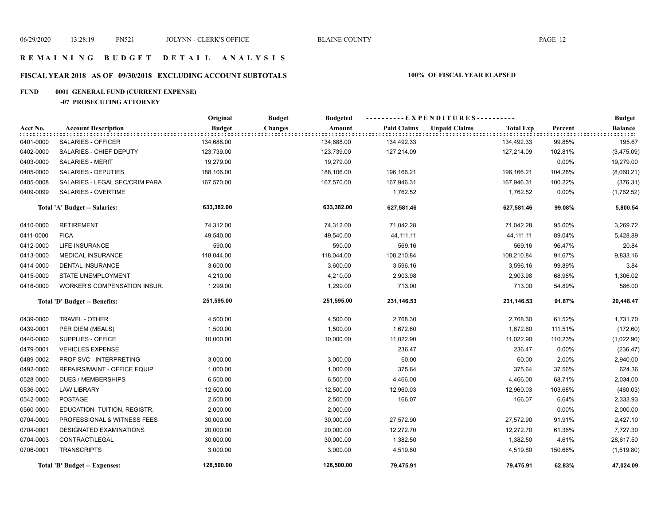## **R E M A I N I N G B U D G E T D E T A I L A N A L Y S I S**

## **FISCAL YEAR 2018 AS OF 09/30/2018 EXCLUDING ACCOUNT SUBTOTALS 100% OF FISCAL YEAR ELAPSED**

## **FUND 0001 GENERAL FUND (CURRENT EXPENSE)**

## **-07 PROSECUTING ATTORNEY**

|           |                                | Original      | <b>Budget</b><br><b>Budgeted</b> |                    | ----------EXPENDITURES----------         |         | <b>Budget</b> |
|-----------|--------------------------------|---------------|----------------------------------|--------------------|------------------------------------------|---------|---------------|
| Acct No.  | <b>Account Description</b>     | <b>Budget</b> | <b>Changes</b><br>Amount         | <b>Paid Claims</b> | <b>Unpaid Claims</b><br><b>Total Exp</b> | Percent | Balance       |
| 0401-0000 | SALARIES - OFFICER             | 134,688.00    | 134,688.00                       | 134,492.33         | 134,492.33                               | 99.85%  | 195.67        |
| 0402-0000 | SALARIES - CHIEF DEPUTY        | 123,739.00    | 123,739.00                       | 127,214.09         | 127,214.09                               | 102.81% | (3,475.09)    |
| 0403-0000 | SALARIES - MERIT               | 19,279.00     | 19,279.00                        |                    |                                          | 0.00%   | 19,279.00     |
| 0405-0000 | SALARIES - DEPUTIES            | 188,106.00    | 188,106.00                       | 196,166.21         | 196,166.21                               | 104.28% | (8,060.21)    |
| 0405-0008 | SALARIES - LEGAL SEC/CRIM PARA | 167,570.00    | 167,570.00                       | 167,946.31         | 167,946.31                               | 100.22% | (376.31)      |
| 0409-0099 | SALARIES - OVERTIME            |               |                                  | 1,762.52           | 1,762.52                                 | 0.00%   | (1,762.52)    |
|           | Total 'A' Budget -- Salaries:  | 633,382.00    | 633,382.00                       | 627,581.46         | 627,581.46                               | 99.08%  | 5,800.54      |
| 0410-0000 | <b>RETIREMENT</b>              | 74,312.00     | 74,312.00                        | 71,042.28          | 71,042.28                                | 95.60%  | 3,269.72      |
| 0411-0000 | <b>FICA</b>                    | 49,540.00     | 49,540.00                        | 44,111.11          | 44,111.11                                | 89.04%  | 5,428.89      |
| 0412-0000 | <b>LIFE INSURANCE</b>          | 590.00        | 590.00                           | 569.16             | 569.16                                   | 96.47%  | 20.84         |
| 0413-0000 | <b>MEDICAL INSURANCE</b>       | 118,044.00    | 118,044.00                       | 108,210.84         | 108,210.84                               | 91.67%  | 9,833.16      |
| 0414-0000 | <b>DENTAL INSURANCE</b>        | 3,600.00      | 3,600.00                         | 3,596.16           | 3,596.16                                 | 99.89%  | 3.84          |
| 0415-0000 | <b>STATE UNEMPLOYMENT</b>      | 4,210.00      | 4,210.00                         | 2,903.98           | 2,903.98                                 | 68.98%  | 1,306.02      |
| 0416-0000 | WORKER'S COMPENSATION INSUR.   | 1,299.00      | 1,299.00                         | 713.00             | 713.00                                   | 54.89%  | 586.00        |
|           | Total 'D' Budget -- Benefits:  | 251,595.00    | 251,595.00                       | 231,146.53         | 231,146.53                               | 91.87%  | 20,448.47     |
| 0439-0000 | TRAVEL - OTHER                 | 4,500.00      | 4,500.00                         | 2,768.30           | 2,768.30                                 | 61.52%  | 1,731.70      |
| 0439-0001 | PER DIEM (MEALS)               | 1,500.00      | 1,500.00                         | 1,672.60           | 1,672.60                                 | 111.51% | (172.60)      |
| 0440-0000 | SUPPLIES - OFFICE              | 10,000.00     | 10,000.00                        | 11,022.90          | 11,022.90                                | 110.23% | (1,022.90)    |
| 0479-0001 | <b>VEHICLES EXPENSE</b>        |               |                                  | 236.47             | 236.47                                   | 0.00%   | (236.47)      |
| 0489-0002 | PROF SVC - INTERPRETING        | 3,000.00      | 3,000.00                         | 60.00              | 60.00                                    | 2.00%   | 2,940.00      |
| 0492-0000 | REPAIRS/MAINT - OFFICE EQUIP   | 1,000.00      | 1,000.00                         | 375.64             | 375.64                                   | 37.56%  | 624.36        |
| 0528-0000 | <b>DUES / MEMBERSHIPS</b>      | 6,500.00      | 6,500.00                         | 4,466.00           | 4,466.00                                 | 68.71%  | 2,034.00      |
| 0536-0000 | <b>LAW LIBRARY</b>             | 12,500.00     | 12,500.00                        | 12,960.03          | 12,960.03                                | 103.68% | (460.03)      |
| 0542-0000 | <b>POSTAGE</b>                 | 2,500.00      | 2,500.00                         | 166.07             | 166.07                                   | 6.64%   | 2,333.93      |
| 0560-0000 | EDUCATION-TUITION, REGISTR.    | 2,000.00      | 2,000.00                         |                    |                                          | 0.00%   | 2,000.00      |
| 0704-0000 | PROFESSIONAL & WITNESS FEES    | 30,000.00     | 30,000.00                        | 27,572.90          | 27,572.90                                | 91.91%  | 2,427.10      |
| 0704-0001 | <b>DESIGNATED EXAMINATIONS</b> | 20,000.00     | 20,000.00                        | 12,272.70          | 12,272.70                                | 61.36%  | 7,727.30      |
| 0704-0003 | CONTRACT/LEGAL                 | 30,000.00     | 30,000.00                        | 1,382.50           | 1,382.50                                 | 4.61%   | 28,617.50     |
| 0706-0001 | <b>TRANSCRIPTS</b>             | 3,000.00      | 3,000.00                         | 4,519.80           | 4,519.80                                 | 150.66% | (1,519.80)    |
|           | Total 'B' Budget -- Expenses:  | 126,500.00    | 126,500.00                       | 79,475.91          | 79,475.91                                | 62.83%  | 47,024.09     |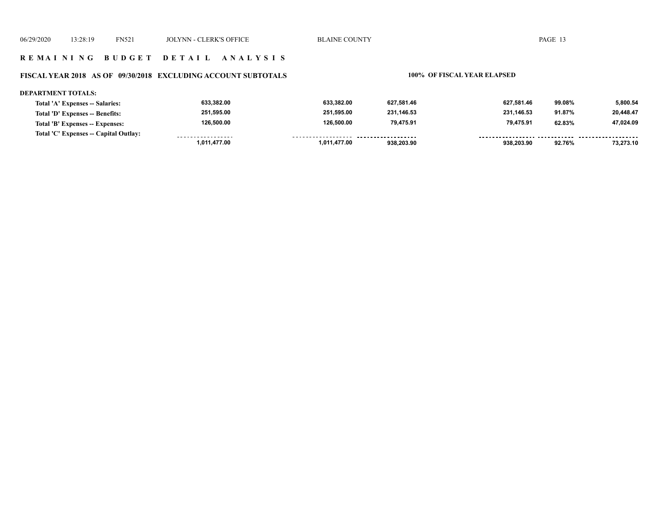## **R E M A I N I N G B U D G E T D E T A I L A N A L Y S I S**

## **FISCAL YEAR 2018 AS OF 09/30/2018 EXCLUDING ACCOUNT SUBTOTALS 100% OF FISCAL YEAR ELAPSED**

#### **DEPARTMENT TOTALS:**

| Total 'A' Expenses -- Salaries:       | 633,382.00   | 633.382.00          | 627.581.46 | 627.581.46 | 99.08% | 5,800.54  |
|---------------------------------------|--------------|---------------------|------------|------------|--------|-----------|
| Total 'D' Expenses -- Benefits:       | 251.595.00   | 251.595.00          | 231.146.53 | 231.146.53 | 91.87% | 20,448.47 |
| Total 'B' Expenses -- Expenses:       | 126.500.00   | 126.500.00          | 79.475.91  | 79.475.91  | 62.83% | 47,024.09 |
| Total 'C' Expenses -- Capital Outlay: | .            | ------------------- | .          |            |        |           |
|                                       | 1.011.477.00 | 1.011.477.00        | 938,203.90 | 938,203.90 | 92.76% | 73,273.10 |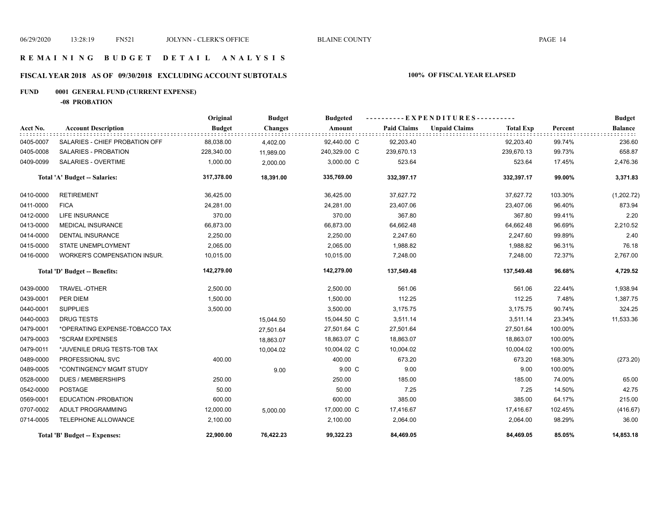## **R E M A I N I N G B U D G E T D E T A I L A N A L Y S I S**

## **FISCAL YEAR 2018 AS OF 09/30/2018 EXCLUDING ACCOUNT SUBTOTALS 100% OF FISCAL YEAR ELAPSED**

## **FUND 0001 GENERAL FUND (CURRENT EXPENSE)**

**-08 PROBATION**

|           |                                      | Original      | <b>Budget</b>  | <b>Budgeted</b> |                    | ----------EXPENDITURES---------- |                  |         | <b>Budget</b>  |
|-----------|--------------------------------------|---------------|----------------|-----------------|--------------------|----------------------------------|------------------|---------|----------------|
| Acct No.  | <b>Account Description</b>           | <b>Budget</b> | <b>Changes</b> | Amount          | <b>Paid Claims</b> | <b>Unpaid Claims</b>             | <b>Total Exp</b> | Percent | <b>Balance</b> |
| 0405-0007 | SALARIES - CHIEF PROBATION OFF       | 88,038.00     | 4,402.00       | 92,440.00 C     | 92,203.40          |                                  | 92,203.40        | 99.74%  | 236.60         |
| 0405-0008 | <b>SALARIES - PROBATION</b>          | 228,340.00    | 11,989.00      | 240,329.00 C    | 239,670.13         |                                  | 239,670.13       | 99.73%  | 658.87         |
| 0409-0099 | SALARIES - OVERTIME                  | 1,000.00      | 2,000.00       | 3,000.00 C      | 523.64             |                                  | 523.64           | 17.45%  | 2,476.36       |
|           | Total 'A' Budget -- Salaries:        | 317,378.00    | 18,391.00      | 335,769.00      | 332,397.17         |                                  | 332,397.17       | 99.00%  | 3,371.83       |
| 0410-0000 | <b>RETIREMENT</b>                    | 36,425.00     |                | 36,425.00       | 37,627.72          |                                  | 37,627.72        | 103.30% | (1,202.72)     |
| 0411-0000 | <b>FICA</b>                          | 24,281.00     |                | 24,281.00       | 23,407.06          |                                  | 23,407.06        | 96.40%  | 873.94         |
| 0412-0000 | <b>LIFE INSURANCE</b>                | 370.00        |                | 370.00          | 367.80             |                                  | 367.80           | 99.41%  | 2.20           |
| 0413-0000 | <b>MEDICAL INSURANCE</b>             | 66,873.00     |                | 66,873.00       | 64,662.48          |                                  | 64,662.48        | 96.69%  | 2,210.52       |
| 0414-0000 | <b>DENTAL INSURANCE</b>              | 2,250.00      |                | 2,250.00        | 2,247.60           |                                  | 2,247.60         | 99.89%  | 2.40           |
| 0415-0000 | <b>STATE UNEMPLOYMENT</b>            | 2,065.00      |                | 2,065.00        | 1,988.82           |                                  | 1,988.82         | 96.31%  | 76.18          |
| 0416-0000 | WORKER'S COMPENSATION INSUR.         | 10,015.00     |                | 10,015.00       | 7,248.00           |                                  | 7,248.00         | 72.37%  | 2,767.00       |
|           | Total 'D' Budget -- Benefits:        | 142,279.00    |                | 142,279.00      | 137,549.48         |                                  | 137,549.48       | 96.68%  | 4,729.52       |
| 0439-0000 | <b>TRAVEL-OTHER</b>                  | 2,500.00      |                | 2,500.00        | 561.06             |                                  | 561.06           | 22.44%  | 1,938.94       |
| 0439-0001 | PER DIEM                             | 1,500.00      |                | 1,500.00        | 112.25             |                                  | 112.25           | 7.48%   | 1,387.75       |
| 0440-0001 | <b>SUPPLIES</b>                      | 3,500.00      |                | 3,500.00        | 3,175.75           |                                  | 3,175.75         | 90.74%  | 324.25         |
| 0440-0003 | <b>DRUG TESTS</b>                    |               | 15,044.50      | 15,044.50 C     | 3,511.14           |                                  | 3,511.14         | 23.34%  | 11,533.36      |
| 0479-0001 | *OPERATING EXPENSE-TOBACCO TAX       |               | 27,501.64      | 27,501.64 C     | 27,501.64          |                                  | 27,501.64        | 100.00% |                |
| 0479-0003 | *SCRAM EXPENSES                      |               | 18,863.07      | 18,863.07 C     | 18,863.07          |                                  | 18,863.07        | 100.00% |                |
| 0479-0011 | *JUVENILE DRUG TESTS-TOB TAX         |               | 10,004.02      | 10,004.02 C     | 10,004.02          |                                  | 10,004.02        | 100.00% |                |
| 0489-0000 | PROFESSIONAL SVC                     | 400.00        |                | 400.00          | 673.20             |                                  | 673.20           | 168.30% | (273.20)       |
| 0489-0005 | *CONTINGENCY MGMT STUDY              |               | 9.00           | 9.00 C          | 9.00               |                                  | 9.00             | 100.00% |                |
| 0528-0000 | <b>DUES / MEMBERSHIPS</b>            | 250.00        |                | 250.00          | 185.00             |                                  | 185.00           | 74.00%  | 65.00          |
| 0542-0000 | <b>POSTAGE</b>                       | 50.00         |                | 50.00           | 7.25               |                                  | 7.25             | 14.50%  | 42.75          |
| 0569-0001 | EDUCATION -PROBATION                 | 600.00        |                | 600.00          | 385.00             |                                  | 385.00           | 64.17%  | 215.00         |
| 0707-0002 | ADULT PROGRAMMING                    | 12,000.00     | 5,000.00       | 17,000.00 C     | 17,416.67          |                                  | 17,416.67        | 102.45% | (416.67)       |
| 0714-0005 | TELEPHONE ALLOWANCE                  | 2,100.00      |                | 2,100.00        | 2,064.00           |                                  | 2,064.00         | 98.29%  | 36.00          |
|           | <b>Total 'B' Budget -- Expenses:</b> | 22,900.00     | 76,422.23      | 99,322.23       | 84,469.05          |                                  | 84,469.05        | 85.05%  | 14,853.18      |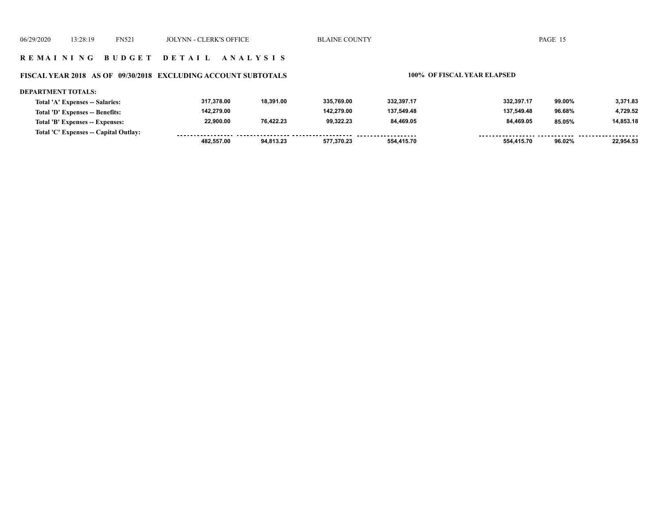#### **FISCAL YEAR 2018 AS OF 09/30/2018 EXCLUDING ACCOUNT SUBTOTALS 100% OF FISCAL YEAR ELAPSED**

#### **DEPARTMENT TOTALS: 317,378.00 18,391.00 335,769.00 332,397.17 332,397.17 99.00% 3,371.83 Total 'A' Expenses -- Salaries: 142,279.00 142,279.00 137,549.48 137,549.48 4,729.52 Total 'D' Expenses -- Benefits: 96.68% 22,900.00 76,422.23 99,322.23 84,469.05 84,469.05 14,853.18 Total 'B' Expenses -- Expenses: 85.05% Total 'C' Expenses -- Capital Outlay:** ................. -----------------*-*......... <u>----- ------</u> <u>....... .........</u>  **482,557.00 94,813.23 577,370.23 554,415.70 554,415.70 96.02% 22,954.53**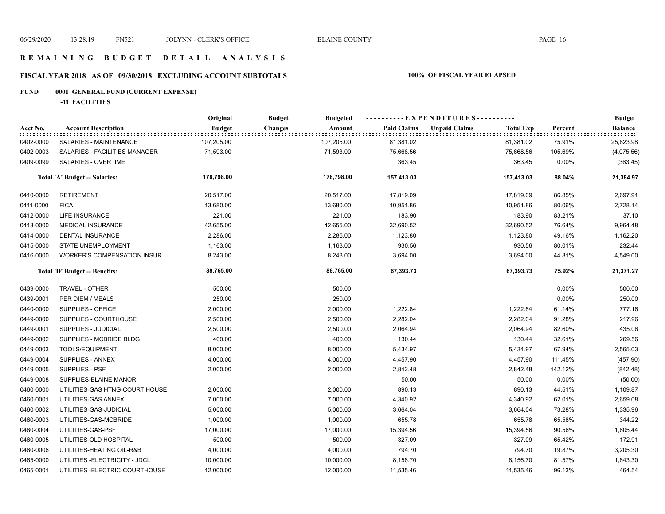## **R E M A I N I N G B U D G E T D E T A I L A N A L Y S I S**

## **FISCAL YEAR 2018 AS OF 09/30/2018 EXCLUDING ACCOUNT SUBTOTALS 100% OF FISCAL YEAR ELAPSED**

## **FUND 0001 GENERAL FUND (CURRENT EXPENSE)**

**-11 FACILITIES**

|           |                                | Original      | <b>Budget</b><br><b>Budgeted</b> |                    | ----------EXPENDITURES----------         |         | <b>Budget</b>  |
|-----------|--------------------------------|---------------|----------------------------------|--------------------|------------------------------------------|---------|----------------|
| Acct No.  | <b>Account Description</b>     | <b>Budget</b> | Amount<br><b>Changes</b>         | <b>Paid Claims</b> | <b>Unpaid Claims</b><br><b>Total Exp</b> | Percent | <b>Balance</b> |
| 0402-0000 | SALARIES - MAINTENANCE         | 107,205.00    | 107,205.00                       | 81,381.02          | 81,381.02                                | 75.91%  | 25,823.98      |
| 0402-0003 | SALARIES - FACILITIES MANAGER  | 71,593.00     | 71,593.00                        | 75,668.56          | 75,668.56                                | 105.69% | (4,075.56)     |
| 0409-0099 | SALARIES - OVERTIME            |               |                                  | 363.45             | 363.45                                   | 0.00%   | (363.45)       |
|           | Total 'A' Budget -- Salaries:  | 178,798.00    | 178,798.00                       | 157,413.03         | 157,413.03                               | 88.04%  | 21,384.97      |
| 0410-0000 | <b>RETIREMENT</b>              | 20,517.00     | 20,517.00                        | 17,819.09          | 17,819.09                                | 86.85%  | 2,697.91       |
| 0411-0000 | <b>FICA</b>                    | 13,680.00     | 13,680.00                        | 10,951.86          | 10,951.86                                | 80.06%  | 2,728.14       |
| 0412-0000 | <b>LIFE INSURANCE</b>          | 221.00        | 221.00                           | 183.90             | 183.90                                   | 83.21%  | 37.10          |
| 0413-0000 | MEDICAL INSURANCE              | 42,655.00     | 42,655.00                        | 32,690.52          | 32,690.52                                | 76.64%  | 9,964.48       |
| 0414-0000 | DENTAL INSURANCE               | 2,286.00      | 2,286.00                         | 1,123.80           | 1,123.80                                 | 49.16%  | 1,162.20       |
| 0415-0000 | STATE UNEMPLOYMENT             | 1,163.00      | 1,163.00                         | 930.56             | 930.56                                   | 80.01%  | 232.44         |
| 0416-0000 | WORKER'S COMPENSATION INSUR.   | 8,243.00      | 8,243.00                         | 3,694.00           | 3,694.00                                 | 44.81%  | 4,549.00       |
|           | Total 'D' Budget -- Benefits:  | 88,765.00     | 88,765.00                        | 67,393.73          | 67,393.73                                | 75.92%  | 21,371.27      |
| 0439-0000 | TRAVEL - OTHER                 | 500.00        | 500.00                           |                    |                                          | 0.00%   | 500.00         |
| 0439-0001 | PER DIEM / MEALS               | 250.00        | 250.00                           |                    |                                          | 0.00%   | 250.00         |
| 0440-0000 | SUPPLIES - OFFICE              | 2,000.00      | 2,000.00                         | 1,222.84           | 1,222.84                                 | 61.14%  | 777.16         |
| 0449-0000 | SUPPLIES - COURTHOUSE          | 2,500.00      | 2,500.00                         | 2,282.04           | 2,282.04                                 | 91.28%  | 217.96         |
| 0449-0001 | SUPPLIES - JUDICIAL            | 2,500.00      | 2,500.00                         | 2,064.94           | 2,064.94                                 | 82.60%  | 435.06         |
| 0449-0002 | SUPPLIES - MCBRIDE BLDG        | 400.00        | 400.00                           | 130.44             | 130.44                                   | 32.61%  | 269.56         |
| 0449-0003 | <b>TOOLS/EQUIPMENT</b>         | 8,000.00      | 8,000.00                         | 5,434.97           | 5,434.97                                 | 67.94%  | 2,565.03       |
| 0449-0004 | SUPPLIES - ANNEX               | 4,000.00      | 4,000.00                         | 4,457.90           | 4,457.90                                 | 111.45% | (457.90)       |
| 0449-0005 | SUPPLIES - PSF                 | 2,000.00      | 2,000.00                         | 2,842.48           | 2,842.48                                 | 142.12% | (842.48)       |
| 0449-0008 | SUPPLIES-BLAINE MANOR          |               |                                  | 50.00              | 50.00                                    | 0.00%   | (50.00)        |
| 0460-0000 | UTILITIES-GAS HTNG-COURT HOUSE | 2,000.00      | 2,000.00                         | 890.13             | 890.13                                   | 44.51%  | 1,109.87       |
| 0460-0001 | UTILITIES-GAS ANNEX            | 7,000.00      | 7,000.00                         | 4,340.92           | 4,340.92                                 | 62.01%  | 2,659.08       |
| 0460-0002 | UTILITIES-GAS-JUDICIAL         | 5,000.00      | 5,000.00                         | 3,664.04           | 3,664.04                                 | 73.28%  | 1,335.96       |
| 0460-0003 | UTILITIES-GAS-MCBRIDE          | 1,000.00      | 1,000.00                         | 655.78             | 655.78                                   | 65.58%  | 344.22         |
| 0460-0004 | UTILITIES-GAS-PSF              | 17,000.00     | 17,000.00                        | 15,394.56          | 15,394.56                                | 90.56%  | 1,605.44       |
| 0460-0005 | UTILITIES-OLD HOSPITAL         | 500.00        | 500.00                           | 327.09             | 327.09                                   | 65.42%  | 172.91         |
| 0460-0006 | UTILITIES-HEATING OIL-R&B      | 4,000.00      | 4,000.00                         | 794.70             | 794.70                                   | 19.87%  | 3,205.30       |
| 0465-0000 | UTILITIES - ELECTRICITY - JDCL | 10,000.00     | 10,000.00                        | 8,156.70           | 8,156.70                                 | 81.57%  | 1,843.30       |
| 0465-0001 | UTILITIES-ELECTRIC-COURTHOUSE  | 12,000.00     | 12,000.00                        | 11,535.46          | 11,535.46                                | 96.13%  | 464.54         |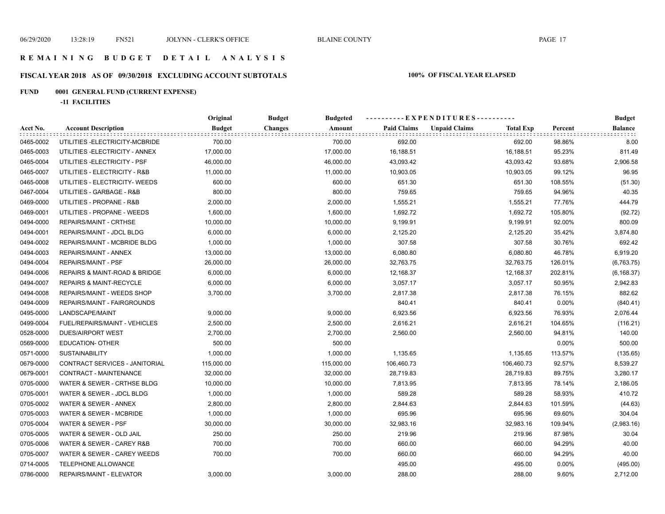## **FISCAL YEAR 2018 AS OF 09/30/2018 EXCLUDING ACCOUNT SUBTOTALS 100% OF FISCAL YEAR ELAPSED**

## **FUND 0001 GENERAL FUND (CURRENT EXPENSE)**

**-11 FACILITIES**

|           |                                    | Original      | <b>Budget</b><br><b>Budgeted</b> | - - - - - - - - - - E X P E N D I T U R E S - - - - - - - - - - - |                                          |         | <b>Budget</b>  |
|-----------|------------------------------------|---------------|----------------------------------|-------------------------------------------------------------------|------------------------------------------|---------|----------------|
| Acct No.  | <b>Account Description</b>         | <b>Budget</b> | <b>Changes</b><br>Amount         | <b>Paid Claims</b>                                                | <b>Unpaid Claims</b><br><b>Total Exp</b> | Percent | <b>Balance</b> |
| 0465-0002 | UTILITIES - ELECTRICITY-MCBRIDE    | 700.00        | 700.00                           | 692.00                                                            | 692.00                                   | 98.86%  | 8.00           |
| 0465-0003 | UTILITIES - ELECTRICITY - ANNEX    | 17,000.00     | 17,000.00                        | 16,188.51                                                         | 16,188.51                                | 95.23%  | 811.49         |
| 0465-0004 | UTILITIES - ELECTRICITY - PSF      | 46,000.00     | 46,000.00                        | 43,093.42                                                         | 43,093.42                                | 93.68%  | 2,906.58       |
| 0465-0007 | UTILITIES - ELECTRICITY - R&B      | 11,000.00     | 11,000.00                        | 10,903.05                                                         | 10,903.05                                | 99.12%  | 96.95          |
| 0465-0008 | UTILITIES - ELECTRICITY- WEEDS     | 600.00        | 600.00                           | 651.30                                                            | 651.30                                   | 108.55% | (51.30)        |
| 0467-0004 | UTILITIES - GARBAGE - R&B          | 800.00        | 800.00                           | 759.65                                                            | 759.65                                   | 94.96%  | 40.35          |
| 0469-0000 | UTILITIES - PROPANE - R&B          | 2,000.00      | 2,000.00                         | 1,555.21                                                          | 1,555.21                                 | 77.76%  | 444.79         |
| 0469-0001 | UTILITIES - PROPANE - WEEDS        | 1,600.00      | 1,600.00                         | 1,692.72                                                          | 1,692.72                                 | 105.80% | (92.72)        |
| 0494-0000 | REPAIRS/MAINT - CRTHSE             | 10,000.00     | 10,000.00                        | 9,199.91                                                          | 9,199.91                                 | 92.00%  | 800.09         |
| 0494-0001 | REPAIRS/MAINT - JDCL BLDG          | 6,000.00      | 6,000.00                         | 2,125.20                                                          | 2,125.20                                 | 35.42%  | 3,874.80       |
| 0494-0002 | REPAIRS/MAINT - MCBRIDE BLDG       | 1,000.00      | 1,000.00                         | 307.58                                                            | 307.58                                   | 30.76%  | 692.42         |
| 0494-0003 | REPAIRS/MAINT - ANNEX              | 13,000.00     | 13,000.00                        | 6,080.80                                                          | 6,080.80                                 | 46.78%  | 6,919.20       |
| 0494-0004 | <b>REPAIRS/MAINT - PSF</b>         | 26,000.00     | 26,000.00                        | 32,763.75                                                         | 32,763.75                                | 126.01% | (6,763.75)     |
| 0494-0006 | REPAIRS & MAINT-ROAD & BRIDGE      | 6,000.00      | 6,000.00                         | 12,168.37                                                         | 12,168.37                                | 202.81% | (6, 168.37)    |
| 0494-0007 | <b>REPAIRS &amp; MAINT-RECYCLE</b> | 6,000.00      | 6,000.00                         | 3,057.17                                                          | 3,057.17                                 | 50.95%  | 2,942.83       |
| 0494-0008 | REPAIRS/MAINT - WEEDS SHOP         | 3,700.00      | 3,700.00                         | 2,817.38                                                          | 2,817.38                                 | 76.15%  | 882.62         |
| 0494-0009 | REPAIRS/MAINT - FAIRGROUNDS        |               |                                  | 840.41                                                            | 840.41                                   | 0.00%   | (840.41)       |
| 0495-0000 | LANDSCAPE/MAINT                    | 9,000.00      | 9,000.00                         | 6,923.56                                                          | 6,923.56                                 | 76.93%  | 2,076.44       |
| 0499-0004 | FUEL/REPAIRS/MAINT - VEHICLES      | 2,500.00      | 2,500.00                         | 2,616.21                                                          | 2,616.21                                 | 104.65% | (116.21)       |
| 0528-0000 | <b>DUES/AIRPORT WEST</b>           | 2,700.00      | 2,700.00                         | 2,560.00                                                          | 2,560.00                                 | 94.81%  | 140.00         |
| 0569-0000 | <b>EDUCATION- OTHER</b>            | 500.00        | 500.00                           |                                                                   |                                          | 0.00%   | 500.00         |
| 0571-0000 | <b>SUSTAINABILITY</b>              | 1,000.00      | 1,000.00                         | 1,135.65                                                          | 1,135.65                                 | 113.57% | (135.65)       |
| 0679-0000 | CONTRACT SERVICES - JANITORIAL     | 115,000.00    | 115,000.00                       | 106,460.73                                                        | 106,460.73                               | 92.57%  | 8,539.27       |
| 0679-0001 | CONTRACT - MAINTENANCE             | 32,000.00     | 32,000.00                        | 28,719.83                                                         | 28,719.83                                | 89.75%  | 3,280.17       |
| 0705-0000 | WATER & SEWER - CRTHSE BLDG        | 10,000.00     | 10,000.00                        | 7,813.95                                                          | 7,813.95                                 | 78.14%  | 2,186.05       |
| 0705-0001 | WATER & SEWER - JDCL BLDG          | 1,000.00      | 1,000.00                         | 589.28                                                            | 589.28                                   | 58.93%  | 410.72         |
| 0705-0002 | WATER & SEWER - ANNEX              | 2,800.00      | 2,800.00                         | 2,844.63                                                          | 2,844.63                                 | 101.59% | (44.63)        |
| 0705-0003 | WATER & SEWER - MCBRIDE            | 1,000.00      | 1,000.00                         | 695.96                                                            | 695.96                                   | 69.60%  | 304.04         |
| 0705-0004 | WATER & SEWER - PSF                | 30,000.00     | 30,000.00                        | 32,983.16                                                         | 32,983.16                                | 109.94% | (2,983.16)     |
| 0705-0005 | WATER & SEWER - OLD JAIL           | 250.00        | 250.00                           | 219.96                                                            | 219.96                                   | 87.98%  | 30.04          |
| 0705-0006 | WATER & SEWER - CAREY R&B          | 700.00        | 700.00                           | 660.00                                                            | 660.00                                   | 94.29%  | 40.00          |
| 0705-0007 | WATER & SEWER - CAREY WEEDS        | 700.00        | 700.00                           | 660.00                                                            | 660.00                                   | 94.29%  | 40.00          |
| 0714-0005 | TELEPHONE ALLOWANCE                |               |                                  | 495.00                                                            | 495.00                                   | 0.00%   | (495.00)       |
| 0786-0000 | REPAIRS/MAINT - ELEVATOR           | 3,000.00      | 3,000.00                         | 288.00                                                            | 288.00                                   | 9.60%   | 2,712.00       |
|           |                                    |               |                                  |                                                                   |                                          |         |                |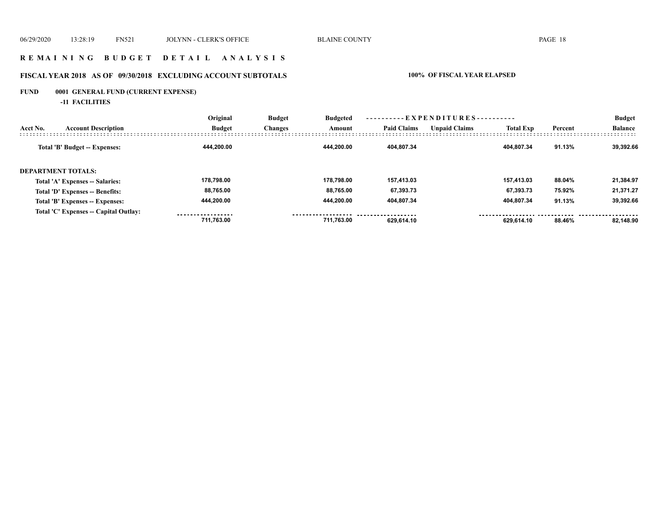## **R E M A I N I N G B U D G E T D E T A I L A N A L Y S I S**

## **FISCAL YEAR 2018 AS OF 09/30/2018 EXCLUDING ACCOUNT SUBTOTALS 100% OF FISCAL YEAR ELAPSED**

## **FUND 0001 GENERAL FUND (CURRENT EXPENSE)**

**-11 FACILITIES**

|          |                                       | Original      | <b>Budget</b>  | <b>Budgeted</b> |                    |                      |                  |         | <b>Budget</b>  |
|----------|---------------------------------------|---------------|----------------|-----------------|--------------------|----------------------|------------------|---------|----------------|
| Acct No. | <b>Account Description</b>            | <b>Budget</b> | <b>Changes</b> | Amount          | <b>Paid Claims</b> | <b>Unpaid Claims</b> | <b>Total Exp</b> | Percent | <b>Balance</b> |
|          | Total 'B' Budget -- Expenses:         | 444.200.00    |                | 444.200.00      | 404.807.34         |                      | 404.807.34       | 91.13%  | 39.392.66      |
|          | <b>DEPARTMENT TOTALS:</b>             |               |                |                 |                    |                      |                  |         |                |
|          | Total 'A' Expenses -- Salaries:       | 178.798.00    |                | 178.798.00      | 157.413.03         |                      | 157.413.03       | 88.04%  | 21,384.97      |
|          | Total 'D' Expenses -- Benefits:       | 88,765.00     |                | 88.765.00       | 67.393.73          |                      | 67.393.73        | 75.92%  | 21.371.27      |
|          | Total 'B' Expenses -- Expenses:       | 444,200.00    |                | 444.200.00      | 404,807.34         |                      | 404.807.34       | 91.13%  | 39,392.66      |
|          | Total 'C' Expenses -- Capital Outlay: | 711.763.00    |                | 711.763.00      | 629.614.10         |                      | 629.614.10       | 88.46%  | 82.148.90      |
|          |                                       |               |                |                 |                    |                      |                  |         |                |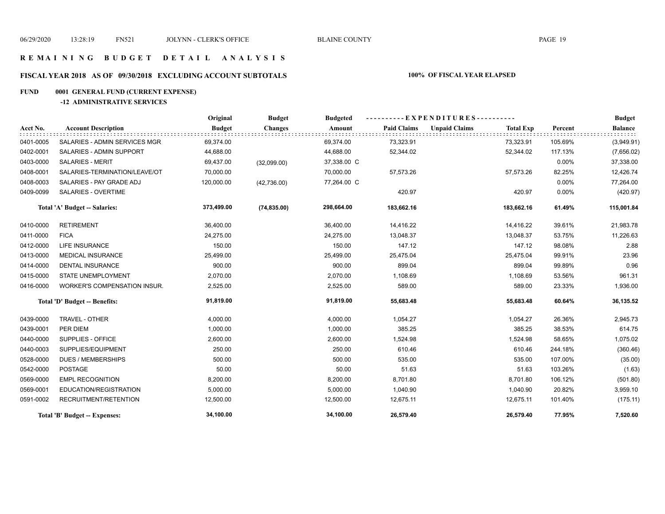## **R E M A I N I N G B U D G E T D E T A I L A N A L Y S I S**

## **FISCAL YEAR 2018 AS OF 09/30/2018 EXCLUDING ACCOUNT SUBTOTALS 100% OF FISCAL YEAR ELAPSED**

## **FUND 0001 GENERAL FUND (CURRENT EXPENSE)**

## **-12 ADMINISTRATIVE SERVICES**

|           |                                     | Original      | <b>Budget</b>  | <b>Budgeted</b> |                    | ----------EXPENDITURES---------- |                  |         | <b>Budget</b>  |
|-----------|-------------------------------------|---------------|----------------|-----------------|--------------------|----------------------------------|------------------|---------|----------------|
| Acct No.  | <b>Account Description</b>          | <b>Budget</b> | <b>Changes</b> | Amount          | <b>Paid Claims</b> | <b>Unpaid Claims</b>             | <b>Total Exp</b> | Percent | <b>Balance</b> |
| 0401-0005 | SALARIES - ADMIN SERVICES MGR       | 69,374.00     |                | 69,374.00       | 73,323.91          |                                  | 73,323.91        | 105.69% | (3,949.91)     |
| 0402-0001 | SALARIES - ADMIN SUPPORT            | 44,688.00     |                | 44,688.00       | 52,344.02          |                                  | 52,344.02        | 117.13% | (7,656.02)     |
| 0403-0000 | <b>SALARIES - MERIT</b>             | 69,437.00     | (32,099.00)    | 37,338.00 C     |                    |                                  |                  | 0.00%   | 37,338.00      |
| 0408-0001 | SALARIES-TERMINATION/LEAVE/OT       | 70,000.00     |                | 70,000.00       | 57,573.26          |                                  | 57,573.26        | 82.25%  | 12,426.74      |
| 0408-0003 | SALARIES - PAY GRADE ADJ            | 120,000.00    | (42,736.00)    | 77,264.00 C     |                    |                                  |                  | 0.00%   | 77,264.00      |
| 0409-0099 | <b>SALARIES - OVERTIME</b>          |               |                |                 | 420.97             |                                  | 420.97           | 0.00%   | (420.97)       |
|           | Total 'A' Budget -- Salaries:       | 373,499.00    | (74, 835.00)   | 298,664.00      | 183,662.16         |                                  | 183,662.16       | 61.49%  | 115,001.84     |
| 0410-0000 | <b>RETIREMENT</b>                   | 36,400.00     |                | 36,400.00       | 14,416.22          |                                  | 14,416.22        | 39.61%  | 21,983.78      |
| 0411-0000 | <b>FICA</b>                         | 24,275.00     |                | 24,275.00       | 13,048.37          |                                  | 13,048.37        | 53.75%  | 11,226.63      |
| 0412-0000 | <b>LIFE INSURANCE</b>               | 150.00        |                | 150.00          | 147.12             |                                  | 147.12           | 98.08%  | 2.88           |
| 0413-0000 | <b>MEDICAL INSURANCE</b>            | 25,499.00     |                | 25,499.00       | 25,475.04          |                                  | 25,475.04        | 99.91%  | 23.96          |
| 0414-0000 | <b>DENTAL INSURANCE</b>             | 900.00        |                | 900.00          | 899.04             |                                  | 899.04           | 99.89%  | 0.96           |
| 0415-0000 | STATE UNEMPLOYMENT                  | 2,070.00      |                | 2,070.00        | 1,108.69           |                                  | 1,108.69         | 53.56%  | 961.31         |
| 0416-0000 | <b>WORKER'S COMPENSATION INSUR.</b> | 2,525.00      |                | 2,525.00        | 589.00             |                                  | 589.00           | 23.33%  | 1,936.00       |
|           | Total 'D' Budget -- Benefits:       | 91,819.00     |                | 91,819.00       | 55,683.48          |                                  | 55,683.48        | 60.64%  | 36,135.52      |
| 0439-0000 | TRAVEL - OTHER                      | 4,000.00      |                | 4,000.00        | 1,054.27           |                                  | 1,054.27         | 26.36%  | 2,945.73       |
| 0439-0001 | PER DIEM                            | 1,000.00      |                | 1,000.00        | 385.25             |                                  | 385.25           | 38.53%  | 614.75         |
| 0440-0000 | SUPPLIES - OFFICE                   | 2,600.00      |                | 2,600.00        | 1,524.98           |                                  | 1,524.98         | 58.65%  | 1,075.02       |
| 0440-0003 | SUPPLIES/EQUIPMENT                  | 250.00        |                | 250.00          | 610.46             |                                  | 610.46           | 244.18% | (360.46)       |
| 0528-0000 | <b>DUES / MEMBERSHIPS</b>           | 500.00        |                | 500.00          | 535.00             |                                  | 535.00           | 107.00% | (35.00)        |
| 0542-0000 | <b>POSTAGE</b>                      | 50.00         |                | 50.00           | 51.63              |                                  | 51.63            | 103.26% | (1.63)         |
| 0569-0000 | <b>EMPL RECOGNITION</b>             | 8,200.00      |                | 8,200.00        | 8,701.80           |                                  | 8,701.80         | 106.12% | (501.80)       |
| 0569-0001 | EDUCATION/REGISTRATION              | 5,000.00      |                | 5,000.00        | 1,040.90           |                                  | 1,040.90         | 20.82%  | 3,959.10       |
| 0591-0002 | RECRUITMENT/RETENTION               | 12,500.00     |                | 12,500.00       | 12,675.11          |                                  | 12,675.11        | 101.40% | (175.11)       |
|           | Total 'B' Budget -- Expenses:       | 34,100.00     |                | 34,100.00       | 26,579.40          |                                  | 26,579.40        | 77.95%  | 7,520.60       |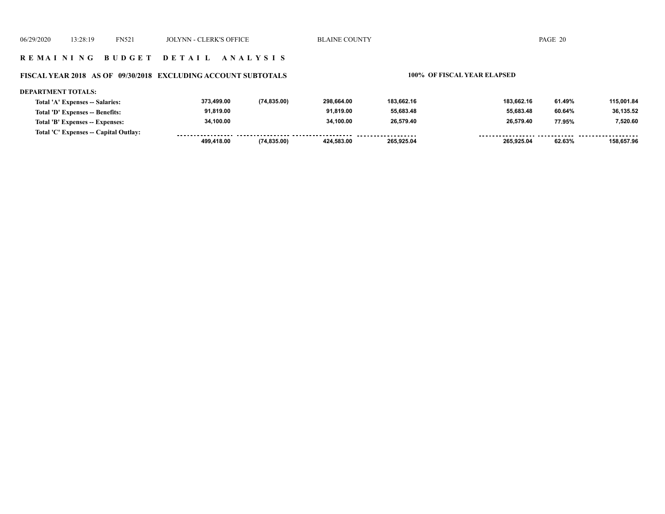### **R E M A I N I N G B U D G E T D E T A I L A N A L Y S I S**

#### **FISCAL YEAR 2018 AS OF 09/30/2018 EXCLUDING ACCOUNT SUBTOTALS 100% OF FISCAL YEAR ELAPSED**

#### **DEPARTMENT TOTALS: 373,499.00 (74,835.00) 298,664.00 183,662.16 183,662.16 61.49% 115,001.84 Total 'A' Expenses -- Salaries: 91,819.00 91,819.00 55,683.48 55,683.48 36,135.52 Total 'D' Expenses -- Benefits: 60.64% 34,100.00 34,100.00 26,579.40 26,579.40 7,520.60 Total 'B' Expenses -- Expenses: 77.95% Total 'C' Expenses -- Capital Outlay:** -----------------.......... ................... ------- -------------------<u>........... ......</u>  **499,418.00 (74,835.00) 424,583.00 265,925.04 265,925.04 62.63% 158,657.96**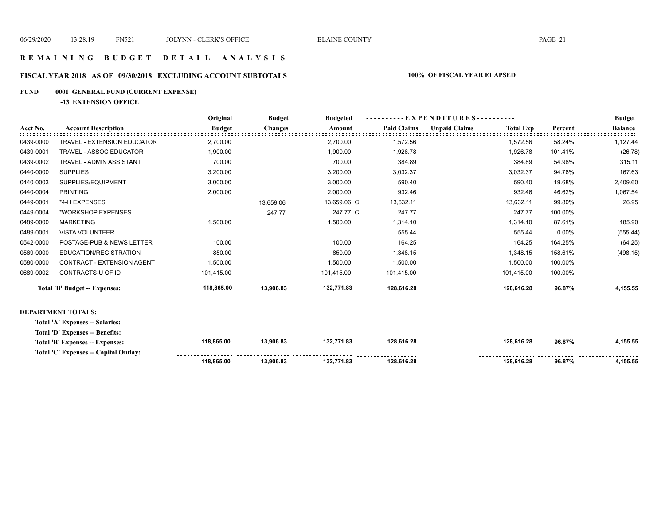## **R E M A I N I N G B U D G E T D E T A I L A N A L Y S I S**

## **FISCAL YEAR 2018 AS OF 09/30/2018 EXCLUDING ACCOUNT SUBTOTALS 100% OF FISCAL YEAR ELAPSED**

## **FUND 0001 GENERAL FUND (CURRENT EXPENSE)**

**-13 EXTENSION OFFICE**

|           |                                      | Original      | <b>Budget</b>  | <b>Budgeted</b> | --EXPENDITURES---------- |                      |                  |         | <b>Budget</b>  |
|-----------|--------------------------------------|---------------|----------------|-----------------|--------------------------|----------------------|------------------|---------|----------------|
| Acct No.  | <b>Account Description</b>           | <b>Budget</b> | <b>Changes</b> | Amount          | <b>Paid Claims</b>       | <b>Unpaid Claims</b> | <b>Total Exp</b> | Percent | <b>Balance</b> |
| 0439-0000 | TRAVEL - EXTENSION EDUCATOR          | 2,700.00      |                | 2,700.00        | 1,572.56                 |                      | 1,572.56         | 58.24%  | 1,127.44       |
| 0439-0001 | TRAVEL - ASSOC EDUCATOR              | 1,900.00      |                | 1,900.00        | 1,926.78                 |                      | 1,926.78         | 101.41% | (26.78)        |
| 0439-0002 | TRAVEL - ADMIN ASSISTANT             | 700.00        |                | 700.00          | 384.89                   |                      | 384.89           | 54.98%  | 315.11         |
| 0440-0000 | <b>SUPPLIES</b>                      | 3,200.00      |                | 3,200.00        | 3,032.37                 |                      | 3,032.37         | 94.76%  | 167.63         |
| 0440-0003 | SUPPLIES/EQUIPMENT                   | 3,000.00      |                | 3,000.00        | 590.40                   |                      | 590.40           | 19.68%  | 2,409.60       |
| 0440-0004 | <b>PRINTING</b>                      | 2,000.00      |                | 2,000.00        | 932.46                   |                      | 932.46           | 46.62%  | 1,067.54       |
| 0449-0001 | *4-H EXPENSES                        |               | 13,659.06      | 13,659.06 C     | 13,632.11                |                      | 13,632.11        | 99.80%  | 26.95          |
| 0449-0004 | *WORKSHOP EXPENSES                   |               | 247.77         | 247.77 C        | 247.77                   |                      | 247.77           | 100.00% |                |
| 0489-0000 | <b>MARKETING</b>                     | 1,500.00      |                | 1,500.00        | 1,314.10                 |                      | 1,314.10         | 87.61%  | 185.90         |
| 0489-0001 | <b>VISTA VOLUNTEER</b>               |               |                |                 | 555.44                   |                      | 555.44           | 0.00%   | (555.44)       |
| 0542-0000 | POSTAGE-PUB & NEWS LETTER            | 100.00        |                | 100.00          | 164.25                   |                      | 164.25           | 164.25% | (64.25)        |
| 0569-0000 | EDUCATION/REGISTRATION               | 850.00        |                | 850.00          | 1,348.15                 |                      | 1,348.15         | 158.61% | (498.15)       |
| 0580-0000 | CONTRACT - EXTENSION AGENT           | 1,500.00      |                | 1,500.00        | 1,500.00                 |                      | 1,500.00         | 100.00% |                |
| 0689-0002 | CONTRACTS-U OF ID                    | 101,415.00    |                | 101,415.00      | 101,415.00               |                      | 101,415.00       | 100.00% |                |
|           | <b>Total 'B' Budget -- Expenses:</b> | 118,865.00    | 13,906.83      | 132,771.83      | 128,616.28               |                      | 128,616.28       | 96.87%  | 4,155.55       |
|           |                                      |               |                |                 |                          |                      |                  |         |                |

#### **DEPARTMENT TOTALS:**

**Total 'A' Expenses -- Salaries:**

|  |  | Total 'D' Expenses -- Benefits: |  |
|--|--|---------------------------------|--|
|--|--|---------------------------------|--|

|                                       | 118.865.00 | 13.906.83 | 132.771.83 | 128.616.28          | 128.616.28 | 96.87% | .155.55  |
|---------------------------------------|------------|-----------|------------|---------------------|------------|--------|----------|
| Total 'C' Expenses -- Capital Outlay: |            |           |            | ------------------- |            |        |          |
| Total 'B' Expenses -- Expenses:       | 118.865.00 | 13.906.83 | 132.771.83 | 128.616.28          | 128.616.28 | 96.87% | 1.155.55 |
| .                                     |            |           |            |                     |            |        |          |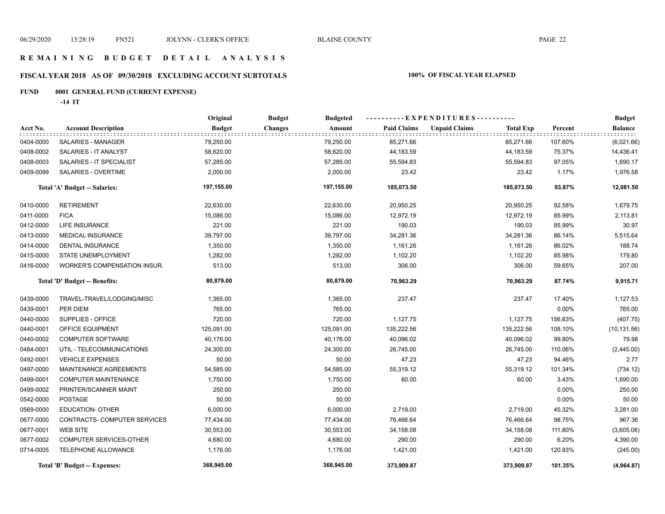## **FISCAL YEAR 2018 AS OF 09/30/2018 EXCLUDING ACCOUNT SUBTOTALS 100% OF FISCAL YEAR ELAPSED**

## **FUND 0001 GENERAL FUND (CURRENT EXPENSE)**

**-14 IT**

|           |                                     | Original      | <b>Budget</b><br><b>Budgeted</b> | ----------EXPENDITURES---------- |                                          | <b>Budget</b> |                |
|-----------|-------------------------------------|---------------|----------------------------------|----------------------------------|------------------------------------------|---------------|----------------|
| Acct No.  | <b>Account Description</b>          | <b>Budget</b> | <b>Changes</b><br>Amount         | <b>Paid Claims</b>               | <b>Unpaid Claims</b><br><b>Total Exp</b> | Percent       | <b>Balance</b> |
| 0404-0000 | SALARIES - MANAGER                  | 79,250.00     | 79,250.00                        | 85,271.66                        | 85,271.66                                | 107.60%       | (6,021.66)     |
| 0408-0002 | SALARIES - IT ANALYST               | 58,620.00     | 58,620.00                        | 44,183.59                        | 44,183.59                                | 75.37%        | 14,436.41      |
| 0408-0003 | SALARIES - IT SPECIALIST            | 57,285.00     | 57,285.00                        | 55,594.83                        | 55,594.83                                | 97.05%        | 1,690.17       |
| 0409-0099 | SALARIES - OVERTIME                 | 2,000.00      | 2,000.00                         | 23.42                            | 23.42                                    | 1.17%         | 1,976.58       |
|           | Total 'A' Budget -- Salaries:       | 197,155.00    | 197,155.00                       | 185,073.50                       | 185,073.50                               | 93.87%        | 12,081.50      |
| 0410-0000 | <b>RETIREMENT</b>                   | 22,630.00     | 22,630.00                        | 20,950.25                        | 20,950.25                                | 92.58%        | 1,679.75       |
| 0411-0000 | <b>FICA</b>                         | 15,086.00     | 15,086.00                        | 12,972.19                        | 12,972.19                                | 85.99%        | 2,113.81       |
| 0412-0000 | <b>LIFE INSURANCE</b>               | 221.00        | 221.00                           | 190.03                           | 190.03                                   | 85.99%        | 30.97          |
| 0413-0000 | <b>MEDICAL INSURANCE</b>            | 39,797.00     | 39,797.00                        | 34,281.36                        | 34,281.36                                | 86.14%        | 5,515.64       |
| 0414-0000 | <b>DENTAL INSURANCE</b>             | 1,350.00      | 1,350.00                         | 1,161.26                         | 1,161.26                                 | 86.02%        | 188.74         |
| 0415-0000 | STATE UNEMPLOYMENT                  | 1,282.00      | 1,282.00                         | 1,102.20                         | 1,102.20                                 | 85.98%        | 179.80         |
| 0416-0000 | <b>WORKER'S COMPENSATION INSUR.</b> | 513.00        | 513.00                           | 306.00                           | 306.00                                   | 59.65%        | 207.00         |
|           | Total 'D' Budget -- Benefits:       | 80,879.00     | 80,879.00                        | 70,963.29                        | 70,963.29                                | 87.74%        | 9,915.71       |
| 0439-0000 | TRAVEL-TRAVEL/LODGING/MISC          | 1,365.00      | 1,365.00                         | 237.47                           | 237.47                                   | 17.40%        | 1,127.53       |
| 0439-0001 | PER DIEM                            | 765.00        | 765.00                           |                                  |                                          | 0.00%         | 765.00         |
| 0440-0000 | SUPPLIES - OFFICE                   | 720.00        | 720.00                           | 1,127.75                         | 1,127.75                                 | 156.63%       | (407.75)       |
| 0440-0001 | OFFICE EQUIPMENT                    | 125,091.00    | 125,091.00                       | 135,222.56                       | 135,222.56                               | 108.10%       | (10, 131.56)   |
| 0440-0002 | <b>COMPUTER SOFTWARE</b>            | 40,176.00     | 40,176.00                        | 40,096.02                        | 40,096.02                                | 99.80%        | 79.98          |
| 0464-0001 | UTIL - TELECOMMUNICATIONS           | 24,300.00     | 24,300.00                        | 26,745.00                        | 26,745.00                                | 110.06%       | (2,445.00)     |
| 0492-0001 | <b>VEHICLE EXPENSES</b>             | 50.00         | 50.00                            | 47.23                            | 47.23                                    | 94.46%        | 2.77           |
| 0497-0000 | MAINTENANCE AGREEMENTS              | 54,585.00     | 54,585.00                        | 55,319.12                        | 55,319.12                                | 101.34%       | (734.12)       |
| 0499-0001 | <b>COMPUTER MAINTENANCE</b>         | 1,750.00      | 1,750.00                         | 60.00                            | 60.00                                    | 3.43%         | 1,690.00       |
| 0499-0002 | PRINTER/SCANNER MAINT               | 250.00        | 250.00                           |                                  |                                          | 0.00%         | 250.00         |
| 0542-0000 | <b>POSTAGE</b>                      | 50.00         | 50.00                            |                                  |                                          | $0.00\%$      | 50.00          |
| 0569-0000 | <b>EDUCATION- OTHER</b>             | 6,000.00      | 6,000.00                         | 2,719.00                         | 2,719.00                                 | 45.32%        | 3,281.00       |
| 0677-0000 | CONTRACTS- COMPUTER SERVICES        | 77,434.00     | 77,434.00                        | 76,466.64                        | 76,466.64                                | 98.75%        | 967.36         |
| 0677-0001 | <b>WEB SITE</b>                     | 30,553.00     | 30,553.00                        | 34,158.08                        | 34,158.08                                | 111.80%       | (3,605.08)     |
| 0677-0002 | COMPUTER SERVICES-OTHER             | 4,680.00      | 4,680.00                         | 290.00                           | 290.00                                   | 6.20%         | 4,390.00       |
| 0714-0005 | TELEPHONE ALLOWANCE                 | 1,176.00      | 1,176.00                         | 1,421.00                         | 1,421.00                                 | 120.83%       | (245.00)       |
|           | Total 'B' Budget -- Expenses:       | 368,945.00    | 368,945.00                       | 373,909.87                       | 373,909.87                               | 101.35%       | (4,964.87)     |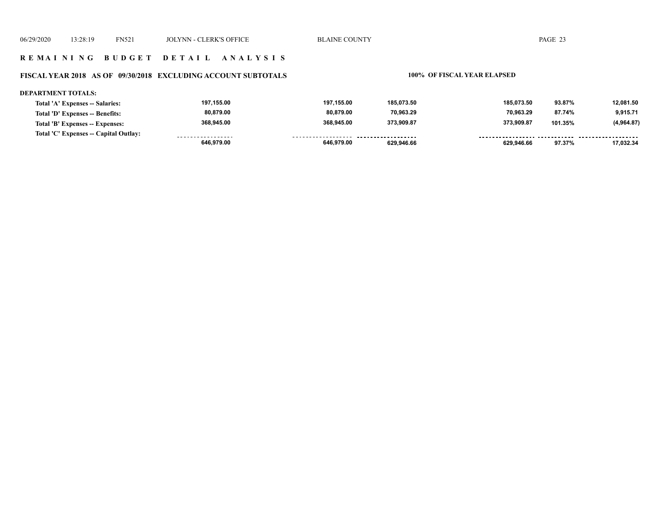## **R E M A I N I N G B U D G E T D E T A I L A N A L Y S I S**

## **FISCAL YEAR 2018 AS OF 09/30/2018 EXCLUDING ACCOUNT SUBTOTALS 100% OF FISCAL YEAR ELAPSED**

#### **DEPARTMENT TOTALS:**

| Total 'A' Expenses -- Salaries:       | 197.155.00        | 197.155.00         | 185.073.50          | 185.073.50 | 93.87%  | 12,081.50  |
|---------------------------------------|-------------------|--------------------|---------------------|------------|---------|------------|
| Total 'D' Expenses -- Benefits:       | 80,879.00         | 80,879.00          | 70,963.29           | 70,963.29  | 87.74%  | 9,915.71   |
| Total 'B' Expenses -- Expenses:       | 368.945.00        | 368.945.00         | 373.909.87          | 373.909.87 | 101.35% | (4,964.87) |
| Total 'C' Expenses -- Capital Outlay: | ----------------- | ------------------ | ------------------- |            |         |            |
|                                       | 646.979.00        | 646.979.00         | 629.946.66          | 629,946.66 | 97.37%  | 17,032.34  |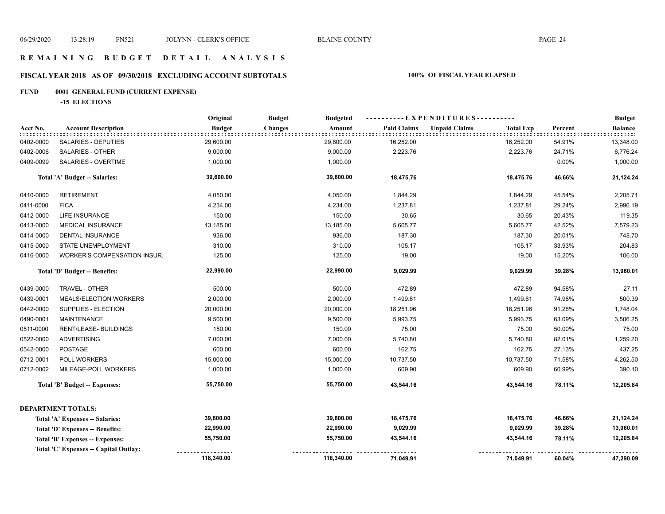## **FISCAL YEAR 2018 AS OF 09/30/2018 EXCLUDING ACCOUNT SUBTOTALS 100% OF FISCAL YEAR ELAPSED**

## **FUND 0001 GENERAL FUND (CURRENT EXPENSE)**

**-15 ELECTIONS**

|           |                                       | Original      | <b>Budget</b><br><b>Budgeted</b> |                    | ----------EXPENDITURES----------         |         | <b>Budget</b>  |
|-----------|---------------------------------------|---------------|----------------------------------|--------------------|------------------------------------------|---------|----------------|
| Acct No.  | <b>Account Description</b>            | <b>Budget</b> | <b>Changes</b><br>Amount         | <b>Paid Claims</b> | <b>Unpaid Claims</b><br><b>Total Exp</b> | Percent | <b>Balance</b> |
| 0402-0000 | SALARIES - DEPUTIES                   | 29,600.00     | 29,600.00                        | 16,252.00          | 16,252.00                                | 54.91%  | 13,348.00      |
| 0402-0006 | SALARIES - OTHER                      | 9,000.00      | 9,000.00                         | 2,223.76           | 2,223.76                                 | 24.71%  | 6,776.24       |
| 0409-0099 | SALARIES - OVERTIME                   | 1,000.00      | 1,000.00                         |                    |                                          | 0.00%   | 1,000.00       |
|           | Total 'A' Budget -- Salaries:         | 39,600.00     | 39,600.00                        | 18,475.76          | 18,475.76                                | 46.66%  | 21,124.24      |
| 0410-0000 | <b>RETIREMENT</b>                     | 4,050.00      | 4,050.00                         | 1,844.29           | 1,844.29                                 | 45.54%  | 2,205.71       |
| 0411-0000 | <b>FICA</b>                           | 4,234.00      | 4,234.00                         | 1,237.81           | 1,237.81                                 | 29.24%  | 2,996.19       |
| 0412-0000 | <b>LIFE INSURANCE</b>                 | 150.00        | 150.00                           | 30.65              | 30.65                                    | 20.43%  | 119.35         |
| 0413-0000 | <b>MEDICAL INSURANCE</b>              | 13,185.00     | 13,185.00                        | 5,605.77           | 5,605.77                                 | 42.52%  | 7,579.23       |
| 0414-0000 | <b>DENTAL INSURANCE</b>               | 936.00        | 936.00                           | 187.30             | 187.30                                   | 20.01%  | 748.70         |
| 0415-0000 | STATE UNEMPLOYMENT                    | 310.00        | 310.00                           | 105.17             | 105.17                                   | 33.93%  | 204.83         |
| 0416-0000 | WORKER'S COMPENSATION INSUR.          | 125.00        | 125.00                           | 19.00              | 19.00                                    | 15.20%  | 106.00         |
|           | Total 'D' Budget -- Benefits:         | 22,990.00     | 22,990.00                        | 9,029.99           | 9,029.99                                 | 39.28%  | 13,960.01      |
| 0439-0000 | TRAVEL - OTHER                        | 500.00        | 500.00                           | 472.89             | 472.89                                   | 94.58%  | 27.11          |
| 0439-0001 | MEALS/ELECTION WORKERS                | 2,000.00      | 2,000.00                         | 1,499.61           | 1,499.61                                 | 74.98%  | 500.39         |
| 0442-0000 | SUPPLIES - ELECTION                   | 20,000.00     | 20,000.00                        | 18,251.96          | 18,251.96                                | 91.26%  | 1,748.04       |
| 0490-0001 | <b>MAINTENANCE</b>                    | 9,500.00      | 9,500.00                         | 5,993.75           | 5,993.75                                 | 63.09%  | 3,506.25       |
| 0511-0000 | RENT/LEASE- BUILDINGS                 | 150.00        | 150.00                           | 75.00              | 75.00                                    | 50.00%  | 75.00          |
| 0522-0000 | <b>ADVERTISING</b>                    | 7,000.00      | 7,000.00                         | 5,740.80           | 5,740.80                                 | 82.01%  | 1,259.20       |
| 0542-0000 | <b>POSTAGE</b>                        | 600.00        | 600.00                           | 162.75             | 162.75                                   | 27.13%  | 437.25         |
| 0712-0001 | POLL WORKERS                          | 15,000.00     | 15,000.00                        | 10,737.50          | 10,737.50                                | 71.58%  | 4,262.50       |
| 0712-0002 | MILEAGE-POLL WORKERS                  | 1,000.00      | 1,000.00                         | 609.90             | 609.90                                   | 60.99%  | 390.10         |
|           | <b>Total 'B' Budget -- Expenses:</b>  | 55,750.00     | 55,750.00                        | 43,544.16          | 43,544.16                                | 78.11%  | 12,205.84      |
|           | <b>DEPARTMENT TOTALS:</b>             |               |                                  |                    |                                          |         |                |
|           | Total 'A' Expenses -- Salaries:       | 39,600.00     | 39,600.00                        | 18,475.76          | 18,475.76                                | 46.66%  | 21,124.24      |
|           | Total 'D' Expenses -- Benefits:       | 22,990.00     | 22,990.00                        | 9,029.99           | 9,029.99                                 | 39.28%  | 13,960.01      |
|           | Total 'B' Expenses -- Expenses:       | 55,750.00     | 55,750.00                        | 43,544.16          | 43,544.16                                | 78.11%  | 12,205.84      |
|           | Total 'C' Expenses -- Capital Outlay: |               |                                  |                    |                                          |         |                |
|           |                                       | 118,340.00    | 118,340.00                       | 71,049.91          | 71,049.91                                | 60.04%  | 47,290.09      |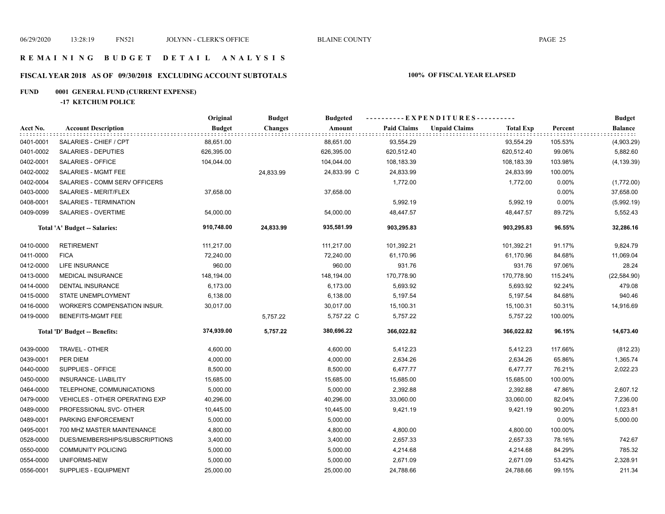## **FISCAL YEAR 2018 AS OF 09/30/2018 EXCLUDING ACCOUNT SUBTOTALS 100% OF FISCAL YEAR ELAPSED**

## **FUND 0001 GENERAL FUND (CURRENT EXPENSE)**

**-17 KETCHUM POLICE**

|           |                                       | Original      | <b>Budget</b>  | <b>Budgeted</b> |                    | ----------EXPENDITURES---------- |                  |         | <b>Budget</b>  |
|-----------|---------------------------------------|---------------|----------------|-----------------|--------------------|----------------------------------|------------------|---------|----------------|
| Acct No.  | <b>Account Description</b>            | <b>Budget</b> | <b>Changes</b> | Amount          | <b>Paid Claims</b> | <b>Unpaid Claims</b>             | <b>Total Exp</b> | Percent | <b>Balance</b> |
| 0401-0001 | SALARIES - CHIEF / CPT                | 88,651.00     |                | 88,651.00       | 93,554.29          |                                  | 93,554.29        | 105.53% | (4,903.29)     |
| 0401-0002 | SALARIES - DEPUTIES                   | 626,395.00    |                | 626,395.00      | 620,512.40         |                                  | 620,512.40       | 99.06%  | 5,882.60       |
| 0402-0001 | SALARIES - OFFICE                     | 104,044.00    |                | 104,044.00      | 108,183.39         |                                  | 108,183.39       | 103.98% | (4, 139.39)    |
| 0402-0002 | SALARIES - MGMT FEE                   |               | 24,833.99      | 24,833.99 C     | 24,833.99          |                                  | 24,833.99        | 100.00% |                |
| 0402-0004 | SALARIES - COMM SERV OFFICERS         |               |                |                 | 1,772.00           |                                  | 1,772.00         | 0.00%   | (1,772.00)     |
| 0403-0000 | SALARIES - MERIT/FLEX                 | 37,658.00     |                | 37,658.00       |                    |                                  |                  | 0.00%   | 37,658.00      |
| 0408-0001 | SALARIES - TERMINATION                |               |                |                 | 5,992.19           |                                  | 5,992.19         | 0.00%   | (5,992.19)     |
| 0409-0099 | SALARIES - OVERTIME                   | 54,000.00     |                | 54,000.00       | 48,447.57          |                                  | 48,447.57        | 89.72%  | 5,552.43       |
|           | Total 'A' Budget -- Salaries:         | 910,748.00    | 24,833.99      | 935,581.99      | 903,295.83         |                                  | 903,295.83       | 96.55%  | 32,286.16      |
| 0410-0000 | <b>RETIREMENT</b>                     | 111,217.00    |                | 111,217.00      | 101,392.21         |                                  | 101,392.21       | 91.17%  | 9,824.79       |
| 0411-0000 | <b>FICA</b>                           | 72,240.00     |                | 72,240.00       | 61,170.96          |                                  | 61,170.96        | 84.68%  | 11,069.04      |
| 0412-0000 | LIFE INSURANCE                        | 960.00        |                | 960.00          | 931.76             |                                  | 931.76           | 97.06%  | 28.24          |
| 0413-0000 | <b>MEDICAL INSURANCE</b>              | 148,194.00    |                | 148,194.00      | 170,778.90         |                                  | 170,778.90       | 115.24% | (22, 584.90)   |
| 0414-0000 | <b>DENTAL INSURANCE</b>               | 6,173.00      |                | 6,173.00        | 5,693.92           |                                  | 5,693.92         | 92.24%  | 479.08         |
| 0415-0000 | STATE UNEMPLOYMENT                    | 6,138.00      |                | 6,138.00        | 5,197.54           |                                  | 5,197.54         | 84.68%  | 940.46         |
| 0416-0000 | WORKER'S COMPENSATION INSUR.          | 30,017.00     |                | 30,017.00       | 15,100.31          |                                  | 15,100.31        | 50.31%  | 14,916.69      |
| 0419-0000 | BENEFITS-MGMT FEE                     |               | 5,757.22       | 5,757.22 C      | 5,757.22           |                                  | 5,757.22         | 100.00% |                |
|           | Total 'D' Budget -- Benefits:         | 374,939.00    | 5,757.22       | 380,696.22      | 366,022.82         |                                  | 366,022.82       | 96.15%  | 14,673.40      |
| 0439-0000 | TRAVEL - OTHER                        | 4,600.00      |                | 4,600.00        | 5,412.23           |                                  | 5,412.23         | 117.66% | (812.23)       |
| 0439-0001 | PER DIEM                              | 4,000.00      |                | 4,000.00        | 2,634.26           |                                  | 2,634.26         | 65.86%  | 1,365.74       |
| 0440-0000 | SUPPLIES - OFFICE                     | 8,500.00      |                | 8,500.00        | 6,477.77           |                                  | 6,477.77         | 76.21%  | 2,022.23       |
| 0450-0000 | <b>INSURANCE- LIABILITY</b>           | 15,685.00     |                | 15,685.00       | 15,685.00          |                                  | 15,685.00        | 100.00% |                |
| 0464-0000 | TELEPHONE, COMMUNICATIONS             | 5,000.00      |                | 5,000.00        | 2,392.88           |                                  | 2,392.88         | 47.86%  | 2,607.12       |
| 0479-0000 | <b>VEHICLES - OTHER OPERATING EXP</b> | 40,296.00     |                | 40,296.00       | 33,060.00          |                                  | 33,060.00        | 82.04%  | 7,236.00       |
| 0489-0000 | PROFESSIONAL SVC- OTHER               | 10,445.00     |                | 10,445.00       | 9,421.19           |                                  | 9,421.19         | 90.20%  | 1,023.81       |
| 0489-0001 | PARKING ENFORCEMENT                   | 5,000.00      |                | 5,000.00        |                    |                                  |                  | 0.00%   | 5,000.00       |
| 0495-0001 | 700 MHZ MASTER MAINTENANCE            | 4,800.00      |                | 4,800.00        | 4,800.00           |                                  | 4,800.00         | 100.00% |                |
| 0528-0000 | DUES/MEMBERSHIPS/SUBSCRIPTIONS        | 3,400.00      |                | 3,400.00        | 2,657.33           |                                  | 2,657.33         | 78.16%  | 742.67         |
| 0550-0000 | <b>COMMUNITY POLICING</b>             | 5,000.00      |                | 5,000.00        | 4,214.68           |                                  | 4,214.68         | 84.29%  | 785.32         |
| 0554-0000 | UNIFORMS-NEW                          | 5,000.00      |                | 5,000.00        | 2,671.09           |                                  | 2,671.09         | 53.42%  | 2,328.91       |
| 0556-0001 | SUPPLIES - EQUIPMENT                  | 25,000.00     |                | 25,000.00       | 24,788.66          |                                  | 24,788.66        | 99.15%  | 211.34         |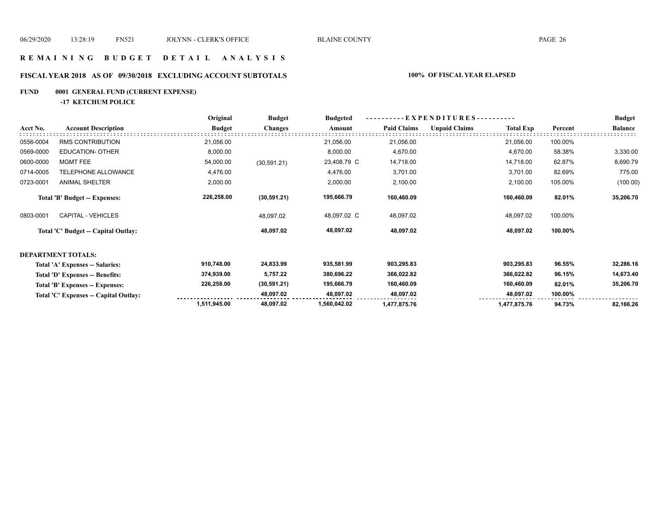## **R E M A I N I N G B U D G E T D E T A I L A N A L Y S I S**

## **FISCAL YEAR 2018 AS OF 09/30/2018 EXCLUDING ACCOUNT SUBTOTALS 100% OF FISCAL YEAR ELAPSED**

## **FUND 0001 GENERAL FUND (CURRENT EXPENSE)**

**-17 KETCHUM POLICE**

|           |                                       | Original      | <b>Budget</b>  | <b>Budgeted</b> |                    | EXPENDITURES--       |                  |         | <b>Budget</b>  |
|-----------|---------------------------------------|---------------|----------------|-----------------|--------------------|----------------------|------------------|---------|----------------|
| Acct No.  | <b>Account Description</b>            | <b>Budget</b> | <b>Changes</b> | Amount          | <b>Paid Claims</b> | <b>Unpaid Claims</b> | <b>Total Exp</b> | Percent | <b>Balance</b> |
| 0556-0004 | <b>RMS CONTRIBUTION</b>               | 21,056.00     |                | 21,056.00       | 21,056.00          |                      | 21,056.00        | 100.00% |                |
| 0569-0000 | <b>EDUCATION- OTHER</b>               | 8,000.00      |                | 8,000.00        | 4,670.00           |                      | 4,670.00         | 58.38%  | 3,330.00       |
| 0600-0000 | MGMT FEE                              | 54,000.00     | (30, 591.21)   | 23,408.79 C     | 14,718.00          |                      | 14,718.00        | 62.87%  | 8,690.79       |
| 0714-0005 | TELEPHONE ALLOWANCE                   | 4,476.00      |                | 4,476.00        | 3,701.00           |                      | 3,701.00         | 82.69%  | 775.00         |
| 0723-0001 | <b>ANIMAL SHELTER</b>                 | 2,000.00      |                | 2,000.00        | 2,100.00           |                      | 2,100.00         | 105.00% | (100.00)       |
|           | <b>Total 'B' Budget -- Expenses:</b>  | 226,258.00    | (30, 591.21)   | 195,666.79      | 160,460.09         |                      | 160,460.09       | 82.01%  | 35,206.70      |
| 0803-0001 | <b>CAPITAL - VEHICLES</b>             |               | 48,097.02      | 48,097.02 C     | 48,097.02          |                      | 48,097.02        | 100.00% |                |
|           | Total 'C' Budget -- Capital Outlay:   |               | 48,097.02      | 48,097.02       | 48,097.02          |                      | 48,097.02        | 100.00% |                |
|           | <b>DEPARTMENT TOTALS:</b>             |               |                |                 |                    |                      |                  |         |                |
|           | Total 'A' Expenses -- Salaries:       | 910,748.00    | 24,833.99      | 935,581.99      | 903,295.83         |                      | 903,295.83       | 96.55%  | 32,286.16      |
|           | Total 'D' Expenses -- Benefits:       | 374,939.00    | 5,757.22       | 380,696.22      | 366,022.82         |                      | 366,022.82       | 96.15%  | 14,673.40      |
|           | Total 'B' Expenses -- Expenses:       | 226,258.00    | (30, 591.21)   | 195,666.79      | 160,460.09         |                      | 160,460.09       | 82.01%  | 35,206.70      |
|           | Total 'C' Expenses -- Capital Outlay: |               | 48,097.02      | 48,097.02       | 48,097.02          |                      | 48,097.02        | 100.00% |                |
|           |                                       | 1,511,945.00  | 48,097.02      | 1,560,042.02    | 1,477,875.76       |                      | 1,477,875.76     | 94.73%  | 82,166.26      |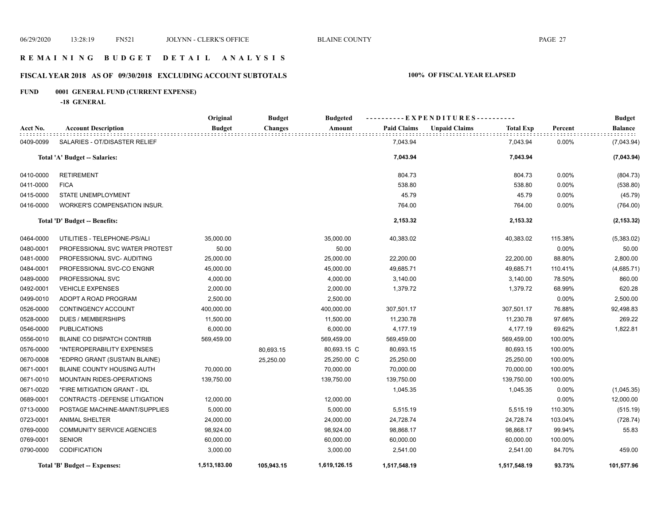## **R E M A I N I N G B U D G E T D E T A I L A N A L Y S I S**

## **FISCAL YEAR 2018 AS OF 09/30/2018 EXCLUDING ACCOUNT SUBTOTALS 100% OF FISCAL YEAR ELAPSED**

## **FUND 0001 GENERAL FUND (CURRENT EXPENSE)**

**-18 GENERAL**

|           |                                   | Original      | <b>Budget</b>  | <b>Budgeted</b> |                    | -----EXPENDITURES----------              |         | <b>Budget</b>  |
|-----------|-----------------------------------|---------------|----------------|-----------------|--------------------|------------------------------------------|---------|----------------|
| Acct No.  | <b>Account Description</b>        | <b>Budget</b> | <b>Changes</b> | Amount          | <b>Paid Claims</b> | <b>Unpaid Claims</b><br><b>Total Exp</b> | Percent | <b>Balance</b> |
| 0409-0099 | SALARIES - OT/DISASTER RELIEF     |               |                |                 | 7,043.94           | 7,043.94                                 | 0.00%   | (7,043.94)     |
|           | Total 'A' Budget -- Salaries:     |               |                |                 | 7,043.94           | 7,043.94                                 |         | (7,043.94)     |
| 0410-0000 | <b>RETIREMENT</b>                 |               |                |                 | 804.73             | 804.73                                   | 0.00%   | (804.73)       |
| 0411-0000 | <b>FICA</b>                       |               |                |                 | 538.80             | 538.80                                   | 0.00%   | (538.80)       |
| 0415-0000 | STATE UNEMPLOYMENT                |               |                |                 | 45.79              | 45.79                                    | 0.00%   | (45.79)        |
| 0416-0000 | WORKER'S COMPENSATION INSUR.      |               |                |                 | 764.00             | 764.00                                   | 0.00%   | (764.00)       |
|           | Total 'D' Budget -- Benefits:     |               |                |                 | 2,153.32           | 2,153.32                                 |         | (2, 153.32)    |
| 0464-0000 | UTILITIES - TELEPHONE-PS/ALI      | 35,000.00     |                | 35,000.00       | 40,383.02          | 40,383.02                                | 115.38% | (5,383.02)     |
| 0480-0001 | PROFESSIONAL SVC WATER PROTEST    | 50.00         |                | 50.00           |                    |                                          | 0.00%   | 50.00          |
| 0481-0000 | PROFESSIONAL SVC- AUDITING        | 25,000.00     |                | 25,000.00       | 22,200.00          | 22,200.00                                | 88.80%  | 2,800.00       |
| 0484-0001 | PROFESSIONAL SVC-CO ENGNR         | 45,000.00     |                | 45,000.00       | 49,685.71          | 49,685.71                                | 110.41% | (4,685.71)     |
| 0489-0000 | PROFESSIONAL SVC                  | 4,000.00      |                | 4,000.00        | 3,140.00           | 3,140.00                                 | 78.50%  | 860.00         |
| 0492-0001 | <b>VEHICLE EXPENSES</b>           | 2,000.00      |                | 2,000.00        | 1,379.72           | 1,379.72                                 | 68.99%  | 620.28         |
| 0499-0010 | ADOPT A ROAD PROGRAM              | 2,500.00      |                | 2,500.00        |                    |                                          | 0.00%   | 2,500.00       |
| 0526-0000 | CONTINGENCY ACCOUNT               | 400,000.00    |                | 400,000.00      | 307,501.17         | 307,501.17                               | 76.88%  | 92,498.83      |
| 0528-0000 | <b>DUES / MEMBERSHIPS</b>         | 11,500.00     |                | 11,500.00       | 11,230.78          | 11,230.78                                | 97.66%  | 269.22         |
| 0546-0000 | <b>PUBLICATIONS</b>               | 6,000.00      |                | 6,000.00        | 4,177.19           | 4,177.19                                 | 69.62%  | 1,822.81       |
| 0556-0010 | <b>BLAINE CO DISPATCH CONTRIB</b> | 569,459.00    |                | 569,459.00      | 569,459.00         | 569,459.00                               | 100.00% |                |
| 0576-0000 | *INTEROPERABILITY EXPENSES        |               | 80,693.15      | 80,693.15 C     | 80,693.15          | 80,693.15                                | 100.00% |                |
| 0670-0008 | *EDPRO GRANT (SUSTAIN BLAINE)     |               | 25,250.00      | 25,250.00 C     | 25,250.00          | 25,250.00                                | 100.00% |                |
| 0671-0001 | <b>BLAINE COUNTY HOUSING AUTH</b> | 70,000.00     |                | 70,000.00       | 70,000.00          | 70,000.00                                | 100.00% |                |
| 0671-0010 | MOUNTAIN RIDES-OPERATIONS         | 139,750.00    |                | 139,750.00      | 139,750.00         | 139,750.00                               | 100.00% |                |
| 0671-0020 | *FIRE MITIGATION GRANT - IDL      |               |                |                 | 1,045.35           | 1,045.35                                 | 0.00%   | (1,045.35)     |
| 0689-0001 | CONTRACTS - DEFENSE LITIGATION    | 12,000.00     |                | 12,000.00       |                    |                                          | 0.00%   | 12,000.00      |
| 0713-0000 | POSTAGE MACHINE-MAINT/SUPPLIES    | 5,000.00      |                | 5,000.00        | 5,515.19           | 5,515.19                                 | 110.30% | (515.19)       |
| 0723-0001 | <b>ANIMAL SHELTER</b>             | 24,000.00     |                | 24,000.00       | 24,728.74          | 24,728.74                                | 103.04% | (728.74)       |
| 0769-0000 | <b>COMMUNITY SERVICE AGENCIES</b> | 98,924.00     |                | 98,924.00       | 98,868.17          | 98,868.17                                | 99.94%  | 55.83          |
| 0769-0001 | <b>SENIOR</b>                     | 60,000.00     |                | 60,000.00       | 60,000.00          | 60,000.00                                | 100.00% |                |
| 0790-0000 | <b>CODIFICATION</b>               | 3,000.00      |                | 3,000.00        | 2,541.00           | 2,541.00                                 | 84.70%  | 459.00         |
|           | Total 'B' Budget -- Expenses:     | 1,513,183.00  | 105,943.15     | 1,619,126.15    | 1,517,548.19       | 1,517,548.19                             | 93.73%  | 101,577.96     |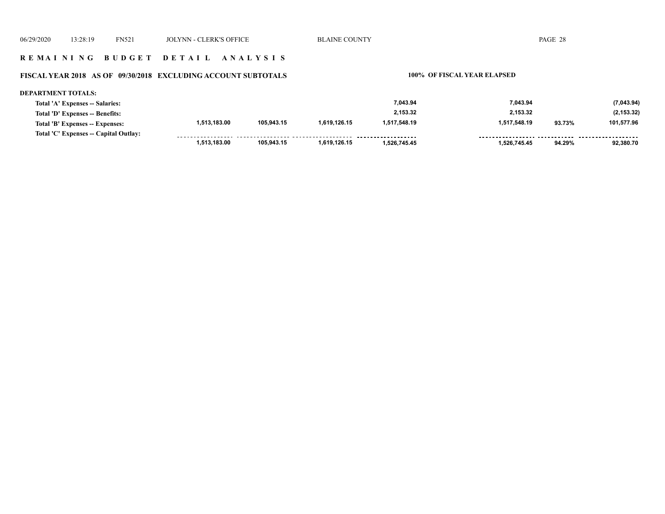## **R E M A I N I N G B U D G E T D E T A I L A N A L Y S I S**

## **FISCAL YEAR 2018 AS OF 09/30/2018 EXCLUDING ACCOUNT SUBTOTALS 100% OF FISCAL YEAR ELAPSED**

| <b>DEPARTMENT TOTALS:</b>             |              |            |              |              |              |        |             |
|---------------------------------------|--------------|------------|--------------|--------------|--------------|--------|-------------|
| Total 'A' Expenses -- Salaries:       |              |            |              | 7.043.94     | 7.043.94     |        | (7,043.94)  |
| Total 'D' Expenses -- Benefits:       |              |            |              | 2.153.32     | 2.153.32     |        | (2, 153.32) |
| Total 'B' Expenses -- Expenses:       | 1,513,183.00 | 105,943.15 | 1.619.126.15 | 1,517,548.19 | 1,517,548.19 | 93.73% | 101,577.96  |
| Total 'C' Expenses -- Capital Outlay: |              |            |              |              |              |        |             |
|                                       | 1.513.183.00 | 105.943.15 | 1.619.126.15 | 1.526.745.45 | 1.526.745.45 | 94.29% | 92.380.70   |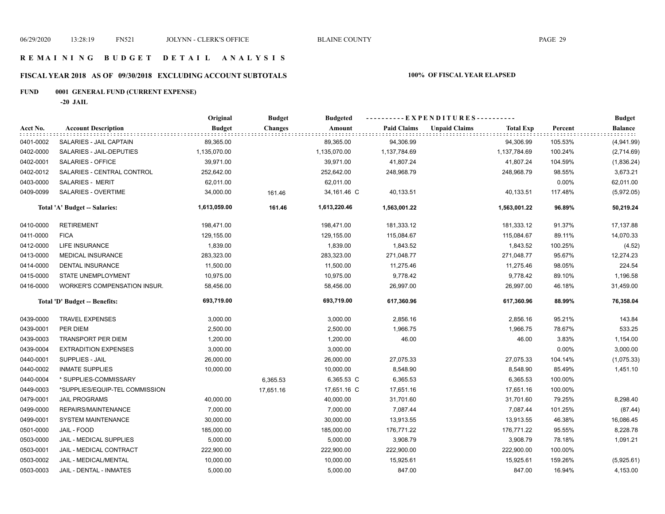## **R E M A I N I N G B U D G E T D E T A I L A N A L Y S I S**

## **FISCAL YEAR 2018 AS OF 09/30/2018 EXCLUDING ACCOUNT SUBTOTALS 100% OF FISCAL YEAR ELAPSED**

## **FUND 0001 GENERAL FUND (CURRENT EXPENSE)**

**-20 JAIL**

|           |                                     | Original      | <b>Budget</b>  | <b>Budgeted</b> |                    | ----------EXPENDITURES----------         |                | <b>Budget</b>  |
|-----------|-------------------------------------|---------------|----------------|-----------------|--------------------|------------------------------------------|----------------|----------------|
| Acct No.  | <b>Account Description</b>          | <b>Budget</b> | <b>Changes</b> | Amount          | <b>Paid Claims</b> | <b>Unpaid Claims</b><br><b>Total Exp</b> | Percent        | <b>Balance</b> |
| 0401-0002 | SALARIES - JAIL CAPTAIN             | 89,365.00     |                | 89,365.00       | 94,306.99          | 94,306.99                                | 105.53%        | (4,941.99)     |
| 0402-0000 | SALARIES - JAIL-DEPUTIES            | 1,135,070.00  |                | 1,135,070.00    | 1,137,784.69       | 1,137,784.69                             | 100.24%        | (2,714.69)     |
| 0402-0001 | SALARIES - OFFICE                   | 39,971.00     |                | 39,971.00       | 41,807.24          | 41,807.24                                | 104.59%        | (1,836.24)     |
| 0402-0012 | SALARIES - CENTRAL CONTROL          | 252,642.00    |                | 252,642.00      | 248,968.79         | 248,968.79                               | 98.55%         | 3,673.21       |
| 0403-0000 | SALARIES - MERIT                    | 62,011.00     |                | 62,011.00       |                    |                                          | 0.00%          | 62,011.00      |
| 0409-0099 | SALARIES - OVERTIME                 | 34,000.00     | 161.46         | 34,161.46 C     | 40,133.51          | 40,133.51                                | 117.48%        | (5,972.05)     |
|           | Total 'A' Budget -- Salaries:       | 1,613,059.00  | 161.46         | 1,613,220.46    | 1,563,001.22       | 1,563,001.22                             | 96.89%         | 50,219.24      |
| 0410-0000 | <b>RETIREMENT</b>                   | 198,471.00    |                | 198,471.00      | 181,333.12         | 181,333.12                               | 91.37%         | 17,137.88      |
| 0411-0000 | <b>FICA</b>                         | 129,155.00    |                | 129,155.00      | 115,084.67         | 115,084.67                               | 89.11%         | 14,070.33      |
| 0412-0000 | <b>LIFE INSURANCE</b>               | 1,839.00      |                | 1,839.00        | 1,843.52           | 1,843.52                                 | 100.25%        | (4.52)         |
| 0413-0000 | <b>MEDICAL INSURANCE</b>            | 283,323.00    |                | 283,323.00      | 271,048.77         | 271,048.77                               | 95.67%         | 12,274.23      |
| 0414-0000 | <b>DENTAL INSURANCE</b>             | 11,500.00     |                | 11,500.00       | 11,275.46          | 11,275.46                                | 98.05%         | 224.54         |
| 0415-0000 | STATE UNEMPLOYMENT                  | 10,975.00     |                | 10,975.00       | 9,778.42           | 9,778.42                                 | 89.10%         | 1,196.58       |
| 0416-0000 | <b>WORKER'S COMPENSATION INSUR.</b> | 58,456.00     |                | 58,456.00       | 26,997.00          | 26,997.00                                | 46.18%         | 31,459.00      |
|           | Total 'D' Budget -- Benefits:       | 693,719.00    |                | 693,719.00      | 617,360.96         | 617,360.96                               | 88.99%         | 76,358.04      |
| 0439-0000 | <b>TRAVEL EXPENSES</b>              | 3,000.00      |                | 3,000.00        | 2,856.16           | 2,856.16                                 | 95.21%         | 143.84         |
| 0439-0001 | PER DIEM                            | 2,500.00      |                | 2,500.00        | 1,966.75           | 1,966.75                                 | 78.67%         | 533.25         |
| 0439-0003 | <b>TRANSPORT PER DIEM</b>           | 1,200.00      |                | 1,200.00        | 46.00              |                                          | 46.00<br>3.83% | 1,154.00       |
| 0439-0004 | <b>EXTRADITION EXPENSES</b>         | 3,000.00      |                | 3,000.00        |                    |                                          | 0.00%          | 3,000.00       |
| 0440-0001 | SUPPLIES - JAIL                     | 26,000.00     |                | 26,000.00       | 27,075.33          | 27,075.33                                | 104.14%        | (1,075.33)     |
| 0440-0002 | <b>INMATE SUPPLIES</b>              | 10,000.00     |                | 10,000.00       | 8,548.90           | 8,548.90                                 | 85.49%         | 1,451.10       |
| 0440-0004 | * SUPPLIES-COMMISSARY               |               | 6,365.53       | 6,365.53 C      | 6,365.53           | 6,365.53                                 | 100.00%        |                |
| 0449-0003 | *SUPPLIES/EQUIP-TEL COMMISSION      |               | 17,651.16      | 17,651.16 C     | 17,651.16          | 17,651.16                                | 100.00%        |                |
| 0479-0001 | <b>JAIL PROGRAMS</b>                | 40,000.00     |                | 40,000.00       | 31,701.60          | 31,701.60                                | 79.25%         | 8,298.40       |
| 0499-0000 | REPAIRS/MAINTENANCE                 | 7,000.00      |                | 7,000.00        | 7,087.44           | 7,087.44                                 | 101.25%        | (87.44)        |
| 0499-0001 | <b>SYSTEM MAINTENANCE</b>           | 30,000.00     |                | 30,000.00       | 13,913.55          | 13,913.55                                | 46.38%         | 16,086.45      |
| 0501-0000 | JAIL - FOOD                         | 185,000.00    |                | 185,000.00      | 176,771.22         | 176,771.22                               | 95.55%         | 8,228.78       |
| 0503-0000 | JAIL - MEDICAL SUPPLIES             | 5,000.00      |                | 5,000.00        | 3,908.79           | 3,908.79                                 | 78.18%         | 1,091.21       |
| 0503-0001 | JAIL - MEDICAL CONTRACT             | 222,900.00    |                | 222,900.00      | 222,900.00         | 222,900.00                               | 100.00%        |                |
| 0503-0002 | JAIL - MEDICAL/MENTAL               | 10,000.00     |                | 10,000.00       | 15,925.61          | 15,925.61                                | 159.26%        | (5,925.61)     |
| 0503-0003 | JAIL - DENTAL - INMATES             | 5,000.00      |                | 5,000.00        | 847.00             | 847.00                                   | 16.94%         | 4,153.00       |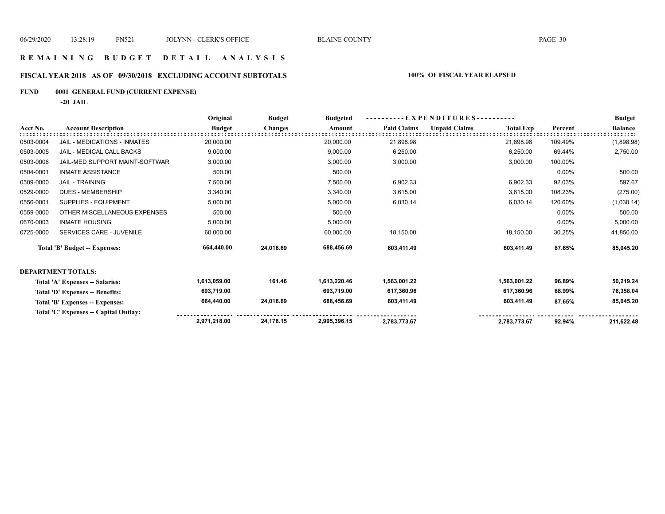## **R E M A I N I N G B U D G E T D E T A I L A N A L Y S I S**

## **FISCAL YEAR 2018 AS OF 09/30/2018 EXCLUDING ACCOUNT SUBTOTALS 100% OF FISCAL YEAR ELAPSED**

## **FUND 0001 GENERAL FUND (CURRENT EXPENSE)**

**-20 JAIL**

|           |                                       | Original      | <b>Budget</b>  | <b>Budgeted</b> | EXPENDITURES--     |                      |                  |         | <b>Budget</b>  |
|-----------|---------------------------------------|---------------|----------------|-----------------|--------------------|----------------------|------------------|---------|----------------|
| Acct No.  | <b>Account Description</b>            | <b>Budget</b> | <b>Changes</b> | Amount          | <b>Paid Claims</b> | <b>Unpaid Claims</b> | <b>Total Exp</b> | Percent | <b>Balance</b> |
| 0503-0004 | <b>JAIL - MEDICATIONS - INMATES</b>   | 20,000.00     |                | 20,000.00       | 21,898.98          |                      | 21,898.98        | 109.49% | (1,898.98)     |
| 0503-0005 | JAIL - MEDICAL CALL BACKS             | 9,000.00      |                | 9,000.00        | 6,250.00           |                      | 6,250.00         | 69.44%  | 2,750.00       |
| 0503-0006 | <b>JAIL-MED SUPPORT MAINT-SOFTWAR</b> | 3,000.00      |                | 3,000.00        | 3,000.00           |                      | 3,000.00         | 100.00% |                |
| 0504-0001 | <b>INMATE ASSISTANCE</b>              | 500.00        |                | 500.00          |                    |                      |                  | 0.00%   | 500.00         |
| 0509-0000 | <b>JAIL - TRAINING</b>                | 7,500.00      |                | 7,500.00        | 6,902.33           |                      | 6,902.33         | 92.03%  | 597.67         |
| 0529-0000 | <b>DUES - MEMBERSHIP</b>              | 3,340.00      |                | 3,340.00        | 3,615.00           |                      | 3,615.00         | 108.23% | (275.00)       |
| 0556-0001 | SUPPLIES - EQUIPMENT                  | 5,000.00      |                | 5,000.00        | 6,030.14           |                      | 6,030.14         | 120.60% | (1,030.14)     |
| 0559-0000 | OTHER MISCELLANEOUS EXPENSES          | 500.00        |                | 500.00          |                    |                      |                  | 0.00%   | 500.00         |
| 0670-0003 | <b>INMATE HOUSING</b>                 | 5,000.00      |                | 5,000.00        |                    |                      |                  | 0.00%   | 5,000.00       |
| 0725-0000 | SERVICES CARE - JUVENILE              | 60,000.00     |                | 60,000.00       | 18,150.00          |                      | 18,150.00        | 30.25%  | 41,850.00      |
|           | Total 'B' Budget -- Expenses:         | 664,440.00    | 24,016.69      | 688,456.69      | 603,411.49         |                      | 603,411.49       | 87.65%  | 85,045.20      |
|           | <b>DEPARTMENT TOTALS:</b>             |               |                |                 |                    |                      |                  |         |                |
|           | Total 'A' Expenses -- Salaries:       | 1,613,059.00  | 161.46         | 1,613,220.46    | 1,563,001.22       |                      | 1,563,001.22     | 96.89%  | 50,219.24      |
|           | Total 'D' Expenses -- Benefits:       | 693,719.00    |                | 693,719.00      | 617,360.96         |                      | 617,360.96       | 88.99%  | 76,358.04      |
|           | Total 'B' Expenses -- Expenses:       | 664,440.00    | 24,016.69      | 688,456.69      | 603,411.49         |                      | 603,411.49       | 87.65%  | 85,045.20      |
|           | Total 'C' Expenses -- Capital Outlay: |               |                |                 |                    |                      |                  |         |                |
|           |                                       | 2,971,218.00  | 24.178.15      | 2,995,396.15    | 2,783,773.67       |                      | 2,783,773.67     | 92.94%  | 211,622.48     |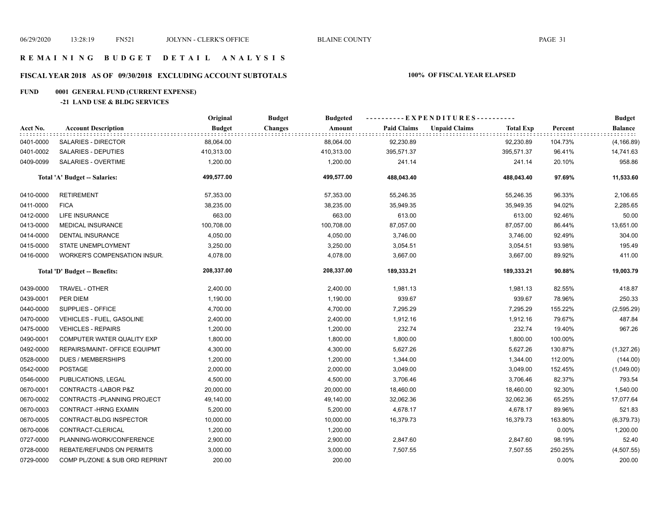## **FISCAL YEAR 2018 AS OF 09/30/2018 EXCLUDING ACCOUNT SUBTOTALS 100% OF FISCAL YEAR ELAPSED**

## **FUND 0001 GENERAL FUND (CURRENT EXPENSE)**

## **-21 LAND USE & BLDG SERVICES**

|           |                                  | Original      | <b>Budget</b><br><b>Budgeted</b> |                    | ----------EXPENDITURES---------- |                  |         | <b>Budget</b>                 |
|-----------|----------------------------------|---------------|----------------------------------|--------------------|----------------------------------|------------------|---------|-------------------------------|
| Acct No.  | <b>Account Description</b>       | <b>Budget</b> | Amount<br>Changes                | <b>Paid Claims</b> | <b>Unpaid Claims</b>             | <b>Total Exp</b> | Percent | <b>Balance</b><br>: : : : : : |
| 0401-0000 | SALARIES - DIRECTOR              | 88,064.00     | 88,064.00                        | 92,230.89          |                                  | 92,230.89        | 104.73% | (4, 166.89)                   |
| 0401-0002 | SALARIES - DEPUTIES              | 410,313.00    | 410,313.00                       | 395,571.37         |                                  | 395,571.37       | 96.41%  | 14,741.63                     |
| 0409-0099 | <b>SALARIES - OVERTIME</b>       | 1,200.00      | 1,200.00                         | 241.14             |                                  | 241.14           | 20.10%  | 958.86                        |
|           | Total 'A' Budget -- Salaries:    | 499,577.00    | 499,577.00                       | 488.043.40         |                                  | 488,043.40       | 97.69%  | 11,533.60                     |
| 0410-0000 | <b>RETIREMENT</b>                | 57,353.00     | 57,353.00                        | 55,246.35          |                                  | 55,246.35        | 96.33%  | 2,106.65                      |
| 0411-0000 | <b>FICA</b>                      | 38,235.00     | 38,235.00                        | 35,949.35          |                                  | 35,949.35        | 94.02%  | 2,285.65                      |
| 0412-0000 | <b>LIFE INSURANCE</b>            | 663.00        | 663.00                           | 613.00             |                                  | 613.00           | 92.46%  | 50.00                         |
| 0413-0000 | <b>MEDICAL INSURANCE</b>         | 100,708.00    | 100,708.00                       | 87,057.00          |                                  | 87,057.00        | 86.44%  | 13,651.00                     |
| 0414-0000 | <b>DENTAL INSURANCE</b>          | 4,050.00      | 4,050.00                         | 3,746.00           |                                  | 3,746.00         | 92.49%  | 304.00                        |
| 0415-0000 | STATE UNEMPLOYMENT               | 3,250.00      | 3,250.00                         | 3,054.51           |                                  | 3,054.51         | 93.98%  | 195.49                        |
| 0416-0000 | WORKER'S COMPENSATION INSUR.     | 4,078.00      | 4,078.00                         | 3,667.00           |                                  | 3,667.00         | 89.92%  | 411.00                        |
|           | Total 'D' Budget -- Benefits:    | 208,337.00    | 208,337.00                       | 189,333.21         |                                  | 189,333.21       | 90.88%  | 19,003.79                     |
| 0439-0000 | TRAVEL - OTHER                   | 2,400.00      | 2,400.00                         | 1,981.13           |                                  | 1,981.13         | 82.55%  | 418.87                        |
| 0439-0001 | PER DIEM                         | 1,190.00      | 1,190.00                         | 939.67             |                                  | 939.67           | 78.96%  | 250.33                        |
| 0440-0000 | SUPPLIES - OFFICE                | 4,700.00      | 4,700.00                         | 7,295.29           |                                  | 7,295.29         | 155.22% | (2,595.29)                    |
| 0470-0000 | VEHICLES - FUEL, GASOLINE        | 2,400.00      | 2,400.00                         | 1,912.16           |                                  | 1,912.16         | 79.67%  | 487.84                        |
| 0475-0000 | <b>VEHICLES - REPAIRS</b>        | 1,200.00      | 1,200.00                         | 232.74             |                                  | 232.74           | 19.40%  | 967.26                        |
| 0490-0001 | COMPUTER WATER QUALITY EXP       | 1,800.00      | 1,800.00                         | 1,800.00           |                                  | 1,800.00         | 100.00% |                               |
| 0492-0000 | REPAIRS/MAINT- OFFICE EQUIPMT    | 4,300.00      | 4,300.00                         | 5,627.26           |                                  | 5,627.26         | 130.87% | (1,327.26)                    |
| 0528-0000 | <b>DUES / MEMBERSHIPS</b>        | 1,200.00      | 1,200.00                         | 1,344.00           |                                  | 1,344.00         | 112.00% | (144.00)                      |
| 0542-0000 | <b>POSTAGE</b>                   | 2,000.00      | 2,000.00                         | 3,049.00           |                                  | 3,049.00         | 152.45% | (1,049.00)                    |
| 0546-0000 | PUBLICATIONS, LEGAL              | 4,500.00      | 4,500.00                         | 3,706.46           |                                  | 3,706.46         | 82.37%  | 793.54                        |
| 0670-0001 | CONTRACTS-LABOR P&Z              | 20,000.00     | 20,000.00                        | 18,460.00          |                                  | 18,460.00        | 92.30%  | 1,540.00                      |
| 0670-0002 | CONTRACTS - PLANNING PROJECT     | 49,140.00     | 49,140.00                        | 32,062.36          |                                  | 32,062.36        | 65.25%  | 17,077.64                     |
| 0670-0003 | <b>CONTRACT-HRNG EXAMIN</b>      | 5,200.00      | 5,200.00                         | 4,678.17           |                                  | 4,678.17         | 89.96%  | 521.83                        |
| 0670-0005 | CONTRACT-BLDG INSPECTOR          | 10,000.00     | 10,000.00                        | 16,379.73          |                                  | 16,379.73        | 163.80% | (6,379.73)                    |
| 0670-0006 | CONTRACT-CLERICAL                | 1,200.00      | 1,200.00                         |                    |                                  |                  | 0.00%   | 1,200.00                      |
| 0727-0000 | PLANNING-WORK/CONFERENCE         | 2,900.00      | 2,900.00                         | 2,847.60           |                                  | 2,847.60         | 98.19%  | 52.40                         |
| 0728-0000 | <b>REBATE/REFUNDS ON PERMITS</b> | 3,000.00      | 3,000.00                         | 7,507.55           |                                  | 7,507.55         | 250.25% | (4,507.55)                    |
| 0729-0000 | COMP PL/ZONE & SUB ORD REPRINT   | 200.00        | 200.00                           |                    |                                  |                  | 0.00%   | 200.00                        |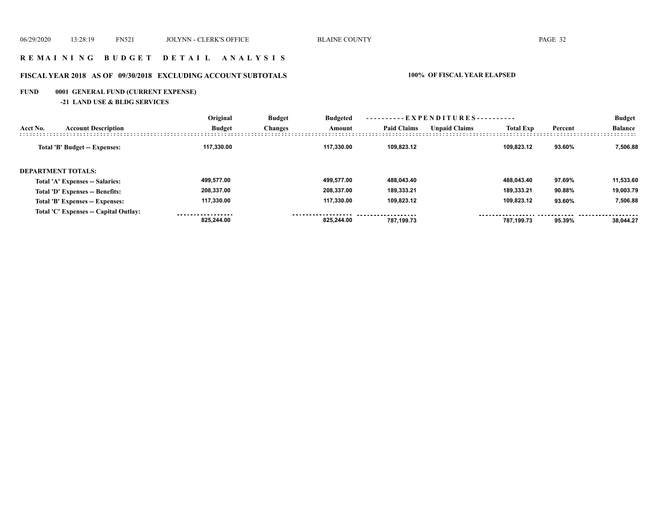## **R E M A I N I N G B U D G E T D E T A I L A N A L Y S I S**

## **FISCAL YEAR 2018 AS OF 09/30/2018 EXCLUDING ACCOUNT SUBTOTALS 100% OF FISCAL YEAR ELAPSED**

## **FUND 0001 GENERAL FUND (CURRENT EXPENSE)**

**-21 LAND USE & BLDG SERVICES**

|          |                                       | Original      | <b>Budget</b><br><b>Changes</b> | <b>Budgeted</b><br>Amount | ---------- EXPENDITURES---------- |                      |                  |         | <b>Budget</b>  |
|----------|---------------------------------------|---------------|---------------------------------|---------------------------|-----------------------------------|----------------------|------------------|---------|----------------|
| Acct No. | <b>Account Description</b>            | <b>Budget</b> |                                 |                           | <b>Paid Claims</b>                | <b>Unpaid Claims</b> | <b>Total Exp</b> | Percent | <b>Balance</b> |
|          | Total 'B' Budget -- Expenses:         | 117.330.00    |                                 | 117.330.00                | 109.823.12                        |                      | 109.823.12       | 93.60%  | 7,506.88       |
|          | <b>DEPARTMENT TOTALS:</b>             |               |                                 |                           |                                   |                      |                  |         |                |
|          | Total 'A' Expenses -- Salaries:       | 499.577.00    |                                 | 499.577.00                | 488,043.40                        |                      | 488.043.40       | 97.69%  | 11,533.60      |
|          | Total 'D' Expenses -- Benefits:       | 208,337.00    |                                 | 208,337.00                | 189,333.21                        |                      | 189.333.21       | 90.88%  | 19,003.79      |
|          | Total 'B' Expenses -- Expenses:       | 117.330.00    |                                 | 117.330.00                | 109.823.12                        |                      | 109.823.12       | 93.60%  | 7,506.88       |
|          | Total 'C' Expenses -- Capital Outlay: | 825.244.00    |                                 | 825.244.00                | 787.199.73                        |                      | 787.199.73       | 95.39%  | 38.044.27      |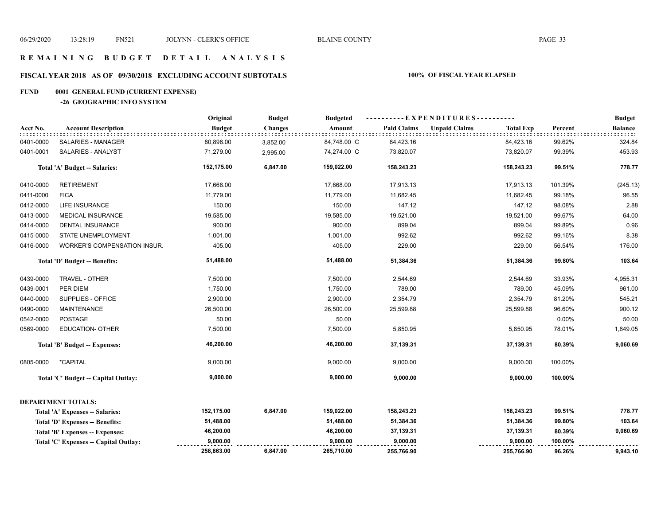## **R E M A I N I N G B U D G E T D E T A I L A N A L Y S I S**

## **FISCAL YEAR 2018 AS OF 09/30/2018 EXCLUDING ACCOUNT SUBTOTALS 100% OF FISCAL YEAR ELAPSED**

## **FUND 0001 GENERAL FUND (CURRENT EXPENSE)**

**-26 GEOGRAPHIC INFO SYSTEM**

|           |                                        | Original      | <b>Budget</b>  | <b>Budgeted</b> | ----------EXPENDITURES---------- |                                          |         | <b>Budget</b>  |
|-----------|----------------------------------------|---------------|----------------|-----------------|----------------------------------|------------------------------------------|---------|----------------|
| Acct No.  | <b>Account Description</b>             | <b>Budget</b> | <b>Changes</b> | Amount          | <b>Paid Claims</b>               | <b>Unpaid Claims</b><br><b>Total Exp</b> | Percent | <b>Balance</b> |
| 0401-0000 | SALARIES - MANAGER                     | 80,896.00     | 3,852.00       | 84,748.00 C     | 84,423.16                        | 84,423.16                                | 99.62%  | 324.84         |
| 0401-0001 | SALARIES - ANALYST                     | 71,279.00     | 2,995.00       | 74,274.00 C     | 73,820.07                        | 73,820.07                                | 99.39%  | 453.93         |
|           | Total 'A' Budget -- Salaries:          | 152,175.00    | 6,847.00       | 159,022.00      | 158,243.23                       | 158,243.23                               | 99.51%  | 778.77         |
| 0410-0000 | <b>RETIREMENT</b>                      | 17,668.00     |                | 17,668.00       | 17,913.13                        | 17,913.13                                | 101.39% | (245.13)       |
| 0411-0000 | <b>FICA</b>                            | 11,779.00     |                | 11,779.00       | 11,682.45                        | 11,682.45                                | 99.18%  | 96.55          |
| 0412-0000 | LIFE INSURANCE                         | 150.00        |                | 150.00          | 147.12                           | 147.12                                   | 98.08%  | 2.88           |
| 0413-0000 | MEDICAL INSURANCE                      | 19,585.00     |                | 19,585.00       | 19,521.00                        | 19,521.00                                | 99.67%  | 64.00          |
| 0414-0000 | <b>DENTAL INSURANCE</b>                | 900.00        |                | 900.00          | 899.04                           | 899.04                                   | 99.89%  | 0.96           |
| 0415-0000 | <b>STATE UNEMPLOYMENT</b>              | 1,001.00      |                | 1,001.00        | 992.62                           | 992.62                                   | 99.16%  | 8.38           |
| 0416-0000 | WORKER'S COMPENSATION INSUR.           | 405.00        |                | 405.00          | 229.00                           | 229.00                                   | 56.54%  | 176.00         |
|           | Total 'D' Budget -- Benefits:          | 51,488.00     |                | 51,488.00       | 51,384.36                        | 51,384.36                                | 99.80%  | 103.64         |
| 0439-0000 | TRAVEL - OTHER                         | 7,500.00      |                | 7,500.00        | 2,544.69                         | 2,544.69                                 | 33.93%  | 4,955.31       |
| 0439-0001 | PER DIEM                               | 1,750.00      |                | 1,750.00        | 789.00                           | 789.00                                   | 45.09%  | 961.00         |
| 0440-0000 | SUPPLIES - OFFICE                      | 2,900.00      |                | 2,900.00        | 2,354.79                         | 2,354.79                                 | 81.20%  | 545.21         |
| 0490-0000 | <b>MAINTENANCE</b>                     | 26,500.00     |                | 26,500.00       | 25,599.88                        | 25,599.88                                | 96.60%  | 900.12         |
| 0542-0000 | POSTAGE                                | 50.00         |                | 50.00           |                                  |                                          | 0.00%   | 50.00          |
| 0569-0000 | <b>EDUCATION- OTHER</b>                | 7,500.00      |                | 7,500.00        | 5,850.95                         | 5,850.95                                 | 78.01%  | 1,649.05       |
|           | Total 'B' Budget -- Expenses:          | 46,200.00     |                | 46,200.00       | 37,139.31                        | 37,139.31                                | 80.39%  | 9,060.69       |
| 0805-0000 | *CAPITAL                               | 9,000.00      |                | 9,000.00        | 9,000.00                         | 9,000.00                                 | 100.00% |                |
|           | Total 'C' Budget -- Capital Outlay:    | 9,000.00      |                | 9,000.00        | 9,000.00                         | 9,000.00                                 | 100.00% |                |
|           | <b>DEPARTMENT TOTALS:</b>              |               |                |                 |                                  |                                          |         |                |
|           | Total 'A' Expenses -- Salaries:        | 152,175.00    | 6,847.00       | 159,022.00      | 158,243.23                       | 158,243.23                               | 99.51%  | 778.77         |
|           | <b>Total 'D' Expenses -- Benefits:</b> | 51,488.00     |                | 51,488.00       | 51,384.36                        | 51,384.36                                | 99.80%  | 103.64         |
|           | Total 'B' Expenses -- Expenses:        | 46,200.00     |                | 46,200.00       | 37,139.31                        | 37,139.31                                | 80.39%  | 9,060.69       |
|           | Total 'C' Expenses - Capital Outlay:   | 9,000.00      |                | 9,000.00        | 9,000.00                         | 9,000.00                                 | 100.00% |                |
|           |                                        | 258,863.00    | 6,847.00       | 265,710.00      | 255,766.90                       | 255,766.90                               | 96.26%  | 9,943.10       |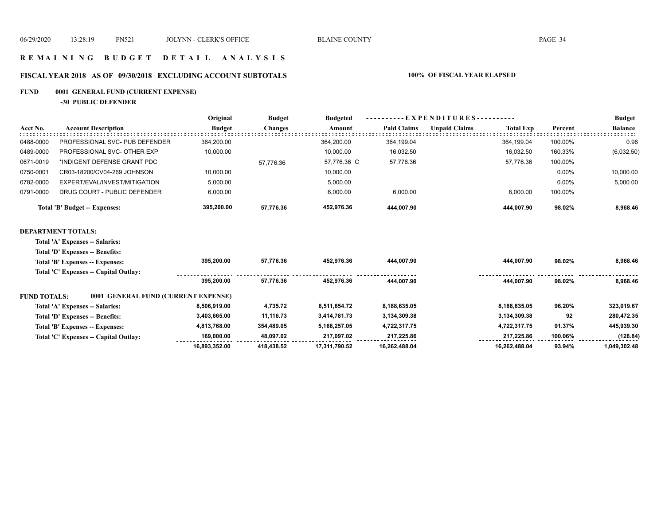## **R E M A I N I N G B U D G E T D E T A I L A N A L Y S I S**

## **FISCAL YEAR 2018 AS OF 09/30/2018 EXCLUDING ACCOUNT SUBTOTALS 100% OF FISCAL YEAR ELAPSED**

## **FUND 0001 GENERAL FUND (CURRENT EXPENSE)**

**-30 PUBLIC DEFENDER**

|           |                                | Original      | <b>Budget</b>  | <b>Budgeted</b> | EXPENDITURES---------- |                      |                  |          | <b>Budget</b>  |  |
|-----------|--------------------------------|---------------|----------------|-----------------|------------------------|----------------------|------------------|----------|----------------|--|
| Acct No.  | <b>Account Description</b>     | <b>Budget</b> | <b>Changes</b> | Amount          | <b>Paid Claims</b>     | <b>Unpaid Claims</b> | <b>Total Exp</b> | Percent  | <b>Balance</b> |  |
| 0488-0000 | PROFESSIONAL SVC- PUB DEFENDER | 364.200.00    |                | 364.200.00      | 364,199.04             |                      | 364.199.04       | 100.00%  | 0.96           |  |
| 0489-0000 | PROFESSIONAL SVC- OTHER EXP    | 10,000.00     |                | 10.000.00       | 16,032.50              |                      | 16.032.50        | 160.33%  | (6,032.50)     |  |
| 0671-0019 | *INDIGENT DEFENSE GRANT PDC    |               | 57.776.36      | 57,776.36 C     | 57,776.36              |                      | 57,776.36        | 100.00%  |                |  |
| 0750-0001 | CR03-18200/CV04-269 JOHNSON    | 10,000.00     |                | 10,000.00       |                        |                      |                  | $0.00\%$ | 10,000.00      |  |
| 0782-0000 | EXPERT/EVAL/INVEST/MITIGATION  | 5.000.00      |                | 5,000.00        |                        |                      |                  | $0.00\%$ | 5,000.00       |  |
| 0791-0000 | DRUG COURT - PUBLIC DEFENDER   | 6.000.00      |                | 6.000.00        | 6.000.00               |                      | 6.000.00         | 100.00%  |                |  |
|           | Total 'B' Budget -- Expenses:  | 395,200.00    | 57.776.36      | 452,976.36      | 444,007.90             |                      | 444,007.90       | 98.02%   | 8,968.46       |  |
|           |                                |               |                |                 |                        |                      |                  |          |                |  |

### **DEPARTMENT TOTALS:**

**Total 'A' Expenses -- Salaries:**

| Total 'D' Expenses -- Benefits:                            |               |            |               |               |               |         |              |
|------------------------------------------------------------|---------------|------------|---------------|---------------|---------------|---------|--------------|
| Total 'B' Expenses -- Expenses:                            | 395.200.00    | 57.776.36  | 452.976.36    | 444.007.90    | 444.007.90    | 98.02%  | 8,968.46     |
| Total 'C' Expenses -- Capital Outlay:                      |               |            |               |               |               |         |              |
|                                                            | 395.200.00    | 57.776.36  | 452.976.36    | 444.007.90    | 444.007.90    | 98.02%  | 8.968.46     |
| 0001 GENERAL FUND (CURRENT EXPENSE)<br><b>FUND TOTALS:</b> |               |            |               |               |               |         |              |
| Total 'A' Expenses -- Salaries:                            | 8.506.919.00  | 4.735.72   | 8.511.654.72  | 8.188.635.05  | 8.188.635.05  | 96.20%  | 323,019.67   |
| Total 'D' Expenses -- Benefits:                            | 3,403,665.00  | 11,116.73  | 3,414,781.73  | 3,134,309.38  | 3,134,309.38  | 92      | 280,472.35   |
| Total 'B' Expenses -- Expenses:                            | 4,813,768.00  | 354,489.05 | 5.168.257.05  | 4.722.317.75  | 4.722.317.75  | 91.37%  | 445,939.30   |
| Total 'C' Expenses -- Capital Outlay:                      | 169.000.00    | 48.097.02  | 217.097.02    | 217.225.86    | 217.225.86    | 100.06% | (128.84)     |
|                                                            | 16,893,352.00 | 418.438.52 | 17.311.790.52 | 16.262.488.04 | 16.262.488.04 | 93.94%  | 1.049.302.48 |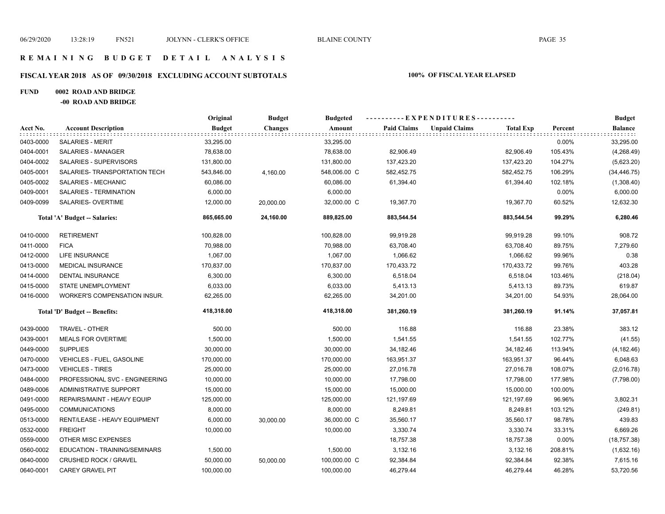## **FISCAL YEAR 2018 AS OF 09/30/2018 EXCLUDING ACCOUNT SUBTOTALS 100% OF FISCAL YEAR ELAPSED**

### **FUND 0002 ROAD AND BRIDGE**

**-00 ROAD AND BRIDGE**

|           | <b>Account Description</b>          | Original      | <b>Budget</b><br><b>Changes</b> | <b>Budgeted</b> | ----------EXPENDITURES---------- |                      |                  |         | <b>Budget</b>  |
|-----------|-------------------------------------|---------------|---------------------------------|-----------------|----------------------------------|----------------------|------------------|---------|----------------|
| Acct No.  |                                     | <b>Budget</b> |                                 | Amount          | <b>Paid Claims</b>               | <b>Unpaid Claims</b> | <b>Total Exp</b> | Percent | <b>Balance</b> |
| 0403-0000 | <b>SALARIES - MERIT</b>             | 33,295.00     |                                 | 33,295.00       |                                  |                      |                  | 0.00%   | 33,295.00      |
| 0404-0001 | SALARIES - MANAGER                  | 78,638.00     |                                 | 78,638.00       | 82,906.49                        |                      | 82,906.49        | 105.43% | (4,268.49)     |
| 0404-0002 | SALARIES - SUPERVISORS              | 131,800.00    |                                 | 131,800.00      | 137,423.20                       |                      | 137,423.20       | 104.27% | (5,623.20)     |
| 0405-0001 | SALARIES- TRANSPORTATION TECH       | 543,846.00    | 4,160.00                        | 548,006.00 C    | 582,452.75                       |                      | 582,452.75       | 106.29% | (34, 446.75)   |
| 0405-0002 | SALARIES - MECHANIC                 | 60,086.00     |                                 | 60,086.00       | 61,394.40                        |                      | 61,394.40        | 102.18% | (1,308.40)     |
| 0409-0001 | SALARIES - TERMINATION              | 6,000.00      |                                 | 6,000.00        |                                  |                      |                  | 0.00%   | 6,000.00       |
| 0409-0099 | SALARIES- OVERTIME                  | 12,000.00     | 20,000.00                       | 32,000.00 C     | 19,367.70                        |                      | 19,367.70        | 60.52%  | 12,632.30      |
|           | Total 'A' Budget -- Salaries:       | 865,665.00    | 24,160.00                       | 889,825.00      | 883,544.54                       |                      | 883,544.54       | 99.29%  | 6,280.46       |
| 0410-0000 | <b>RETIREMENT</b>                   | 100,828.00    |                                 | 100,828.00      | 99,919.28                        |                      | 99,919.28        | 99.10%  | 908.72         |
| 0411-0000 | <b>FICA</b>                         | 70,988.00     |                                 | 70,988.00       | 63,708.40                        |                      | 63,708.40        | 89.75%  | 7,279.60       |
| 0412-0000 | <b>LIFE INSURANCE</b>               | 1,067.00      |                                 | 1,067.00        | 1,066.62                         |                      | 1,066.62         | 99.96%  | 0.38           |
| 0413-0000 | <b>MEDICAL INSURANCE</b>            | 170,837.00    |                                 | 170,837.00      | 170,433.72                       |                      | 170,433.72       | 99.76%  | 403.28         |
| 0414-0000 | DENTAL INSURANCE                    | 6,300.00      |                                 | 6,300.00        | 6,518.04                         |                      | 6,518.04         | 103.46% | (218.04)       |
| 0415-0000 | STATE UNEMPLOYMENT                  | 6,033.00      |                                 | 6,033.00        | 5,413.13                         |                      | 5,413.13         | 89.73%  | 619.87         |
| 0416-0000 | <b>WORKER'S COMPENSATION INSUR.</b> | 62,265.00     |                                 | 62,265.00       | 34,201.00                        |                      | 34,201.00        | 54.93%  | 28,064.00      |
|           | Total 'D' Budget -- Benefits:       | 418,318.00    |                                 | 418,318.00      | 381,260.19                       |                      | 381,260.19       | 91.14%  | 37,057.81      |
| 0439-0000 | TRAVEL - OTHER                      | 500.00        |                                 | 500.00          | 116.88                           |                      | 116.88           | 23.38%  | 383.12         |
| 0439-0001 | <b>MEALS FOR OVERTIME</b>           | 1,500.00      |                                 | 1,500.00        | 1,541.55                         |                      | 1,541.55         | 102.77% | (41.55)        |
| 0449-0000 | <b>SUPPLIES</b>                     | 30,000.00     |                                 | 30,000.00       | 34,182.46                        |                      | 34,182.46        | 113.94% | (4, 182.46)    |
| 0470-0000 | VEHICLES - FUEL, GASOLINE           | 170,000.00    |                                 | 170,000.00      | 163,951.37                       |                      | 163,951.37       | 96.44%  | 6,048.63       |
| 0473-0000 | <b>VEHICLES - TIRES</b>             | 25,000.00     |                                 | 25,000.00       | 27,016.78                        |                      | 27,016.78        | 108.07% | (2,016.78)     |
| 0484-0000 | PROFESSIONAL SVC - ENGINEERING      | 10,000.00     |                                 | 10,000.00       | 17,798.00                        |                      | 17,798.00        | 177.98% | (7,798.00)     |
| 0489-0006 | ADMINISTRATIVE SUPPORT              | 15,000.00     |                                 | 15,000.00       | 15,000.00                        |                      | 15,000.00        | 100.00% |                |
| 0491-0000 | REPAIRS/MAINT - HEAVY EQUIP         | 125,000.00    |                                 | 125,000.00      | 121,197.69                       |                      | 121,197.69       | 96.96%  | 3,802.31       |
| 0495-0000 | <b>COMMUNICATIONS</b>               | 8,000.00      |                                 | 8,000.00        | 8,249.81                         |                      | 8,249.81         | 103.12% | (249.81)       |
| 0513-0000 | RENT/LEASE - HEAVY EQUIPMENT        | 6,000.00      | 30,000.00                       | 36,000.00 C     | 35,560.17                        |                      | 35,560.17        | 98.78%  | 439.83         |
| 0532-0000 | <b>FREIGHT</b>                      | 10,000.00     |                                 | 10,000.00       | 3,330.74                         |                      | 3,330.74         | 33.31%  | 6,669.26       |
| 0559-0000 | OTHER MISC EXPENSES                 |               |                                 |                 | 18,757.38                        |                      | 18,757.38        | 0.00%   | (18, 757.38)   |
| 0560-0002 | EDUCATION - TRAINING/SEMINARS       | 1,500.00      |                                 | 1,500.00        | 3,132.16                         |                      | 3,132.16         | 208.81% | (1,632.16)     |
| 0640-0000 | <b>CRUSHED ROCK / GRAVEL</b>        | 50,000.00     | 50,000.00                       | 100,000.00 C    | 92,384.84                        |                      | 92,384.84        | 92.38%  | 7,615.16       |
| 0640-0001 | <b>CAREY GRAVEL PIT</b>             | 100,000.00    |                                 | 100,000.00      | 46,279.44                        |                      | 46,279.44        | 46.28%  | 53,720.56      |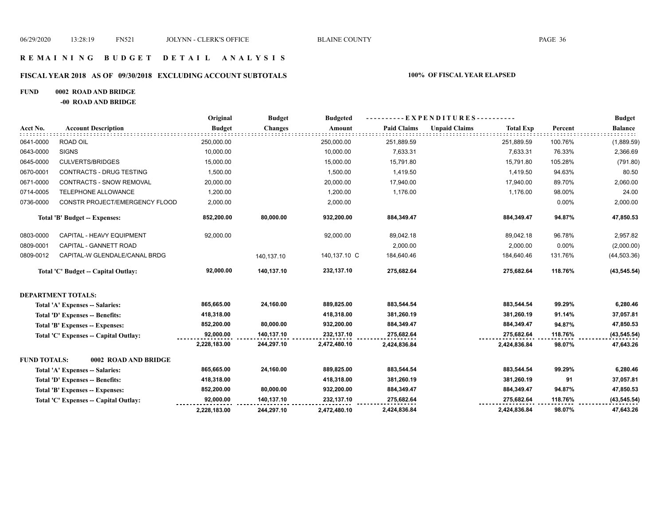## **R E M A I N I N G B U D G E T D E T A I L A N A L Y S I S**

## **FISCAL YEAR 2018 AS OF 09/30/2018 EXCLUDING ACCOUNT SUBTOTALS 100% OF FISCAL YEAR ELAPSED**

## **FUND 0002 ROAD AND BRIDGE**

**-00 ROAD AND BRIDGE**

|                     |                                       | Original      | <b>Budget</b>  | <b>Budgeted</b> |                    | ----------EXPENDITURES---------- |                  |         | <b>Budget</b>  |
|---------------------|---------------------------------------|---------------|----------------|-----------------|--------------------|----------------------------------|------------------|---------|----------------|
| Acct No.            | <b>Account Description</b>            | <b>Budget</b> | <b>Changes</b> | Amount          | <b>Paid Claims</b> | <b>Unpaid Claims</b>             | <b>Total Exp</b> | Percent | <b>Balance</b> |
| 0641-0000           | ROAD OIL                              | 250,000.00    |                | 250,000.00      | 251,889.59         |                                  | 251,889.59       | 100.76% | (1,889.59)     |
| 0643-0000           | <b>SIGNS</b>                          | 10,000.00     |                | 10,000.00       | 7,633.31           |                                  | 7,633.31         | 76.33%  | 2,366.69       |
| 0645-0000           | <b>CULVERTS/BRIDGES</b>               | 15,000.00     |                | 15,000.00       | 15,791.80          |                                  | 15,791.80        | 105.28% | (791.80)       |
| 0670-0001           | CONTRACTS - DRUG TESTING              | 1,500.00      |                | 1,500.00        | 1,419.50           |                                  | 1,419.50         | 94.63%  | 80.50          |
| 0671-0000           | CONTRACTS - SNOW REMOVAL              | 20,000.00     |                | 20,000.00       | 17,940.00          |                                  | 17,940.00        | 89.70%  | 2,060.00       |
| 0714-0005           | TELEPHONE ALLOWANCE                   | 1,200.00      |                | 1,200.00        | 1,176.00           |                                  | 1,176.00         | 98.00%  | 24.00          |
| 0736-0000           | CONSTR PROJECT/EMERGENCY FLOOD        | 2,000.00      |                | 2,000.00        |                    |                                  |                  | 0.00%   | 2,000.00       |
|                     | Total 'B' Budget -- Expenses:         | 852,200.00    | 80,000.00      | 932,200.00      | 884,349.47         |                                  | 884,349.47       | 94.87%  | 47,850.53      |
| 0803-0000           | CAPITAL - HEAVY EQUIPMENT             | 92,000.00     |                | 92,000.00       | 89,042.18          |                                  | 89,042.18        | 96.78%  | 2,957.82       |
| 0809-0001           | CAPITAL - GANNETT ROAD                |               |                |                 | 2,000.00           |                                  | 2,000.00         | 0.00%   | (2,000.00)     |
| 0809-0012           | CAPITAL-W GLENDALE/CANAL BRDG         |               | 140,137.10     | 140,137.10 C    | 184,640.46         |                                  | 184,640.46       | 131.76% | (44, 503.36)   |
|                     | Total 'C' Budget -- Capital Outlay:   | 92,000.00     | 140,137.10     | 232,137.10      | 275,682.64         |                                  | 275,682.64       | 118.76% | (43, 545.54)   |
|                     | <b>DEPARTMENT TOTALS:</b>             |               |                |                 |                    |                                  |                  |         |                |
|                     | Total 'A' Expenses -- Salaries:       | 865,665.00    | 24,160.00      | 889,825.00      | 883,544.54         |                                  | 883,544.54       | 99.29%  | 6,280.46       |
|                     | Total 'D' Expenses -- Benefits:       | 418,318.00    |                | 418,318.00      | 381,260.19         |                                  | 381,260.19       | 91.14%  | 37,057.81      |
|                     | Total 'B' Expenses -- Expenses:       | 852,200.00    | 80,000.00      | 932,200.00      | 884,349.47         |                                  | 884,349.47       | 94.87%  | 47,850.53      |
|                     | Total 'C' Expenses -- Capital Outlay: | 92,000.00     | 140,137.10     | 232,137.10      | 275,682.64         |                                  | 275,682.64       | 118.76% | (43, 545.54)   |
|                     |                                       | 2,228,183.00  | 244,297.10     | 2,472,480.10    | 2,424,836.84       |                                  | 2,424,836.84     | 98.07%  | 47,643.26      |
| <b>FUND TOTALS:</b> | 0002 ROAD AND BRIDGE                  |               |                |                 |                    |                                  |                  |         |                |
|                     | Total 'A' Expenses -- Salaries:       | 865,665.00    | 24,160.00      | 889,825.00      | 883,544.54         |                                  | 883,544.54       | 99.29%  | 6,280.46       |
|                     | Total 'D' Expenses -- Benefits:       | 418,318.00    |                | 418,318.00      | 381,260.19         |                                  | 381,260.19       | 91      | 37,057.81      |
|                     | Total 'B' Expenses -- Expenses:       | 852,200.00    | 80,000.00      | 932,200.00      | 884,349.47         |                                  | 884,349.47       | 94.87%  | 47,850.53      |
|                     | Total 'C' Expenses -- Capital Outlay: | 92,000.00     | 140,137.10     | 232,137.10      | 275,682.64         |                                  | 275,682.64       | 118.76% | (43, 545.54)   |
|                     |                                       | 2,228,183.00  | 244,297.10     | 2,472,480.10    | 2,424,836.84       |                                  | 2,424,836.84     | 98.07%  | 47,643.26      |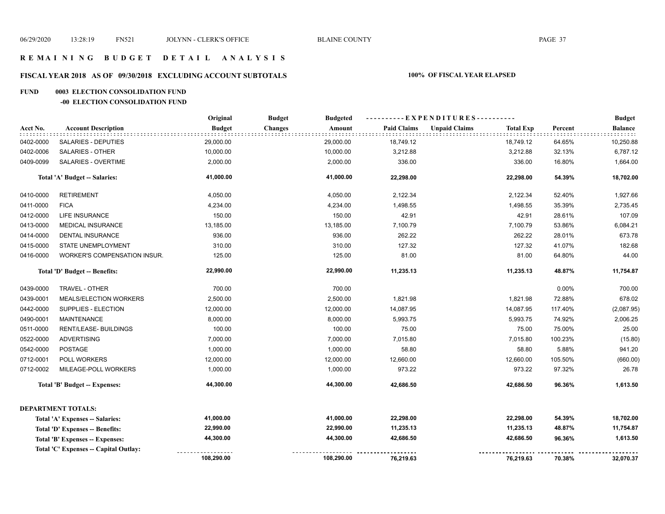## **FISCAL YEAR 2018 AS OF 09/30/2018 EXCLUDING ACCOUNT SUBTOTALS 100% OF FISCAL YEAR ELAPSED**

#### **FUND 0003 ELECTION CONSOLIDATION FUND**

#### **-00 ELECTION CONSOLIDATION FUND**

|           |                                       | Original      | <b>Budget</b><br><b>Budgeted</b> |                    | ----------EXPENDITURES----------         |         | <b>Budget</b>       |
|-----------|---------------------------------------|---------------|----------------------------------|--------------------|------------------------------------------|---------|---------------------|
| Acct No.  | <b>Account Description</b>            | <b>Budget</b> | <b>Changes</b><br>Amount         | <b>Paid Claims</b> | <b>Unpaid Claims</b><br><b>Total Exp</b> | Percent | <b>Balance</b><br>. |
| 0402-0000 | SALARIES - DEPUTIES                   | 29,000.00     | 29,000.00                        | 18,749.12          | 18,749.12                                | 64.65%  | 10,250.88           |
| 0402-0006 | <b>SALARIES - OTHER</b>               | 10,000.00     | 10,000.00                        | 3,212.88           | 3,212.88                                 | 32.13%  | 6,787.12            |
| 0409-0099 | <b>SALARIES - OVERTIME</b>            | 2,000.00      | 2,000.00                         | 336.00             | 336.00                                   | 16.80%  | 1,664.00            |
|           | Total 'A' Budget -- Salaries:         | 41,000.00     | 41,000.00                        | 22,298.00          | 22,298.00                                | 54.39%  | 18,702.00           |
| 0410-0000 | <b>RETIREMENT</b>                     | 4,050.00      | 4,050.00                         | 2,122.34           | 2,122.34                                 | 52.40%  | 1,927.66            |
| 0411-0000 | <b>FICA</b>                           | 4,234.00      | 4,234.00                         | 1,498.55           | 1,498.55                                 | 35.39%  | 2,735.45            |
| 0412-0000 | <b>LIFE INSURANCE</b>                 | 150.00        | 150.00                           | 42.91              | 42.91                                    | 28.61%  | 107.09              |
| 0413-0000 | <b>MEDICAL INSURANCE</b>              | 13,185.00     | 13,185.00                        | 7,100.79           | 7,100.79                                 | 53.86%  | 6,084.21            |
| 0414-0000 | DENTAL INSURANCE                      | 936.00        | 936.00                           | 262.22             | 262.22                                   | 28.01%  | 673.78              |
| 0415-0000 | STATE UNEMPLOYMENT                    | 310.00        | 310.00                           | 127.32             | 127.32                                   | 41.07%  | 182.68              |
| 0416-0000 | WORKER'S COMPENSATION INSUR.          | 125.00        | 125.00                           | 81.00              | 81.00                                    | 64.80%  | 44.00               |
|           | Total 'D' Budget -- Benefits:         | 22,990.00     | 22,990.00                        | 11,235.13          | 11,235.13                                | 48.87%  | 11,754.87           |
| 0439-0000 | TRAVEL - OTHER                        | 700.00        | 700.00                           |                    |                                          | 0.00%   | 700.00              |
| 0439-0001 | MEALS/ELECTION WORKERS                | 2,500.00      | 2,500.00                         | 1,821.98           | 1,821.98                                 | 72.88%  | 678.02              |
| 0442-0000 | SUPPLIES - ELECTION                   | 12,000.00     | 12,000.00                        | 14,087.95          | 14,087.95                                | 117.40% | (2,087.95)          |
| 0490-0001 | <b>MAINTENANCE</b>                    | 8,000.00      | 8,000.00                         | 5,993.75           | 5,993.75                                 | 74.92%  | 2,006.25            |
| 0511-0000 | RENT/LEASE- BUILDINGS                 | 100.00        | 100.00                           | 75.00              | 75.00                                    | 75.00%  | 25.00               |
| 0522-0000 | <b>ADVERTISING</b>                    | 7,000.00      | 7,000.00                         | 7,015.80           | 7,015.80                                 | 100.23% | (15.80)             |
| 0542-0000 | <b>POSTAGE</b>                        | 1,000.00      | 1,000.00                         | 58.80              | 58.80                                    | 5.88%   | 941.20              |
| 0712-0001 | POLL WORKERS                          | 12,000.00     | 12,000.00                        | 12,660.00          | 12,660.00                                | 105.50% | (660.00)            |
| 0712-0002 | MILEAGE-POLL WORKERS                  | 1,000.00      | 1,000.00                         | 973.22             | 973.22                                   | 97.32%  | 26.78               |
|           | Total 'B' Budget -- Expenses:         | 44,300.00     | 44,300.00                        | 42,686.50          | 42,686.50                                | 96.36%  | 1,613.50            |
|           | <b>DEPARTMENT TOTALS:</b>             |               |                                  |                    |                                          |         |                     |
|           | Total 'A' Expenses -- Salaries:       | 41,000.00     | 41,000.00                        | 22,298.00          | 22,298.00                                | 54.39%  | 18,702.00           |
|           | Total 'D' Expenses -- Benefits:       | 22,990.00     | 22,990.00                        | 11,235.13          | 11,235.13                                | 48.87%  | 11,754.87           |
|           | Total 'B' Expenses -- Expenses:       | 44,300.00     | 44,300.00                        | 42,686.50          | 42,686.50                                | 96.36%  | 1,613.50            |
|           | Total 'C' Expenses -- Capital Outlay: |               |                                  |                    |                                          |         |                     |
|           |                                       | 108,290.00    | 108,290.00                       | 76,219.63          | 76,219.63                                | 70.38%  | 32,070.37           |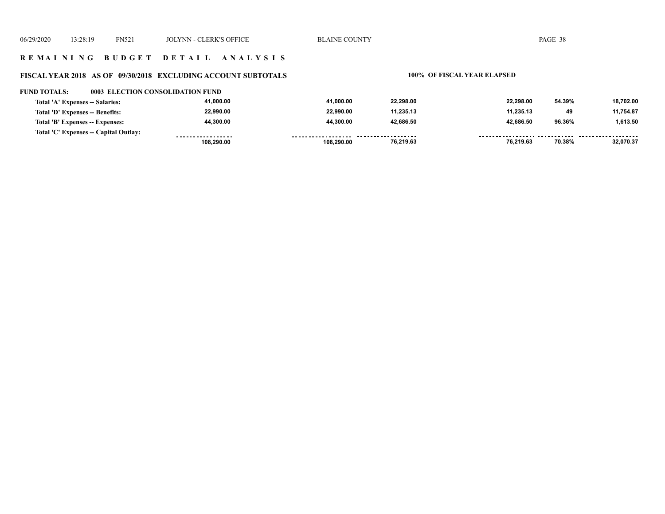## **R E M A I N I N G B U D G E T D E T A I L A N A L Y S I S**

# **FISCAL YEAR 2018 AS OF 09/30/2018 EXCLUDING ACCOUNT SUBTOTALS 100% OF FISCAL YEAR ELAPSED**

#### **FUND TOTALS: 0003 ELECTION CONSOLIDATION FUND**

| Total 'A' Expenses -- Salaries:       | 41.000.00         | 41.000.00          | 22.298.00          | 22.298.00 | 54.39% | 18.702.00 |
|---------------------------------------|-------------------|--------------------|--------------------|-----------|--------|-----------|
| Total 'D' Expenses -- Benefits:       | 22.990.00         | 22.990.00          | 11,235.13          | 11.235.13 | 49     | 11.754.87 |
| Total 'B' Expenses -- Expenses:       | 44.300.00         | 44.300.00          | 42.686.50          | 42.686.50 | 96.36% | 1.613.50  |
| Total 'C' Expenses -- Capital Outlay: | ----------------- | ------------------ | ------------------ |           |        |           |
|                                       | 108.290.00        | 108.290.00         | 76,219.63          | 76,219.63 | 70.38% | 32.070.37 |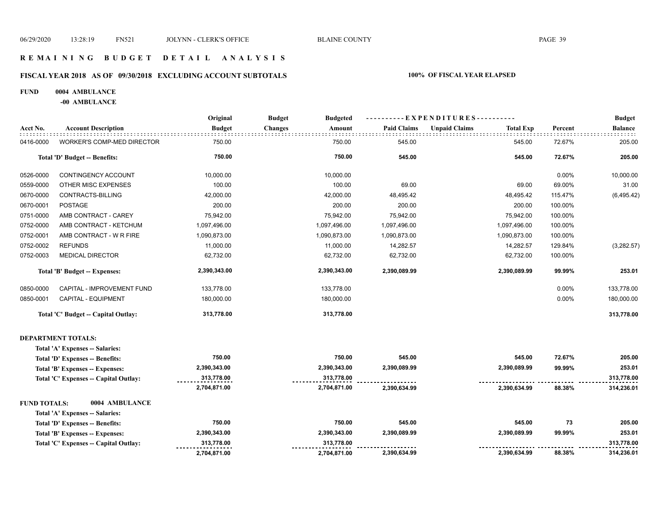## **R E M A I N I N G B U D G E T D E T A I L A N A L Y S I S**

## **FISCAL YEAR 2018 AS OF 09/30/2018 EXCLUDING ACCOUNT SUBTOTALS 100% OF FISCAL YEAR ELAPSED**

#### **FUND 0004 AMBULANCE**

**-00 AMBULANCE**

|                     |                                      | Original      | <b>Budget</b><br><b>Budgeted</b> |                    | ----------EXPENDITURES----------         |         | <b>Budget</b>  |
|---------------------|--------------------------------------|---------------|----------------------------------|--------------------|------------------------------------------|---------|----------------|
| Acct No.            | <b>Account Description</b>           | <b>Budget</b> | <b>Changes</b><br>Amount         | <b>Paid Claims</b> | <b>Unpaid Claims</b><br><b>Total Exp</b> | Percent | <b>Balance</b> |
| 0416-0000           | WORKER'S COMP-MED DIRECTOR           | 750.00        | 750.00                           | 545.00             | 545.00                                   | 72.67%  | 205.00         |
|                     | Total 'D' Budget -- Benefits:        | 750.00        | 750.00                           | 545.00             | 545.00                                   | 72.67%  | 205.00         |
| 0526-0000           | CONTINGENCY ACCOUNT                  | 10,000.00     | 10,000.00                        |                    |                                          | 0.00%   | 10,000.00      |
| 0559-0000           | OTHER MISC EXPENSES                  | 100.00        | 100.00                           | 69.00              | 69.00                                    | 69.00%  | 31.00          |
| 0670-0000           | CONTRACTS-BILLING                    | 42,000.00     | 42,000.00                        | 48,495.42          | 48,495.42                                | 115.47% | (6, 495.42)    |
| 0670-0001           | <b>POSTAGE</b>                       | 200.00        | 200.00                           | 200.00             | 200.00                                   | 100.00% |                |
| 0751-0000           | AMB CONTRACT - CAREY                 | 75,942.00     | 75,942.00                        | 75,942.00          | 75,942.00                                | 100.00% |                |
| 0752-0000           | AMB CONTRACT - KETCHUM               | 1,097,496.00  | 1,097,496.00                     | 1,097,496.00       | 1,097,496.00                             | 100.00% |                |
| 0752-0001           | AMB CONTRACT - W R FIRE              | 1,090,873.00  | 1,090,873.00                     | 1,090,873.00       | 1,090,873.00                             | 100.00% |                |
| 0752-0002           | <b>REFUNDS</b>                       | 11,000.00     | 11,000.00                        | 14,282.57          | 14,282.57                                | 129.84% | (3,282.57)     |
| 0752-0003           | <b>MEDICAL DIRECTOR</b>              | 62,732.00     | 62,732.00                        | 62,732.00          | 62,732.00                                | 100.00% |                |
|                     | Total 'B' Budget -- Expenses:        | 2,390,343.00  | 2,390,343.00                     | 2,390,089.99       | 2,390,089.99                             | 99.99%  | 253.01         |
| 0850-0000           | CAPITAL - IMPROVEMENT FUND           | 133,778.00    | 133,778.00                       |                    |                                          | 0.00%   | 133,778.00     |
| 0850-0001           | CAPITAL - EQUIPMENT                  | 180,000.00    | 180,000.00                       |                    |                                          | 0.00%   | 180,000.00     |
|                     | Total 'C' Budget -- Capital Outlay:  | 313,778.00    | 313,778.00                       |                    |                                          |         | 313,778.00     |
|                     | <b>DEPARTMENT TOTALS:</b>            |               |                                  |                    |                                          |         |                |
|                     | Total 'A' Expenses -- Salaries:      |               |                                  |                    |                                          |         |                |
|                     | Total 'D' Expenses -- Benefits:      | 750.00        | 750.00                           | 545.00             | 545.00                                   | 72.67%  | 205.00         |
|                     | Total 'B' Expenses -- Expenses:      | 2,390,343.00  | 2,390,343.00                     | 2,390,089.99       | 2,390,089.99                             | 99.99%  | 253.01         |
|                     | Total 'C' Expenses - Capital Outlay: | 313,778.00    | 313,778.00                       |                    |                                          |         | 313,778.00     |
|                     |                                      | 2,704,871.00  | 2,704,871.00                     | 2,390,634.99       | 2,390,634.99                             | 88.38%  | 314,236.01     |
| <b>FUND TOTALS:</b> | 0004 AMBULANCE                       |               |                                  |                    |                                          |         |                |
|                     | Total 'A' Expenses -- Salaries:      |               |                                  |                    |                                          |         |                |
|                     | Total 'D' Expenses -- Benefits:      | 750.00        | 750.00                           | 545.00             | 545.00                                   | 73      | 205.00         |
|                     | Total 'B' Expenses -- Expenses:      | 2,390,343.00  | 2,390,343.00                     | 2,390,089.99       | 2,390,089.99                             | 99.99%  | 253.01         |
|                     | Total 'C' Expenses - Capital Outlay: | 313,778.00    | 313,778.00                       |                    |                                          |         | 313,778.00     |
|                     |                                      | 2,704,871.00  | 2,704,871.00                     | 2,390,634.99       | 2,390,634.99                             | 88.38%  | 314,236.01     |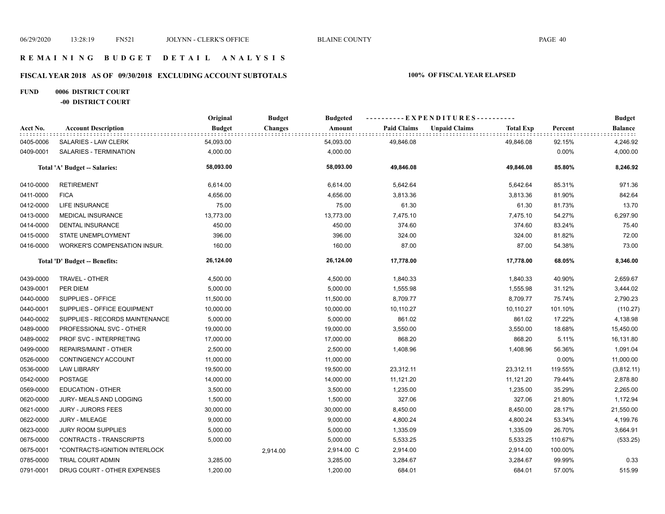# **FISCAL YEAR 2018 AS OF 09/30/2018 EXCLUDING ACCOUNT SUBTOTALS 100% OF FISCAL YEAR ELAPSED**

## **FUND 0006 DISTRICT COURT -00 DISTRICT COURT**

|           |                                     | Original      | <b>Budget</b>  | <b>Budgeted</b> |                    |                      |                  |         | <b>Budget</b>  |
|-----------|-------------------------------------|---------------|----------------|-----------------|--------------------|----------------------|------------------|---------|----------------|
| Acct No.  | <b>Account Description</b>          | <b>Budget</b> | <b>Changes</b> | Amount          | <b>Paid Claims</b> | <b>Unpaid Claims</b> | <b>Total Exp</b> | Percent | <b>Balance</b> |
| 0405-0006 | <b>SALARIES - LAW CLERK</b>         | 54,093.00     |                | 54,093.00       | 49,846.08          |                      | 49,846.08        | 92.15%  | 4,246.92       |
| 0409-0001 | SALARIES - TERMINATION              | 4,000.00      |                | 4,000.00        |                    |                      |                  | 0.00%   | 4,000.00       |
|           | Total 'A' Budget -- Salaries:       | 58,093.00     |                | 58,093.00       | 49,846.08          |                      | 49,846.08        | 85.80%  | 8,246.92       |
| 0410-0000 | <b>RETIREMENT</b>                   | 6,614.00      |                | 6,614.00        | 5,642.64           |                      | 5,642.64         | 85.31%  | 971.36         |
| 0411-0000 | <b>FICA</b>                         | 4,656.00      |                | 4,656.00        | 3,813.36           |                      | 3,813.36         | 81.90%  | 842.64         |
| 0412-0000 | <b>LIFE INSURANCE</b>               | 75.00         |                | 75.00           | 61.30              |                      | 61.30            | 81.73%  | 13.70          |
| 0413-0000 | <b>MEDICAL INSURANCE</b>            | 13,773.00     |                | 13,773.00       | 7,475.10           |                      | 7,475.10         | 54.27%  | 6,297.90       |
| 0414-0000 | <b>DENTAL INSURANCE</b>             | 450.00        |                | 450.00          | 374.60             |                      | 374.60           | 83.24%  | 75.40          |
| 0415-0000 | STATE UNEMPLOYMENT                  | 396.00        |                | 396.00          | 324.00             |                      | 324.00           | 81.82%  | 72.00          |
| 0416-0000 | <b>WORKER'S COMPENSATION INSUR.</b> | 160.00        |                | 160.00          | 87.00              |                      | 87.00            | 54.38%  | 73.00          |
|           | Total 'D' Budget -- Benefits:       | 26,124.00     |                | 26,124.00       | 17,778.00          |                      | 17,778.00        | 68.05%  | 8,346.00       |
| 0439-0000 | TRAVEL - OTHER                      | 4,500.00      |                | 4,500.00        | 1,840.33           |                      | 1,840.33         | 40.90%  | 2,659.67       |
| 0439-0001 | PER DIEM                            | 5,000.00      |                | 5,000.00        | 1,555.98           |                      | 1,555.98         | 31.12%  | 3,444.02       |
| 0440-0000 | SUPPLIES - OFFICE                   | 11,500.00     |                | 11,500.00       | 8,709.77           |                      | 8,709.77         | 75.74%  | 2,790.23       |
| 0440-0001 | <b>SUPPLIES - OFFICE EQUIPMENT</b>  | 10,000.00     |                | 10,000.00       | 10,110.27          |                      | 10,110.27        | 101.10% | (110.27)       |
| 0440-0002 | SUPPLIES - RECORDS MAINTENANCE      | 5,000.00      |                | 5,000.00        | 861.02             |                      | 861.02           | 17.22%  | 4,138.98       |
| 0489-0000 | PROFESSIONAL SVC - OTHER            | 19,000.00     |                | 19,000.00       | 3,550.00           |                      | 3,550.00         | 18.68%  | 15,450.00      |
| 0489-0002 | PROF SVC - INTERPRETING             | 17,000.00     |                | 17,000.00       | 868.20             |                      | 868.20           | 5.11%   | 16,131.80      |
| 0499-0000 | REPAIRS/MAINT - OTHER               | 2,500.00      |                | 2,500.00        | 1,408.96           |                      | 1,408.96         | 56.36%  | 1,091.04       |
| 0526-0000 | CONTINGENCY ACCOUNT                 | 11,000.00     |                | 11,000.00       |                    |                      |                  | 0.00%   | 11,000.00      |
| 0536-0000 | <b>LAW LIBRARY</b>                  | 19,500.00     |                | 19,500.00       | 23,312.11          |                      | 23,312.11        | 119.55% | (3,812.11)     |
| 0542-0000 | <b>POSTAGE</b>                      | 14,000.00     |                | 14,000.00       | 11,121.20          |                      | 11,121.20        | 79.44%  | 2,878.80       |
| 0569-0000 | <b>EDUCATION - OTHER</b>            | 3,500.00      |                | 3,500.00        | 1,235.00           |                      | 1,235.00         | 35.29%  | 2,265.00       |
| 0620-0000 | JURY- MEALS AND LODGING             | 1,500.00      |                | 1,500.00        | 327.06             |                      | 327.06           | 21.80%  | 1,172.94       |
| 0621-0000 | <b>JURY - JURORS FEES</b>           | 30,000.00     |                | 30,000.00       | 8,450.00           |                      | 8,450.00         | 28.17%  | 21,550.00      |
| 0622-0000 | JURY - MILEAGE                      | 9,000.00      |                | 9,000.00        | 4,800.24           |                      | 4,800.24         | 53.34%  | 4,199.76       |
| 0623-0000 | <b>JURY ROOM SUPPLIES</b>           | 5,000.00      |                | 5,000.00        | 1,335.09           |                      | 1,335.09         | 26.70%  | 3,664.91       |
| 0675-0000 | CONTRACTS - TRANSCRIPTS             | 5,000.00      |                | 5,000.00        | 5,533.25           |                      | 5,533.25         | 110.67% | (533.25)       |
| 0675-0001 | *CONTRACTS-IGNITION INTERLOCK       |               | 2,914.00       | 2,914.00 C      | 2,914.00           |                      | 2,914.00         | 100.00% |                |
| 0785-0000 | <b>TRIAL COURT ADMIN</b>            | 3,285.00      |                | 3,285.00        | 3,284.67           |                      | 3,284.67         | 99.99%  | 0.33           |
| 0791-0001 | DRUG COURT - OTHER EXPENSES         | 1,200.00      |                | 1,200.00        | 684.01             |                      | 684.01           | 57.00%  | 515.99         |
|           |                                     |               |                |                 |                    |                      |                  |         |                |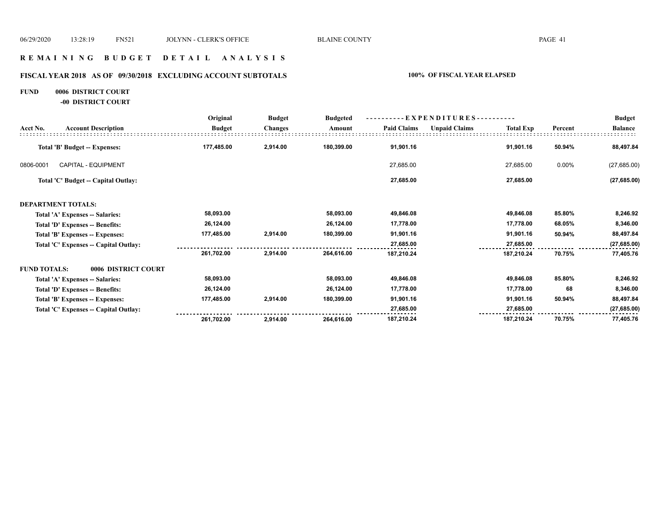## **R E M A I N I N G B U D G E T D E T A I L A N A L Y S I S**

# **FISCAL YEAR 2018 AS OF 09/30/2018 EXCLUDING ACCOUNT SUBTOTALS 100% OF FISCAL YEAR ELAPSED**

## **FUND 0006 DISTRICT COURT**

**-00 DISTRICT COURT**

|                                            | Original      | <b>Budget</b>  | <b>Budgeted</b> | - EXPENDITURES---------- |                      |                  |         | <b>Budget</b>  |
|--------------------------------------------|---------------|----------------|-----------------|--------------------------|----------------------|------------------|---------|----------------|
| Acct No.<br><b>Account Description</b>     | <b>Budget</b> | <b>Changes</b> | Amount          | <b>Paid Claims</b>       | <b>Unpaid Claims</b> | <b>Total Exp</b> | Percent | <b>Balance</b> |
| <b>Total 'B' Budget -- Expenses:</b>       | 177,485.00    | 2,914.00       | 180,399.00      | 91,901.16                |                      | 91,901.16        | 50.94%  | 88,497.84      |
| <b>CAPITAL - EQUIPMENT</b><br>0806-0001    |               |                |                 | 27,685.00                |                      | 27,685.00        | 0.00%   | (27,685.00)    |
| Total 'C' Budget -- Capital Outlay:        |               |                |                 | 27,685.00                |                      | 27,685.00        |         | (27, 685.00)   |
| <b>DEPARTMENT TOTALS:</b>                  |               |                |                 |                          |                      |                  |         |                |
| Total 'A' Expenses -- Salaries:            | 58,093.00     |                | 58,093.00       | 49,846.08                |                      | 49,846.08        | 85.80%  | 8,246.92       |
| Total 'D' Expenses -- Benefits:            | 26,124.00     |                | 26,124.00       | 17,778.00                |                      | 17,778.00        | 68.05%  | 8,346.00       |
| Total 'B' Expenses -- Expenses:            | 177,485.00    | 2,914.00       | 180,399.00      | 91,901.16                |                      | 91,901.16        | 50.94%  | 88,497.84      |
| Total 'C' Expenses -- Capital Outlay:      |               |                |                 | 27,685.00                |                      | 27,685.00        |         | (27, 685.00)   |
|                                            | 261,702.00    | 2,914.00       | 264,616.00      | 187,210.24               |                      | 187,210.24       | 70.75%  | 77,405.76      |
| <b>FUND TOTALS:</b><br>0006 DISTRICT COURT |               |                |                 |                          |                      |                  |         |                |
| Total 'A' Expenses -- Salaries:            | 58,093.00     |                | 58,093.00       | 49,846.08                |                      | 49,846.08        | 85.80%  | 8,246.92       |
| Total 'D' Expenses -- Benefits:            | 26,124.00     |                | 26,124.00       | 17,778.00                |                      | 17,778.00        | 68      | 8,346.00       |
| Total 'B' Expenses -- Expenses:            | 177,485.00    | 2,914.00       | 180,399.00      | 91,901.16                |                      | 91,901.16        | 50.94%  | 88,497.84      |
| Total 'C' Expenses -- Capital Outlay:      |               |                |                 | 27,685.00                |                      | 27,685.00        |         | (27, 685.00)   |
|                                            | 261,702.00    | 2,914.00       | 264.616.00      | 187,210.24               |                      | 187,210.24       | 70.75%  | 77,405.76      |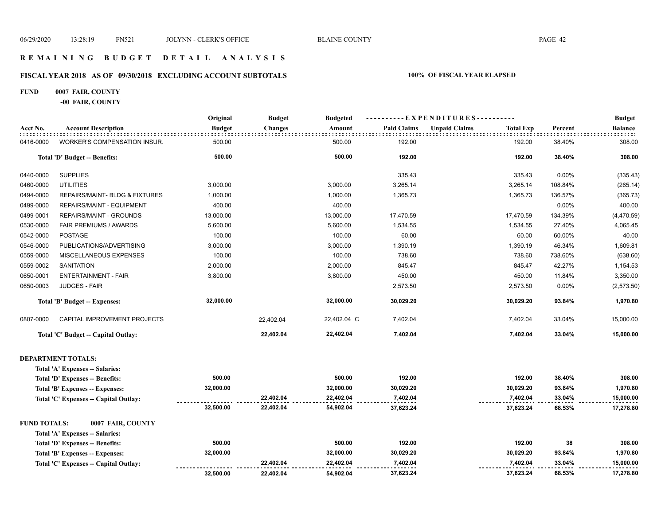## **R E M A I N I N G B U D G E T D E T A I L A N A L Y S I S**

## **FISCAL YEAR 2018 AS OF 09/30/2018 EXCLUDING ACCOUNT SUBTOTALS 100% OF FISCAL YEAR ELAPSED**

## **FUND 0007 FAIR, COUNTY**

**-00 FAIR, COUNTY**

|                     |                                        | Original      | <b>Budget</b> | <b>Budgeted</b> | ----------EXPENDITURES---------- |                                          |         | <b>Budget</b>  |
|---------------------|----------------------------------------|---------------|---------------|-----------------|----------------------------------|------------------------------------------|---------|----------------|
| Acct No.            | <b>Account Description</b>             | <b>Budget</b> | Changes       | Amount          | <b>Paid Claims</b>               | <b>Unpaid Claims</b><br><b>Total Exp</b> | Percent | <b>Balance</b> |
| 0416-0000           | <b>WORKER'S COMPENSATION INSUR.</b>    | 500.00        |               | 500.00          | 192.00                           | 192.00                                   | 38.40%  | 308.00         |
|                     | Total 'D' Budget -- Benefits:          | 500.00        |               | 500.00          | 192.00                           | 192.00                                   | 38.40%  | 308.00         |
| 0440-0000           | <b>SUPPLIES</b>                        |               |               |                 | 335.43                           | 335.43                                   | 0.00%   | (335.43)       |
| 0460-0000           | <b>UTILITIES</b>                       | 3,000.00      |               | 3,000.00        | 3,265.14                         | 3,265.14                                 | 108.84% | (265.14)       |
| 0494-0000           | REPAIRS/MAINT- BLDG & FIXTURES         | 1,000.00      |               | 1,000.00        | 1,365.73                         | 1,365.73                                 | 136.57% | (365.73)       |
| 0499-0000           | REPAIRS/MAINT - EQUIPMENT              | 400.00        |               | 400.00          |                                  |                                          | 0.00%   | 400.00         |
| 0499-0001           | REPAIRS/MAINT - GROUNDS                | 13,000.00     |               | 13,000.00       | 17,470.59                        | 17,470.59                                | 134.39% | (4,470.59)     |
| 0530-0000           | FAIR PREMIUMS / AWARDS                 | 5,600.00      |               | 5,600.00        | 1,534.55                         | 1,534.55                                 | 27.40%  | 4,065.45       |
| 0542-0000           | <b>POSTAGE</b>                         | 100.00        |               | 100.00          | 60.00                            | 60.00                                    | 60.00%  | 40.00          |
| 0546-0000           | PUBLICATIONS/ADVERTISING               | 3,000.00      |               | 3,000.00        | 1,390.19                         | 1,390.19                                 | 46.34%  | 1,609.81       |
| 0559-0000           | MISCELLANEOUS EXPENSES                 | 100.00        |               | 100.00          | 738.60                           | 738.60                                   | 738.60% | (638.60)       |
| 0559-0002           | <b>SANITATION</b>                      | 2,000.00      |               | 2,000.00        | 845.47                           | 845.47                                   | 42.27%  | 1,154.53       |
| 0650-0001           | <b>ENTERTAINMENT - FAIR</b>            | 3,800.00      |               | 3,800.00        | 450.00                           | 450.00                                   | 11.84%  | 3,350.00       |
| 0650-0003           | <b>JUDGES - FAIR</b>                   |               |               |                 | 2,573.50                         | 2,573.50                                 | 0.00%   | (2, 573.50)    |
|                     | Total 'B' Budget -- Expenses:          | 32,000.00     |               | 32,000.00       | 30,029.20                        | 30,029.20                                | 93.84%  | 1,970.80       |
| 0807-0000           | CAPITAL IMPROVEMENT PROJECTS           |               | 22,402.04     | 22,402.04 C     | 7,402.04                         | 7,402.04                                 | 33.04%  | 15,000.00      |
|                     | Total 'C' Budget -- Capital Outlay:    |               | 22,402.04     | 22,402.04       | 7,402.04                         | 7,402.04                                 | 33.04%  | 15,000.00      |
|                     | <b>DEPARTMENT TOTALS:</b>              |               |               |                 |                                  |                                          |         |                |
|                     | Total 'A' Expenses -- Salaries:        |               |               |                 |                                  |                                          |         |                |
|                     | Total 'D' Expenses -- Benefits:        | 500.00        |               | 500.00          | 192.00                           | 192.00                                   | 38.40%  | 308.00         |
|                     | Total 'B' Expenses -- Expenses:        | 32,000.00     |               | 32,000.00       | 30,029.20                        | 30,029.20                                | 93.84%  | 1,970.80       |
|                     | Total 'C' Expenses -- Capital Outlay:  |               | 22,402.04     | 22,402.04       | 7,402.04                         | 7,402.04                                 | 33.04%  | 15,000.00      |
|                     |                                        | 32,500.00     | 22,402.04     | 54,902.04       | 37,623.24                        | 37,623.24                                | 68.53%  | 17,278.80      |
| <b>FUND TOTALS:</b> | 0007 FAIR, COUNTY                      |               |               |                 |                                  |                                          |         |                |
|                     | Total 'A' Expenses -- Salaries:        |               |               |                 |                                  |                                          |         |                |
|                     | <b>Total 'D' Expenses -- Benefits:</b> | 500.00        |               | 500.00          | 192.00                           | 192.00                                   | 38      | 308.00         |
|                     | Total 'B' Expenses -- Expenses:        | 32,000.00     |               | 32,000.00       | 30,029.20                        | 30,029.20                                | 93.84%  | 1,970.80       |
|                     | Total 'C' Expenses -- Capital Outlay:  |               | 22,402.04     | 22,402.04       | 7,402.04                         | 7,402.04                                 | 33.04%  | 15,000.00      |
|                     |                                        | 32,500.00     | 22,402.04     | 54,902.04       | 37,623.24                        | 37,623.24                                | 68.53%  | 17,278.80      |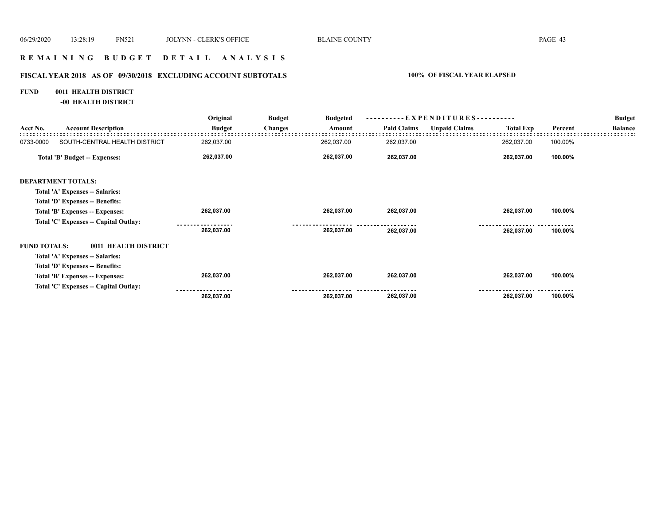## **R E M A I N I N G B U D G E T D E T A I L A N A L Y S I S**

## **FISCAL YEAR 2018 AS OF 09/30/2018 EXCLUDING ACCOUNT SUBTOTALS 100% OF FISCAL YEAR ELAPSED**

## **FUND 0011 HEALTH DISTRICT**

**-00 HEALTH DISTRICT**

|                     |                                       | Original      | <b>Budget</b>  | <b>Budgeted</b> | $-EXPENDITURES$ --------- |                      |                  |         | <b>Budget</b>  |
|---------------------|---------------------------------------|---------------|----------------|-----------------|---------------------------|----------------------|------------------|---------|----------------|
| Acct No.            | <b>Account Description</b>            | <b>Budget</b> | <b>Changes</b> | Amount          | <b>Paid Claims</b>        | <b>Unpaid Claims</b> | <b>Total Exp</b> | Percent | <b>Balance</b> |
| 0733-0000           | SOUTH-CENTRAL HEALTH DISTRICT         | 262,037.00    |                | 262,037.00      | 262,037.00                |                      | 262,037.00       | 100.00% |                |
|                     | <b>Total 'B' Budget -- Expenses:</b>  | 262,037.00    |                | 262,037.00      | 262,037.00                |                      | 262,037.00       | 100.00% |                |
|                     | <b>DEPARTMENT TOTALS:</b>             |               |                |                 |                           |                      |                  |         |                |
|                     | Total 'A' Expenses -- Salaries:       |               |                |                 |                           |                      |                  |         |                |
|                     | Total 'D' Expenses -- Benefits:       |               |                |                 |                           |                      |                  |         |                |
|                     | Total 'B' Expenses -- Expenses:       | 262,037.00    |                | 262,037.00      | 262,037.00                |                      | 262,037.00       | 100.00% |                |
|                     | Total 'C' Expenses -- Capital Outlay: |               |                |                 |                           |                      |                  |         |                |
|                     |                                       | 262,037.00    |                | 262,037.00      | 262,037.00                |                      | 262,037.00       | 100.00% |                |
| <b>FUND TOTALS:</b> | 0011 HEALTH DISTRICT                  |               |                |                 |                           |                      |                  |         |                |
|                     | Total 'A' Expenses -- Salaries:       |               |                |                 |                           |                      |                  |         |                |
|                     | Total 'D' Expenses -- Benefits:       |               |                |                 |                           |                      |                  |         |                |
|                     | Total 'B' Expenses -- Expenses:       | 262,037.00    |                | 262,037.00      | 262,037.00                |                      | 262,037.00       | 100.00% |                |
|                     | Total 'C' Expenses -- Capital Outlay: |               |                |                 |                           |                      |                  |         |                |
|                     |                                       | 262,037.00    |                | 262,037.00      | 262,037.00                |                      | 262,037.00       | 100.00% |                |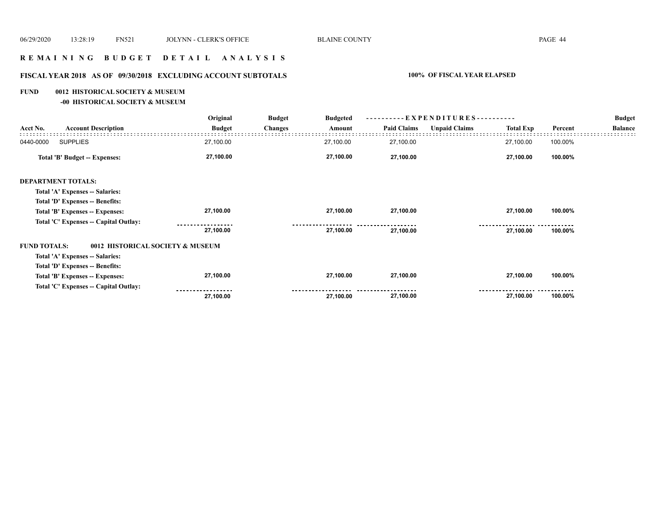# **R E M A I N I N G B U D G E T D E T A I L A N A L Y S I S**

## **FISCAL YEAR 2018 AS OF 09/30/2018 EXCLUDING ACCOUNT SUBTOTALS 100% OF FISCAL YEAR ELAPSED**

#### **FUND 0012 HISTORICAL SOCIETY & MUSEUM**

**-00 HISTORICAL SOCIETY & MUSEUM**

|                                       |               | <b>Budget</b>                                | <b>Budgeted</b> | ----------EXPENDITURES---------- |                      |                  |         | <b>Budget</b>  |
|---------------------------------------|---------------|----------------------------------------------|-----------------|----------------------------------|----------------------|------------------|---------|----------------|
| <b>Account Description</b>            | <b>Budget</b> | <b>Changes</b>                               | Amount          | <b>Paid Claims</b>               | <b>Unpaid Claims</b> | <b>Total Exp</b> | Percent | <b>Balance</b> |
| <b>SUPPLIES</b><br>0440-0000          | 27,100.00     |                                              | 27,100.00       | 27,100.00                        |                      | 27,100.00        | 100.00% |                |
| Total 'B' Budget -- Expenses:         | 27,100.00     |                                              | 27,100.00       | 27,100.00                        |                      | 27,100.00        | 100.00% |                |
| <b>DEPARTMENT TOTALS:</b>             |               |                                              |                 |                                  |                      |                  |         |                |
| Total 'A' Expenses -- Salaries:       |               |                                              |                 |                                  |                      |                  |         |                |
| Total 'D' Expenses -- Benefits:       |               |                                              |                 |                                  |                      |                  |         |                |
| Total 'B' Expenses -- Expenses:       | 27,100.00     |                                              | 27,100.00       | 27,100.00                        |                      | 27,100.00        | 100.00% |                |
| Total 'C' Expenses -- Capital Outlay: |               |                                              |                 |                                  |                      |                  |         |                |
|                                       | 27,100.00     |                                              | 27,100.00       | 27,100.00                        |                      | 27,100.00        | 100.00% |                |
| <b>FUND TOTALS:</b>                   |               |                                              |                 |                                  |                      |                  |         |                |
| Total 'A' Expenses -- Salaries:       |               |                                              |                 |                                  |                      |                  |         |                |
| Total 'D' Expenses -- Benefits:       |               |                                              |                 |                                  |                      |                  |         |                |
| Total 'B' Expenses -- Expenses:       | 27,100.00     |                                              | 27,100.00       | 27,100.00                        |                      | 27,100.00        | 100.00% |                |
| Total 'C' Expenses -- Capital Outlay: |               |                                              |                 |                                  |                      |                  |         |                |
|                                       | 27,100.00     |                                              | 27,100.00       | 27,100.00                        |                      | 27,100.00        | 100.00% |                |
|                                       |               | Original<br>0012 HISTORICAL SOCIETY & MUSEUM |                 |                                  |                      |                  |         |                |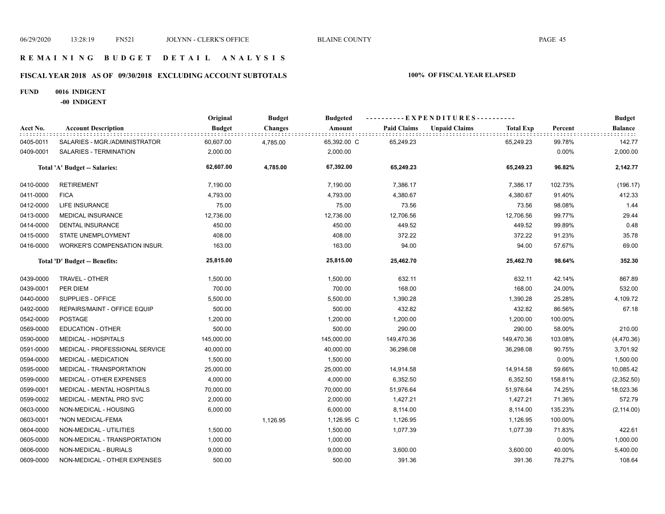## **R E M A I N I N G B U D G E T D E T A I L A N A L Y S I S**

## **FISCAL YEAR 2018 AS OF 09/30/2018 EXCLUDING ACCOUNT SUBTOTALS 100% OF FISCAL YEAR ELAPSED**

#### **FUND 0016 INDIGENT**

**-00 INDIGENT**

|           |                                     | Original      | <b>Budget</b>  | <b>Budgeted</b> |                    | ----------EXPENDITURES----------         |         | <b>Budget</b>  |
|-----------|-------------------------------------|---------------|----------------|-----------------|--------------------|------------------------------------------|---------|----------------|
| Acct No.  | <b>Account Description</b>          | <b>Budget</b> | <b>Changes</b> | Amount          | <b>Paid Claims</b> | <b>Unpaid Claims</b><br><b>Total Exp</b> | Percent | <b>Balance</b> |
| 0405-0011 | SALARIES - MGR./ADMINISTRATOR       | 60,607.00     | 4,785.00       | 65,392.00 C     | 65,249.23          | 65,249.23                                | 99.78%  | 142.77         |
| 0409-0001 | SALARIES - TERMINATION              | 2,000.00      |                | 2,000.00        |                    |                                          | 0.00%   | 2,000.00       |
|           | Total 'A' Budget -- Salaries:       | 62,607.00     | 4,785.00       | 67,392.00       | 65,249.23          | 65,249.23                                | 96.82%  | 2,142.77       |
| 0410-0000 | <b>RETIREMENT</b>                   | 7,190.00      |                | 7,190.00        | 7,386.17           | 7,386.17                                 | 102.73% | (196.17)       |
| 0411-0000 | <b>FICA</b>                         | 4,793.00      |                | 4,793.00        | 4,380.67           | 4,380.67                                 | 91.40%  | 412.33         |
| 0412-0000 | <b>LIFE INSURANCE</b>               | 75.00         |                | 75.00           | 73.56              | 73.56                                    | 98.08%  | 1.44           |
| 0413-0000 | <b>MEDICAL INSURANCE</b>            | 12,736.00     |                | 12,736.00       | 12,706.56          | 12,706.56                                | 99.77%  | 29.44          |
| 0414-0000 | <b>DENTAL INSURANCE</b>             | 450.00        |                | 450.00          | 449.52             | 449.52                                   | 99.89%  | 0.48           |
| 0415-0000 | STATE UNEMPLOYMENT                  | 408.00        |                | 408.00          | 372.22             | 372.22                                   | 91.23%  | 35.78          |
| 0416-0000 | <b>WORKER'S COMPENSATION INSUR.</b> | 163.00        |                | 163.00          | 94.00              | 94.00                                    | 57.67%  | 69.00          |
|           | Total 'D' Budget -- Benefits:       | 25,815.00     |                | 25,815.00       | 25,462.70          | 25,462.70                                | 98.64%  | 352.30         |
| 0439-0000 | <b>TRAVEL - OTHER</b>               | 1,500.00      |                | 1,500.00        | 632.11             | 632.11                                   | 42.14%  | 867.89         |
| 0439-0001 | PER DIEM                            | 700.00        |                | 700.00          | 168.00             | 168.00                                   | 24.00%  | 532.00         |
| 0440-0000 | SUPPLIES - OFFICE                   | 5,500.00      |                | 5,500.00        | 1,390.28           | 1,390.28                                 | 25.28%  | 4,109.72       |
| 0492-0000 | REPAIRS/MAINT - OFFICE EQUIP        | 500.00        |                | 500.00          | 432.82             | 432.82                                   | 86.56%  | 67.18          |
| 0542-0000 | POSTAGE                             | 1,200.00      |                | 1,200.00        | 1,200.00           | 1,200.00                                 | 100.00% |                |
| 0569-0000 | <b>EDUCATION - OTHER</b>            | 500.00        |                | 500.00          | 290.00             | 290.00                                   | 58.00%  | 210.00         |
| 0590-0000 | <b>MEDICAL - HOSPITALS</b>          | 145,000.00    |                | 145,000.00      | 149,470.36         | 149,470.36                               | 103.08% | (4,470.36)     |
| 0591-0000 | MEDICAL - PROFESSIONAL SERVICE      | 40,000.00     |                | 40,000.00       | 36,298.08          | 36,298.08                                | 90.75%  | 3,701.92       |
| 0594-0000 | MEDICAL - MEDICATION                | 1,500.00      |                | 1,500.00        |                    |                                          | 0.00%   | 1,500.00       |
| 0595-0000 | MEDICAL - TRANSPORTATION            | 25,000.00     |                | 25,000.00       | 14,914.58          | 14,914.58                                | 59.66%  | 10,085.42      |
| 0599-0000 | MEDICAL - OTHER EXPENSES            | 4,000.00      |                | 4,000.00        | 6,352.50           | 6,352.50                                 | 158.81% | (2,352.50)     |
| 0599-0001 | MEDICAL - MENTAL HOSPITALS          | 70,000.00     |                | 70,000.00       | 51,976.64          | 51,976.64                                | 74.25%  | 18,023.36      |
| 0599-0002 | MEDICAL - MENTAL PRO SVC            | 2,000.00      |                | 2,000.00        | 1,427.21           | 1,427.21                                 | 71.36%  | 572.79         |
| 0603-0000 | NON-MEDICAL - HOUSING               | 6,000.00      |                | 6,000.00        | 8,114.00           | 8,114.00                                 | 135.23% | (2, 114.00)    |
| 0603-0001 | *NON MEDICAL-FEMA                   |               | 1,126.95       | 1,126.95 C      | 1,126.95           | 1,126.95                                 | 100.00% |                |
| 0604-0000 | NON-MEDICAL - UTILITIES             | 1,500.00      |                | 1,500.00        | 1,077.39           | 1,077.39                                 | 71.83%  | 422.61         |
| 0605-0000 | NON-MEDICAL - TRANSPORTATION        | 1,000.00      |                | 1,000.00        |                    |                                          | 0.00%   | 1,000.00       |
| 0606-0000 | NON-MEDICAL - BURIALS               | 9,000.00      |                | 9,000.00        | 3,600.00           | 3,600.00                                 | 40.00%  | 5,400.00       |
| 0609-0000 | NON-MEDICAL - OTHER EXPENSES        | 500.00        |                | 500.00          | 391.36             | 391.36                                   | 78.27%  | 108.64         |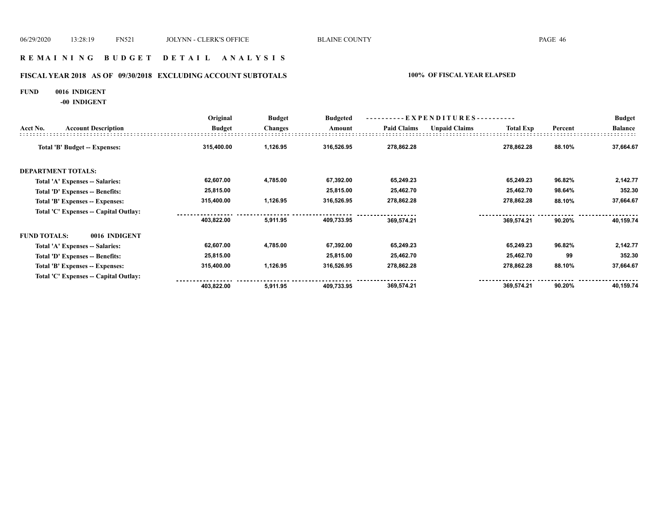## **R E M A I N I N G B U D G E T D E T A I L A N A L Y S I S**

## **FISCAL YEAR 2018 AS OF 09/30/2018 EXCLUDING ACCOUNT SUBTOTALS 100% OF FISCAL YEAR ELAPSED**

#### **FUND 0016 INDIGENT**

**-00 INDIGENT**

|                     |                                       | Original      | <b>Budget</b>  | <b>Budgeted</b> | --EXPENDITURES---------- |                      |                  |         | <b>Budget</b>  |
|---------------------|---------------------------------------|---------------|----------------|-----------------|--------------------------|----------------------|------------------|---------|----------------|
| Acct No.            | <b>Account Description</b>            | <b>Budget</b> | <b>Changes</b> | Amount          | <b>Paid Claims</b>       | <b>Unpaid Claims</b> | <b>Total Exp</b> | Percent | <b>Balance</b> |
|                     | <b>Total 'B' Budget -- Expenses:</b>  | 315,400.00    | 1,126.95       | 316,526.95      | 278,862.28               |                      | 278,862.28       | 88.10%  | 37,664.67      |
|                     | <b>DEPARTMENT TOTALS:</b>             |               |                |                 |                          |                      |                  |         |                |
|                     | Total 'A' Expenses -- Salaries:       | 62,607.00     | 4,785.00       | 67,392.00       | 65,249.23                |                      | 65,249.23        | 96.82%  | 2,142.77       |
|                     | Total 'D' Expenses -- Benefits:       | 25,815.00     |                | 25,815.00       | 25,462.70                |                      | 25,462.70        | 98.64%  | 352.30         |
|                     | Total 'B' Expenses -- Expenses:       | 315,400.00    | 1,126.95       | 316,526.95      | 278,862.28               |                      | 278,862.28       | 88.10%  | 37,664.67      |
|                     | Total 'C' Expenses -- Capital Outlay: |               |                |                 |                          |                      |                  |         |                |
|                     |                                       | 403,822.00    | 5,911.95       | 409,733.95      | 369,574.21               |                      | 369,574.21       | 90.20%  | 40,159.74      |
| <b>FUND TOTALS:</b> | 0016 INDIGENT                         |               |                |                 |                          |                      |                  |         |                |
|                     | Total 'A' Expenses -- Salaries:       | 62,607.00     | 4,785.00       | 67,392.00       | 65,249.23                |                      | 65,249.23        | 96.82%  | 2,142.77       |
|                     | Total 'D' Expenses -- Benefits:       | 25,815.00     |                | 25,815.00       | 25,462.70                |                      | 25,462.70        | 99      | 352.30         |
|                     | Total 'B' Expenses -- Expenses:       | 315,400.00    | 1,126.95       | 316,526.95      | 278,862.28               |                      | 278,862.28       | 88.10%  | 37,664.67      |
|                     | Total 'C' Expenses -- Capital Outlay: |               |                |                 |                          |                      |                  |         |                |
|                     |                                       | 403,822.00    | 5,911.95       | 409,733.95      | 369,574.21               |                      | 369,574.21       | 90.20%  | 40,159.74      |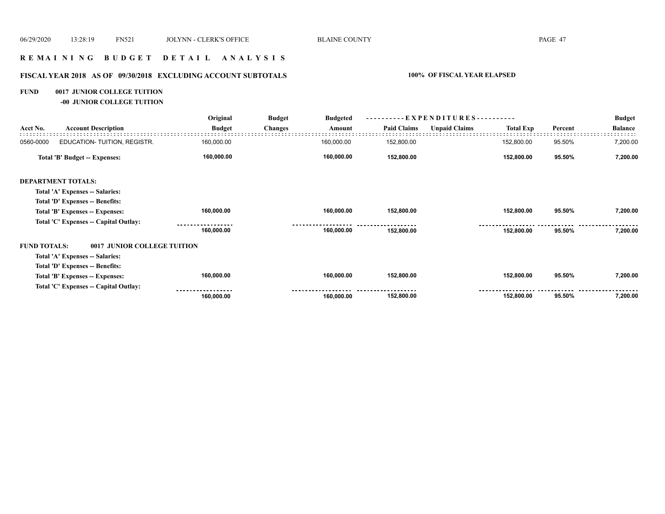## **R E M A I N I N G B U D G E T D E T A I L A N A L Y S I S**

## **FISCAL YEAR 2018 AS OF 09/30/2018 EXCLUDING ACCOUNT SUBTOTALS 100% OF FISCAL YEAR ELAPSED**

## **FUND 0017 JUNIOR COLLEGE TUITION**

**-00 JUNIOR COLLEGE TUITION**

|                     |                                       | Original      | <b>Budget</b>  | <b>Budgeted</b> |                    |                      |                  |         | <b>Budget</b>  |
|---------------------|---------------------------------------|---------------|----------------|-----------------|--------------------|----------------------|------------------|---------|----------------|
| Acct No.            | <b>Account Description</b>            | <b>Budget</b> | <b>Changes</b> | Amount          | <b>Paid Claims</b> | <b>Unpaid Claims</b> | <b>Total Exp</b> | Percent | <b>Balance</b> |
| 0560-0000           | EDUCATION- TUITION, REGISTR.          | 160,000.00    |                | 160,000.00      | 152,800.00         |                      | 152,800.00       | 95.50%  | 7,200.00       |
|                     | Total 'B' Budget -- Expenses:         | 160,000.00    |                | 160,000.00      | 152,800.00         |                      | 152,800.00       | 95.50%  | 7,200.00       |
|                     | <b>DEPARTMENT TOTALS:</b>             |               |                |                 |                    |                      |                  |         |                |
|                     | Total 'A' Expenses -- Salaries:       |               |                |                 |                    |                      |                  |         |                |
|                     | Total 'D' Expenses -- Benefits:       |               |                |                 |                    |                      |                  |         |                |
|                     | Total 'B' Expenses -- Expenses:       | 160,000.00    |                | 160,000.00      | 152,800.00         |                      | 152,800.00       | 95.50%  | 7,200.00       |
|                     | Total 'C' Expenses -- Capital Outlay: |               |                |                 |                    |                      |                  |         |                |
|                     |                                       | 160,000.00    |                | 160,000.00      | 152,800.00         |                      | 152,800.00       | 95.50%  | 7,200.00       |
| <b>FUND TOTALS:</b> | 0017 JUNIOR COLLEGE TUITION           |               |                |                 |                    |                      |                  |         |                |
|                     | Total 'A' Expenses -- Salaries:       |               |                |                 |                    |                      |                  |         |                |
|                     | Total 'D' Expenses -- Benefits:       |               |                |                 |                    |                      |                  |         |                |
|                     | Total 'B' Expenses -- Expenses:       | 160,000.00    |                | 160,000.00      | 152,800.00         |                      | 152,800.00       | 95.50%  | 7,200.00       |
|                     | Total 'C' Expenses -- Capital Outlay: |               |                |                 |                    |                      |                  |         |                |
|                     |                                       | 160,000.00    |                | 160,000.00      | 152,800.00         |                      | 152,800.00       | 95.50%  | 7,200.00       |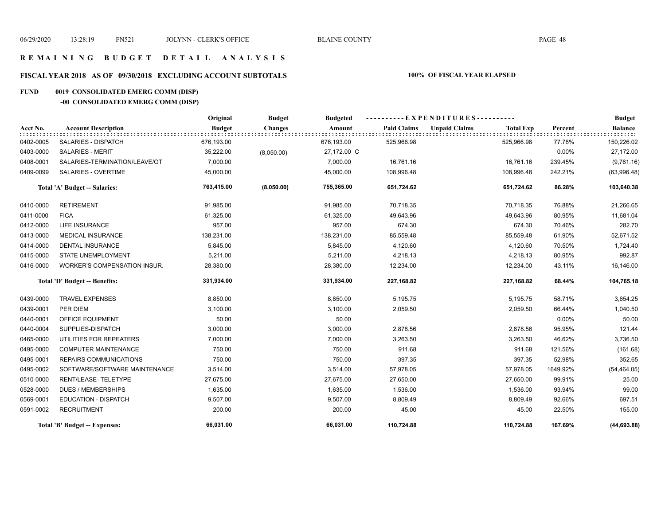## **R E M A I N I N G B U D G E T D E T A I L A N A L Y S I S**

## **FISCAL YEAR 2018 AS OF 09/30/2018 EXCLUDING ACCOUNT SUBTOTALS 100% OF FISCAL YEAR ELAPSED**

## **FUND 0019 CONSOLIDATED EMERG COMM (DISP)**

## **-00 CONSOLIDATED EMERG COMM (DISP)**

|           |                               | Original      | <b>Budget</b>  | <b>Budgeted</b> | ----------EXPENDITURES---------- |                      |                  |          | <b>Budget</b>          |
|-----------|-------------------------------|---------------|----------------|-----------------|----------------------------------|----------------------|------------------|----------|------------------------|
| Acct No.  | <b>Account Description</b>    | <b>Budget</b> | <b>Changes</b> | Amount          | <b>Paid Claims</b>               | <b>Unpaid Claims</b> | <b>Total Exp</b> | Percent  | <b>Balance</b><br>III. |
| 0402-0005 | <b>SALARIES - DISPATCH</b>    | 676,193.00    |                | 676,193.00      | 525,966.98                       |                      | 525,966.98       | 77.78%   | 150,226.02             |
| 0403-0000 | <b>SALARIES - MERIT</b>       | 35,222.00     | (8,050.00)     | 27,172.00 C     |                                  |                      |                  | 0.00%    | 27,172.00              |
| 0408-0001 | SALARIES-TERMINATION/LEAVE/OT | 7,000.00      |                | 7,000.00        | 16,761.16                        |                      | 16,761.16        | 239.45%  | (9,761.16)             |
| 0409-0099 | SALARIES - OVERTIME           | 45,000.00     |                | 45,000.00       | 108,996.48                       |                      | 108,996.48       | 242.21%  | (63,996.48)            |
|           | Total 'A' Budget -- Salaries: | 763,415.00    | (8,050.00)     | 755,365.00      | 651,724.62                       |                      | 651,724.62       | 86.28%   | 103,640.38             |
| 0410-0000 | <b>RETIREMENT</b>             | 91,985.00     |                | 91,985.00       | 70,718.35                        |                      | 70,718.35        | 76.88%   | 21,266.65              |
| 0411-0000 | <b>FICA</b>                   | 61,325.00     |                | 61,325.00       | 49,643.96                        |                      | 49,643.96        | 80.95%   | 11,681.04              |
| 0412-0000 | <b>LIFE INSURANCE</b>         | 957.00        |                | 957.00          | 674.30                           |                      | 674.30           | 70.46%   | 282.70                 |
| 0413-0000 | <b>MEDICAL INSURANCE</b>      | 138,231.00    |                | 138,231.00      | 85,559.48                        |                      | 85,559.48        | 61.90%   | 52,671.52              |
| 0414-0000 | <b>DENTAL INSURANCE</b>       | 5,845.00      |                | 5,845.00        | 4,120.60                         |                      | 4,120.60         | 70.50%   | 1,724.40               |
| 0415-0000 | STATE UNEMPLOYMENT            | 5,211.00      |                | 5,211.00        | 4,218.13                         |                      | 4,218.13         | 80.95%   | 992.87                 |
| 0416-0000 | WORKER'S COMPENSATION INSUR.  | 28,380.00     |                | 28,380.00       | 12,234.00                        |                      | 12,234.00        | 43.11%   | 16,146.00              |
|           | Total 'D' Budget -- Benefits: | 331,934.00    |                | 331,934.00      | 227,168.82                       |                      | 227,168.82       | 68.44%   | 104,765.18             |
| 0439-0000 | <b>TRAVEL EXPENSES</b>        | 8,850.00      |                | 8,850.00        | 5,195.75                         |                      | 5,195.75         | 58.71%   | 3,654.25               |
| 0439-0001 | PER DIEM                      | 3,100.00      |                | 3,100.00        | 2,059.50                         |                      | 2,059.50         | 66.44%   | 1,040.50               |
| 0440-0001 | OFFICE EQUIPMENT              | 50.00         |                | 50.00           |                                  |                      |                  | 0.00%    | 50.00                  |
| 0440-0004 | SUPPLIES-DISPATCH             | 3,000.00      |                | 3,000.00        | 2,878.56                         |                      | 2,878.56         | 95.95%   | 121.44                 |
| 0465-0000 | UTILITIES FOR REPEATERS       | 7,000.00      |                | 7,000.00        | 3,263.50                         |                      | 3,263.50         | 46.62%   | 3,736.50               |
| 0495-0000 | <b>COMPUTER MAINTENANCE</b>   | 750.00        |                | 750.00          | 911.68                           |                      | 911.68           | 121.56%  | (161.68)               |
| 0495-0001 | REPAIRS COMMUNICATIONS        | 750.00        |                | 750.00          | 397.35                           |                      | 397.35           | 52.98%   | 352.65                 |
| 0495-0002 | SOFTWARE/SOFTWARE MAINTENANCE | 3,514.00      |                | 3,514.00        | 57,978.05                        |                      | 57,978.05        | 1649.92% | (54, 464.05)           |
| 0510-0000 | RENT/LEASE-TELETYPE           | 27,675.00     |                | 27,675.00       | 27,650.00                        |                      | 27,650.00        | 99.91%   | 25.00                  |
| 0528-0000 | <b>DUES / MEMBERSHIPS</b>     | 1,635.00      |                | 1,635.00        | 1,536.00                         |                      | 1,536.00         | 93.94%   | 99.00                  |
| 0569-0001 | <b>EDUCATION - DISPATCH</b>   | 9,507.00      |                | 9,507.00        | 8,809.49                         |                      | 8,809.49         | 92.66%   | 697.51                 |
| 0591-0002 | <b>RECRUITMENT</b>            | 200.00        |                | 200.00          | 45.00                            |                      | 45.00            | 22.50%   | 155.00                 |
|           | Total 'B' Budget -- Expenses: | 66,031.00     |                | 66,031.00       | 110,724.88                       |                      | 110,724.88       | 167.69%  | (44, 693.88)           |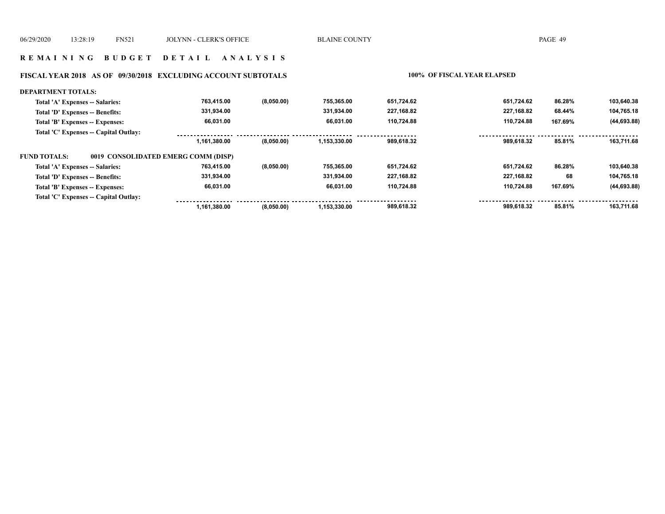## **FISCAL YEAR 2018 AS OF 09/30/2018 EXCLUDING ACCOUNT SUBTOTALS 100% OF FISCAL YEAR ELAPSED**

| <b>DEPARTMENT TOTALS:</b>             |                                     |            |              |            |            |         |              |
|---------------------------------------|-------------------------------------|------------|--------------|------------|------------|---------|--------------|
| Total 'A' Expenses -- Salaries:       | 763.415.00                          | (8,050.00) | 755.365.00   | 651.724.62 | 651.724.62 | 86.28%  | 103.640.38   |
| Total 'D' Expenses -- Benefits:       | 331,934.00                          |            | 331.934.00   | 227,168.82 | 227,168.82 | 68.44%  | 104,765.18   |
| Total 'B' Expenses -- Expenses:       | 66.031.00                           |            | 66.031.00    | 110.724.88 | 110.724.88 | 167.69% | (44, 693.88) |
| Total 'C' Expenses -- Capital Outlay: |                                     |            |              |            |            |         |              |
|                                       | 1,161,380.00                        | (8,050.00) | 1,153,330.00 | 989.618.32 | 989.618.32 | 85.81%  | 163,711.68   |
| <b>FUND TOTALS:</b>                   | 0019 CONSOLIDATED EMERG COMM (DISP) |            |              |            |            |         |              |
| Total 'A' Expenses -- Salaries:       | 763.415.00                          | (8,050.00) | 755.365.00   | 651,724.62 | 651.724.62 | 86.28%  | 103,640.38   |
| Total 'D' Expenses -- Benefits:       | 331.934.00                          |            | 331.934.00   | 227.168.82 | 227.168.82 | 68      | 104,765.18   |
| Total 'B' Expenses -- Expenses:       | 66,031.00                           |            | 66.031.00    | 110,724.88 | 110.724.88 | 167.69% | (44, 693.88) |
| Total 'C' Expenses -- Capital Outlay: |                                     |            |              |            |            |         |              |
|                                       | 1.161.380.00                        | (8,050.00) | 1.153.330.00 | 989,618.32 | 989.618.32 | 85.81%  | 163.711.68   |
|                                       |                                     |            |              |            |            |         |              |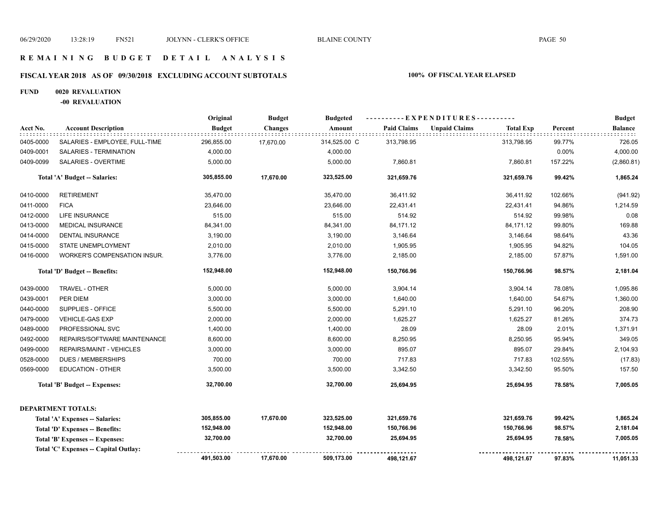## **R E M A I N I N G B U D G E T D E T A I L A N A L Y S I S**

## **FISCAL YEAR 2018 AS OF 09/30/2018 EXCLUDING ACCOUNT SUBTOTALS 100% OF FISCAL YEAR ELAPSED**

#### **FUND 0020 REVALUATION**

**-00 REVALUATION**

|           |                                       | Original      | <b>Budget</b>  | ----------EXPENDITURES----------<br><b>Budgeted</b> |                    |                      |                  |         | <b>Budget</b>  |
|-----------|---------------------------------------|---------------|----------------|-----------------------------------------------------|--------------------|----------------------|------------------|---------|----------------|
| Acct No.  | <b>Account Description</b>            | <b>Budget</b> | <b>Changes</b> | Amount                                              | <b>Paid Claims</b> | <b>Unpaid Claims</b> | <b>Total Exp</b> | Percent | <b>Balance</b> |
| 0405-0000 | SALARIES - EMPLOYEE, FULL-TIME        | 296,855.00    | 17,670.00      | 314,525.00 C                                        | 313,798.95         |                      | 313,798.95       | 99.77%  | 726.05         |
| 0409-0001 | SALARIES - TERMINATION                | 4,000.00      |                | 4,000.00                                            |                    |                      |                  | 0.00%   | 4,000.00       |
| 0409-0099 | SALARIES - OVERTIME                   | 5,000.00      |                | 5,000.00                                            | 7,860.81           |                      | 7,860.81         | 157.22% | (2,860.81)     |
|           | Total 'A' Budget -- Salaries:         | 305,855.00    | 17,670.00      | 323,525.00                                          | 321,659.76         |                      | 321,659.76       | 99.42%  | 1,865.24       |
| 0410-0000 | <b>RETIREMENT</b>                     | 35,470.00     |                | 35,470.00                                           | 36,411.92          |                      | 36,411.92        | 102.66% | (941.92)       |
| 0411-0000 | <b>FICA</b>                           | 23,646.00     |                | 23,646.00                                           | 22,431.41          |                      | 22,431.41        | 94.86%  | 1,214.59       |
| 0412-0000 | <b>LIFE INSURANCE</b>                 | 515.00        |                | 515.00                                              | 514.92             |                      | 514.92           | 99.98%  | 0.08           |
| 0413-0000 | <b>MEDICAL INSURANCE</b>              | 84,341.00     |                | 84,341.00                                           | 84,171.12          |                      | 84,171.12        | 99.80%  | 169.88         |
| 0414-0000 | DENTAL INSURANCE                      | 3,190.00      |                | 3,190.00                                            | 3,146.64           |                      | 3,146.64         | 98.64%  | 43.36          |
| 0415-0000 | STATE UNEMPLOYMENT                    | 2,010.00      |                | 2,010.00                                            | 1,905.95           |                      | 1,905.95         | 94.82%  | 104.05         |
| 0416-0000 | WORKER'S COMPENSATION INSUR.          | 3,776.00      |                | 3,776.00                                            | 2,185.00           |                      | 2,185.00         | 57.87%  | 1,591.00       |
|           | Total 'D' Budget -- Benefits:         | 152,948.00    |                | 152,948.00                                          | 150,766.96         |                      | 150,766.96       | 98.57%  | 2,181.04       |
| 0439-0000 | TRAVEL - OTHER                        | 5,000.00      |                | 5,000.00                                            | 3,904.14           |                      | 3,904.14         | 78.08%  | 1,095.86       |
| 0439-0001 | PER DIEM                              | 3,000.00      |                | 3,000.00                                            | 1,640.00           |                      | 1,640.00         | 54.67%  | 1,360.00       |
| 0440-0000 | SUPPLIES - OFFICE                     | 5,500.00      |                | 5,500.00                                            | 5,291.10           |                      | 5,291.10         | 96.20%  | 208.90         |
| 0479-0000 | VEHICLE-GAS EXP                       | 2,000.00      |                | 2,000.00                                            | 1,625.27           |                      | 1,625.27         | 81.26%  | 374.73         |
| 0489-0000 | PROFESSIONAL SVC                      | 1,400.00      |                | 1,400.00                                            | 28.09              |                      | 28.09            | 2.01%   | 1,371.91       |
| 0492-0000 | REPAIRS/SOFTWARE MAINTENANCE          | 8,600.00      |                | 8,600.00                                            | 8,250.95           |                      | 8,250.95         | 95.94%  | 349.05         |
| 0499-0000 | REPAIRS/MAINT - VEHICLES              | 3,000.00      |                | 3,000.00                                            | 895.07             |                      | 895.07           | 29.84%  | 2,104.93       |
| 0528-0000 | <b>DUES / MEMBERSHIPS</b>             | 700.00        |                | 700.00                                              | 717.83             |                      | 717.83           | 102.55% | (17.83)        |
| 0569-0000 | <b>EDUCATION - OTHER</b>              | 3,500.00      |                | 3,500.00                                            | 3,342.50           |                      | 3,342.50         | 95.50%  | 157.50         |
|           | <b>Total 'B' Budget -- Expenses:</b>  | 32,700.00     |                | 32,700.00                                           | 25,694.95          |                      | 25,694.95        | 78.58%  | 7,005.05       |
|           | <b>DEPARTMENT TOTALS:</b>             |               |                |                                                     |                    |                      |                  |         |                |
|           | Total 'A' Expenses -- Salaries:       | 305,855.00    | 17,670.00      | 323,525.00                                          | 321,659.76         |                      | 321,659.76       | 99.42%  | 1,865.24       |
|           | Total 'D' Expenses -- Benefits:       | 152,948.00    |                | 152,948.00                                          | 150,766.96         |                      | 150,766.96       | 98.57%  | 2,181.04       |
|           | Total 'B' Expenses -- Expenses:       | 32,700.00     |                | 32,700.00                                           | 25,694.95          |                      | 25,694.95        | 78.58%  | 7,005.05       |
|           | Total 'C' Expenses -- Capital Outlay: |               |                |                                                     |                    |                      |                  |         |                |
|           |                                       | 491,503.00    | 17,670.00      | 509,173.00                                          | 498,121.67         |                      | 498,121.67       | 97.83%  | 11,051.33      |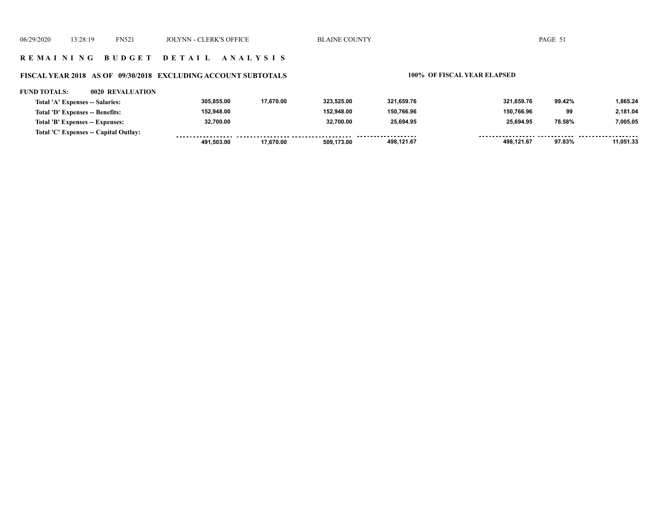## **R E M A I N I N G B U D G E T D E T A I L A N A L Y S I S**

## **FISCAL YEAR 2018 AS OF 09/30/2018 EXCLUDING ACCOUNT SUBTOTALS 100% OF FISCAL YEAR ELAPSED**

#### **FUND TOTALS: 0020 REVALUATION**

| Total 'A' Expenses -- Salaries:       | 305.855.00 | 17.670.00 | 323.525.00 | 321.659.76         | 321.659.76 | 99.42% | 1.865.24  |
|---------------------------------------|------------|-----------|------------|--------------------|------------|--------|-----------|
| Total 'D' Expenses -- Benefits:       | 152.948.00 |           | 152.948.00 | 150,766.96         | 150,766.96 | 99     | 2.181.04  |
| Total 'B' Expenses -- Expenses:       | 32,700.00  |           | 32.700.00  | 25,694.95          | 25.694.95  | 78.58% | 7,005.05  |
| Total 'C' Expenses -- Capital Outlay: |            |           |            | ------------------ |            |        |           |
|                                       | 491.503.00 | 17.670.00 | 509.173.00 | 498,121.67         | 498.121.67 | 97.83% | 11,051.33 |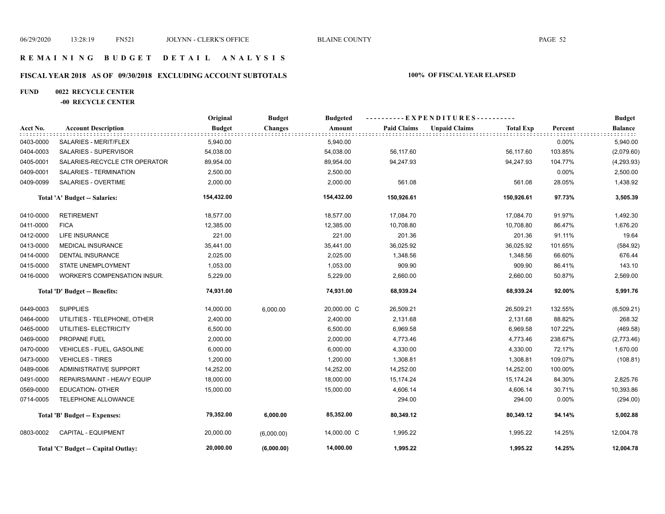## **R E M A I N I N G B U D G E T D E T A I L A N A L Y S I S**

## **FISCAL YEAR 2018 AS OF 09/30/2018 EXCLUDING ACCOUNT SUBTOTALS 100% OF FISCAL YEAR ELAPSED**

## **FUND 0022 RECYCLE CENTER**

## **-00 RECYCLE CENTER**

|           |                                     | Original      | <b>Budget</b>  | <b>Budgeted</b> |                    | ----------EXPENDITURES---------- |                  |         | <b>Budget</b>  |
|-----------|-------------------------------------|---------------|----------------|-----------------|--------------------|----------------------------------|------------------|---------|----------------|
| Acct No.  | <b>Account Description</b>          | <b>Budget</b> | <b>Changes</b> | Amount          | <b>Paid Claims</b> | <b>Unpaid Claims</b>             | <b>Total Exp</b> | Percent | <b>Balance</b> |
| 0403-0000 | SALARIES - MERIT/FLEX               | 5,940.00      |                | 5,940.00        |                    |                                  |                  | 0.00%   | 5,940.00       |
| 0404-0003 | SALARIES - SUPERVISOR               | 54,038.00     |                | 54,038.00       | 56,117.60          |                                  | 56,117.60        | 103.85% | (2,079.60)     |
| 0405-0001 | SALARIES-RECYCLE CTR OPERATOR       | 89,954.00     |                | 89,954.00       | 94.247.93          |                                  | 94,247.93        | 104.77% | (4,293.93)     |
| 0409-0001 | SALARIES - TERMINATION              | 2,500.00      |                | 2,500.00        |                    |                                  |                  | 0.00%   | 2,500.00       |
| 0409-0099 | SALARIES - OVERTIME                 | 2,000.00      |                | 2,000.00        | 561.08             |                                  | 561.08           | 28.05%  | 1,438.92       |
|           | Total 'A' Budget -- Salaries:       | 154,432.00    |                | 154,432.00      | 150,926.61         |                                  | 150,926.61       | 97.73%  | 3,505.39       |
| 0410-0000 | <b>RETIREMENT</b>                   | 18,577.00     |                | 18,577.00       | 17,084.70          |                                  | 17,084.70        | 91.97%  | 1,492.30       |
| 0411-0000 | <b>FICA</b>                         | 12,385.00     |                | 12,385.00       | 10,708.80          |                                  | 10,708.80        | 86.47%  | 1,676.20       |
| 0412-0000 | <b>LIFE INSURANCE</b>               | 221.00        |                | 221.00          | 201.36             |                                  | 201.36           | 91.11%  | 19.64          |
| 0413-0000 | <b>MEDICAL INSURANCE</b>            | 35,441.00     |                | 35,441.00       | 36,025.92          |                                  | 36,025.92        | 101.65% | (584.92)       |
| 0414-0000 | <b>DENTAL INSURANCE</b>             | 2,025.00      |                | 2,025.00        | 1,348.56           |                                  | 1,348.56         | 66.60%  | 676.44         |
| 0415-0000 | STATE UNEMPLOYMENT                  | 1,053.00      |                | 1,053.00        | 909.90             |                                  | 909.90           | 86.41%  | 143.10         |
| 0416-0000 | WORKER'S COMPENSATION INSUR.        | 5,229.00      |                | 5,229.00        | 2,660.00           |                                  | 2,660.00         | 50.87%  | 2,569.00       |
|           | Total 'D' Budget -- Benefits:       | 74,931.00     |                | 74,931.00       | 68,939.24          |                                  | 68,939.24        | 92.00%  | 5,991.76       |
| 0449-0003 | <b>SUPPLIES</b>                     | 14,000.00     | 6.000.00       | 20,000.00 C     | 26,509.21          |                                  | 26,509.21        | 132.55% | (6,509.21)     |
| 0464-0000 | UTILITIES - TELEPHONE, OTHER        | 2,400.00      |                | 2,400.00        | 2,131.68           |                                  | 2,131.68         | 88.82%  | 268.32         |
| 0465-0000 | UTILITIES- ELECTRICITY              | 6,500.00      |                | 6,500.00        | 6,969.58           |                                  | 6,969.58         | 107.22% | (469.58)       |
| 0469-0000 | PROPANE FUEL                        | 2,000.00      |                | 2,000.00        | 4,773.46           |                                  | 4,773.46         | 238.67% | (2,773.46)     |
| 0470-0000 | VEHICLES - FUEL, GASOLINE           | 6,000.00      |                | 6,000.00        | 4,330.00           |                                  | 4,330.00         | 72.17%  | 1,670.00       |
| 0473-0000 | <b>VEHICLES - TIRES</b>             | 1,200.00      |                | 1,200.00        | 1,308.81           |                                  | 1,308.81         | 109.07% | (108.81)       |
| 0489-0006 | ADMINISTRATIVE SUPPORT              | 14,252.00     |                | 14,252.00       | 14,252.00          |                                  | 14,252.00        | 100.00% |                |
| 0491-0000 | REPAIRS/MAINT - HEAVY EQUIP         | 18,000.00     |                | 18,000.00       | 15,174.24          |                                  | 15,174.24        | 84.30%  | 2,825.76       |
| 0569-0000 | <b>EDUCATION- OTHER</b>             | 15,000.00     |                | 15,000.00       | 4,606.14           |                                  | 4,606.14         | 30.71%  | 10,393.86      |
| 0714-0005 | TELEPHONE ALLOWANCE                 |               |                |                 | 294.00             |                                  | 294.00           | 0.00%   | (294.00)       |
|           | Total 'B' Budget -- Expenses:       | 79,352.00     | 6,000.00       | 85,352.00       | 80,349.12          |                                  | 80,349.12        | 94.14%  | 5,002.88       |
| 0803-0002 | <b>CAPITAL - EQUIPMENT</b>          | 20,000.00     | (6,000.00)     | 14,000.00 C     | 1,995.22           |                                  | 1,995.22         | 14.25%  | 12,004.78      |
|           | Total 'C' Budget -- Capital Outlay: | 20,000.00     | (6,000.00)     | 14,000.00       | 1,995.22           |                                  | 1,995.22         | 14.25%  | 12,004.78      |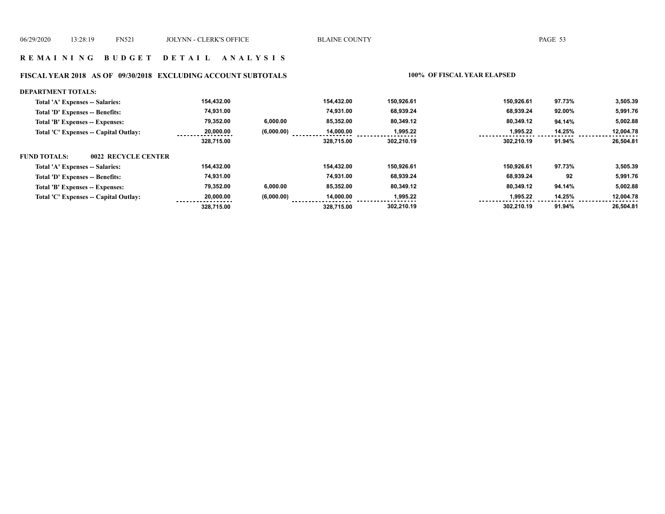#### **FISCAL YEAR 2018 AS OF 09/30/2018 EXCLUDING ACCOUNT SUBTOTALS 100% OF FISCAL YEAR ELAPSED**

#### **DEPARTMENT TOTALS: 302,210.19 302,210.19 91.94% 26,504.81 Total 'A' Expenses -- Salaries: Total 'D' Expenses -- Benefits: Total 'B' Expenses -- Expenses: Total 'C' Expenses -- Capital Outlay: 150,926.61 80,349.12 1,995.22 68,939.24 150,926.61 80,349.12 1,995.22 68,939.24 97.73% 94.14% 14.25% 92.00% 3,505.39 5,002.88 12,004.78 5,991.76 85,352.00 14,000.00 74,931.00 154,432.00 328,715.00 6,000.00 (6,000.00) 154,432.00 79,352.00 20,000.00 74,931.00 328,715.00 FUND TOTALS: 302,210.19 302,210.19 91.94% 26,504.81 Total 'A' Expenses -- Salaries: Total 'D' Expenses -- Benefits: Total 'B' Expenses -- Expenses: Total 'C' Expenses -- Capital Outlay: 150,926.61 80,349.12 1,995.22 68,939.24 150,926.61 80,349.12 1,995.22 68,939.24 97.73% 94.14% 14.25% 92 3,505.39 5,002.88 12,004.78 5,991.76 154,432.00 74,931.00 85,352.00 14,000.00 328,715.00 6,000.00 (6,000.00) 154,432.00 79,352.00 20,000.00 74,931.00 328,715.00 0022 RECYCLE CENTER**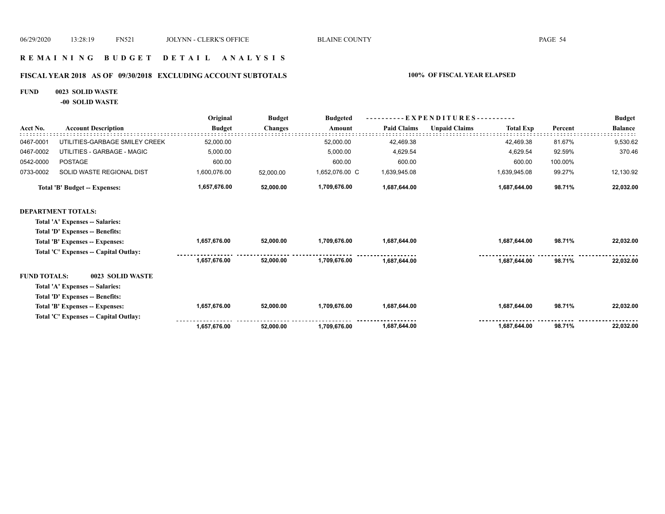## **R E M A I N I N G B U D G E T D E T A I L A N A L Y S I S**

## **FISCAL YEAR 2018 AS OF 09/30/2018 EXCLUDING ACCOUNT SUBTOTALS 100% OF FISCAL YEAR ELAPSED**

#### **FUND 0023 SOLID WASTE**

**-00 SOLID WASTE**

|                     |                                       | Original      | <b>Budget</b>  | <b>Budgeted</b> |                    | - EXPENDITURES---------- |                  |         | <b>Budget</b>  |
|---------------------|---------------------------------------|---------------|----------------|-----------------|--------------------|--------------------------|------------------|---------|----------------|
| Acct No.            | <b>Account Description</b>            | <b>Budget</b> | <b>Changes</b> | Amount          | <b>Paid Claims</b> | <b>Unpaid Claims</b>     | <b>Total Exp</b> | Percent | <b>Balance</b> |
| 0467-0001           | UTILITIES-GARBAGE SMILEY CREEK        | 52,000.00     |                | 52,000.00       | 42,469.38          |                          | 42,469.38        | 81.67%  | 9,530.62       |
| 0467-0002           | UTILITIES - GARBAGE - MAGIC           | 5,000.00      |                | 5,000.00        | 4,629.54           |                          | 4,629.54         | 92.59%  | 370.46         |
| 0542-0000           | <b>POSTAGE</b>                        | 600.00        |                | 600.00          | 600.00             |                          | 600.00           | 100.00% |                |
| 0733-0002           | SOLID WASTE REGIONAL DIST             | 1,600,076.00  | 52,000.00      | 1,652,076.00 C  | 1,639,945.08       |                          | 1,639,945.08     | 99.27%  | 12,130.92      |
|                     | <b>Total 'B' Budget -- Expenses:</b>  | 1,657,676.00  | 52,000.00      | 1,709,676.00    | 1,687,644.00       |                          | 1,687,644.00     | 98.71%  | 22,032.00      |
|                     | <b>DEPARTMENT TOTALS:</b>             |               |                |                 |                    |                          |                  |         |                |
|                     | Total 'A' Expenses -- Salaries:       |               |                |                 |                    |                          |                  |         |                |
|                     | Total 'D' Expenses -- Benefits:       |               |                |                 |                    |                          |                  |         |                |
|                     | Total 'B' Expenses -- Expenses:       | 1,657,676.00  | 52,000.00      | 1,709,676.00    | 1,687,644.00       |                          | 1,687,644.00     | 98.71%  | 22,032.00      |
|                     | Total 'C' Expenses -- Capital Outlay: |               |                |                 |                    |                          |                  |         |                |
|                     |                                       | 1,657,676.00  | 52,000.00      | 1.709.676.00    | 1,687,644.00       |                          | 1,687,644.00     | 98.71%  | 22,032.00      |
| <b>FUND TOTALS:</b> | 0023 SOLID WASTE                      |               |                |                 |                    |                          |                  |         |                |
|                     | Total 'A' Expenses -- Salaries:       |               |                |                 |                    |                          |                  |         |                |
|                     | Total 'D' Expenses -- Benefits:       |               |                |                 |                    |                          |                  |         |                |
|                     | Total 'B' Expenses -- Expenses:       | 1,657,676.00  | 52,000.00      | 1,709,676.00    | 1,687,644.00       |                          | 1,687,644.00     | 98.71%  | 22,032.00      |
|                     | Total 'C' Expenses -- Capital Outlay: |               |                |                 |                    |                          |                  |         |                |
|                     |                                       | 1,657,676.00  | 52,000.00      | 1,709,676.00    | 1,687,644.00       |                          | 1,687,644.00     | 98.71%  | 22,032.00      |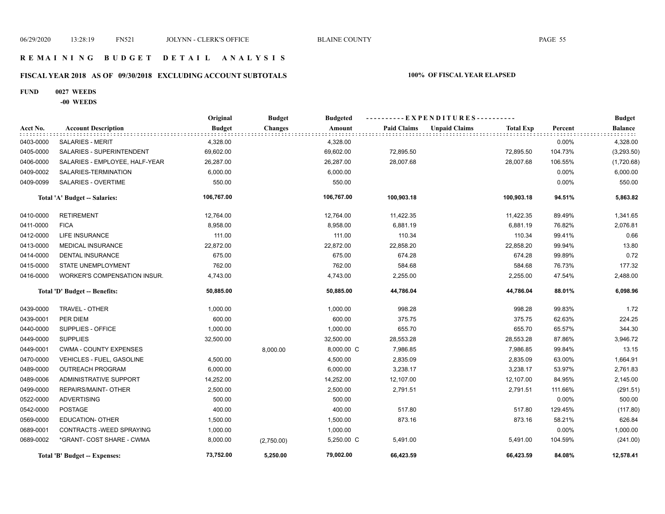## **R E M A I N I N G B U D G E T D E T A I L A N A L Y S I S**

## **FISCAL YEAR 2018 AS OF 09/30/2018 EXCLUDING ACCOUNT SUBTOTALS 100% OF FISCAL YEAR ELAPSED**

## **FUND 0027 WEEDS**

**-00 WEEDS**

|           |                                     | Original      | <b>Budget</b>  | ----------EXPENDITURES----------<br><b>Budgeted</b> |                    |                      |                  |         | <b>Budget</b>  |
|-----------|-------------------------------------|---------------|----------------|-----------------------------------------------------|--------------------|----------------------|------------------|---------|----------------|
| Acct No.  | <b>Account Description</b>          | <b>Budget</b> | <b>Changes</b> | Amount                                              | <b>Paid Claims</b> | <b>Unpaid Claims</b> | <b>Total Exp</b> | Percent | <b>Balance</b> |
| 0403-0000 | <b>SALARIES - MERIT</b>             | 4,328.00      |                | 4,328.00                                            |                    |                      |                  | 0.00%   | 4,328.00       |
| 0405-0000 | SALARIES - SUPERINTENDENT           | 69,602.00     |                | 69,602.00                                           | 72,895.50          |                      | 72,895.50        | 104.73% | (3,293.50)     |
| 0406-0000 | SALARIES - EMPLOYEE, HALF-YEAR      | 26,287.00     |                | 26,287.00                                           | 28,007.68          |                      | 28,007.68        | 106.55% | (1,720.68)     |
| 0409-0002 | SALARIES-TERMINATION                | 6,000.00      |                | 6,000.00                                            |                    |                      |                  | 0.00%   | 6,000.00       |
| 0409-0099 | SALARIES - OVERTIME                 | 550.00        |                | 550.00                                              |                    |                      |                  | 0.00%   | 550.00         |
|           | Total 'A' Budget -- Salaries:       | 106,767.00    |                | 106,767.00                                          | 100,903.18         |                      | 100,903.18       | 94.51%  | 5,863.82       |
| 0410-0000 | <b>RETIREMENT</b>                   | 12,764.00     |                | 12,764.00                                           | 11,422.35          |                      | 11,422.35        | 89.49%  | 1,341.65       |
| 0411-0000 | <b>FICA</b>                         | 8,958.00      |                | 8,958.00                                            | 6,881.19           |                      | 6,881.19         | 76.82%  | 2,076.81       |
| 0412-0000 | <b>LIFE INSURANCE</b>               | 111.00        |                | 111.00                                              | 110.34             |                      | 110.34           | 99.41%  | 0.66           |
| 0413-0000 | <b>MEDICAL INSURANCE</b>            | 22,872.00     |                | 22,872.00                                           | 22,858.20          |                      | 22,858.20        | 99.94%  | 13.80          |
| 0414-0000 | <b>DENTAL INSURANCE</b>             | 675.00        |                | 675.00                                              | 674.28             |                      | 674.28           | 99.89%  | 0.72           |
| 0415-0000 | STATE UNEMPLOYMENT                  | 762.00        |                | 762.00                                              | 584.68             |                      | 584.68           | 76.73%  | 177.32         |
| 0416-0000 | <b>WORKER'S COMPENSATION INSUR.</b> | 4,743.00      |                | 4,743.00                                            | 2,255.00           |                      | 2,255.00         | 47.54%  | 2,488.00       |
|           | Total 'D' Budget -- Benefits:       | 50,885.00     |                | 50,885.00                                           | 44,786.04          |                      | 44,786.04        | 88.01%  | 6,098.96       |
| 0439-0000 | TRAVEL - OTHER                      | 1,000.00      |                | 1,000.00                                            | 998.28             |                      | 998.28           | 99.83%  | 1.72           |
| 0439-0001 | PER DIEM                            | 600.00        |                | 600.00                                              | 375.75             |                      | 375.75           | 62.63%  | 224.25         |
| 0440-0000 | SUPPLIES - OFFICE                   | 1,000.00      |                | 1,000.00                                            | 655.70             |                      | 655.70           | 65.57%  | 344.30         |
| 0449-0000 | <b>SUPPLIES</b>                     | 32,500.00     |                | 32,500.00                                           | 28,553.28          |                      | 28,553.28        | 87.86%  | 3,946.72       |
| 0449-0001 | <b>CWMA - COUNTY EXPENSES</b>       |               | 8,000.00       | 8,000.00 C                                          | 7,986.85           |                      | 7,986.85         | 99.84%  | 13.15          |
| 0470-0000 | VEHICLES - FUEL, GASOLINE           | 4,500.00      |                | 4,500.00                                            | 2,835.09           |                      | 2,835.09         | 63.00%  | 1,664.91       |
| 0489-0000 | <b>OUTREACH PROGRAM</b>             | 6,000.00      |                | 6,000.00                                            | 3,238.17           |                      | 3,238.17         | 53.97%  | 2,761.83       |
| 0489-0006 | ADMINISTRATIVE SUPPORT              | 14,252.00     |                | 14,252.00                                           | 12,107.00          |                      | 12,107.00        | 84.95%  | 2,145.00       |
| 0499-0000 | REPAIRS/MAINT- OTHER                | 2,500.00      |                | 2,500.00                                            | 2,791.51           |                      | 2,791.51         | 111.66% | (291.51)       |
| 0522-0000 | <b>ADVERTISING</b>                  | 500.00        |                | 500.00                                              |                    |                      |                  | 0.00%   | 500.00         |
| 0542-0000 | <b>POSTAGE</b>                      | 400.00        |                | 400.00                                              | 517.80             |                      | 517.80           | 129.45% | (117.80)       |
| 0569-0000 | <b>EDUCATION- OTHER</b>             | 1,500.00      |                | 1,500.00                                            | 873.16             |                      | 873.16           | 58.21%  | 626.84         |
| 0689-0001 | CONTRACTS - WEED SPRAYING           | 1,000.00      |                | 1,000.00                                            |                    |                      |                  | 0.00%   | 1,000.00       |
| 0689-0002 | *GRANT- COST SHARE - CWMA           | 8,000.00      | (2,750.00)     | 5,250.00 C                                          | 5,491.00           |                      | 5,491.00         | 104.59% | (241.00)       |
|           | Total 'B' Budget -- Expenses:       | 73,752.00     | 5,250.00       | 79,002.00                                           | 66,423.59          |                      | 66,423.59        | 84.08%  | 12,578.41      |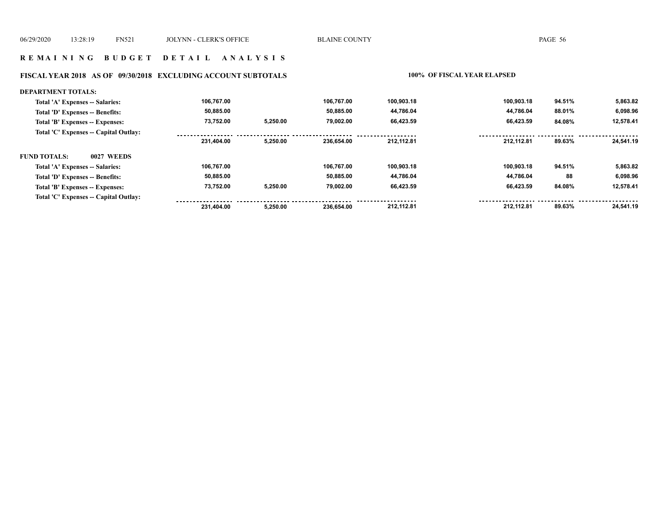#### **FISCAL YEAR 2018 AS OF 09/30/2018 EXCLUDING ACCOUNT SUBTOTALS 100% OF FISCAL YEAR ELAPSED**

#### **DEPARTMENT TOTALS: 106,767.00 106,767.00 100,903.18 100,903.18 94.51% 5,863.82 Total 'A' Expenses -- Salaries: 44,786.04 6,098.96 Total 'D' Expenses -- Benefits: 50,885.00 50,885.00 44,786.04 88.01% 73,752.00 5,250.00 79,002.00 66,423.59 66,423.59 12,578.41 Total 'B' Expenses -- Expenses: 84.08% Total 'C' Expenses -- Capital Outlay:**  $- - - - - -$ . . . . . . . . . . . . . . . ................. . . . . . . . . . . . . . . . . .  **231,404.00 5,250.00 236,654.00 212,112.81 212,112.81 89.63% 24,541.19 FUND TOTALS: 0027 WEEDSTotal 'A' Expenses -- Salaries: 106,767.00 106,767.00 100,903.18 100,903.18 94.51% 5,863.82 50,885.00 50,885.00 44,786.04 44,786.04 Total 'D' Expenses -- Benefits: 88 6,098.96 73,752.00 79,002.00 66,423.59 66,423.59 Total 'B' Expenses -- Expenses: 5,250.00 84.08% 12,578.41 Total 'C' Expenses -- Capital Outlay:** <u>.................</u> . . . . . . . . .  $- - - - - -$ <u>. . . . . . . .</u> <u>ududududu</u> . . . . . . .  **231,404.00 5,250.00 236,654.00 212,112.81 212,112.81 89.63% 24,541.19**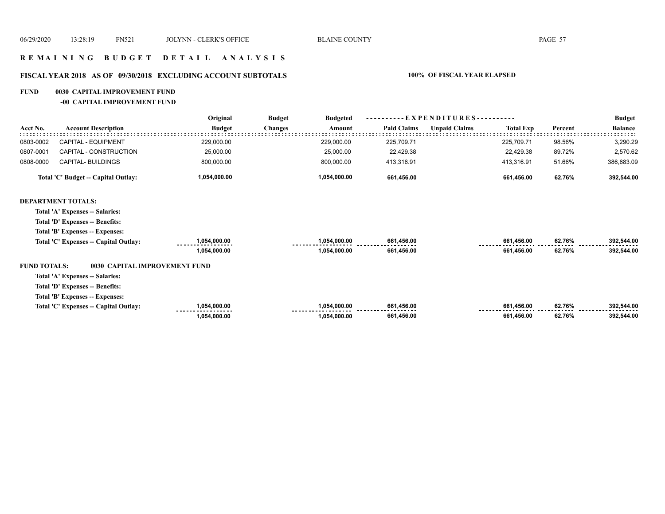## **R E M A I N I N G B U D G E T D E T A I L A N A L Y S I S**

# **FISCAL YEAR 2018 AS OF 09/30/2018 EXCLUDING ACCOUNT SUBTOTALS 100% OF FISCAL YEAR ELAPSED**

#### **FUND 0030 CAPITAL IMPROVEMENT FUND**

**-00 CAPITAL IMPROVEMENT FUND**

|                     |                                       | Original      | <b>Budget</b>  | <b>Budgeted</b> |                    | EXPENDITURES-        |                  | Percent<br>98.56%<br>89.72%<br>51.66%<br>62.76% | <b>Budget</b>  |
|---------------------|---------------------------------------|---------------|----------------|-----------------|--------------------|----------------------|------------------|-------------------------------------------------|----------------|
| Acct No.            | <b>Account Description</b>            | <b>Budget</b> | <b>Changes</b> | Amount          | <b>Paid Claims</b> | <b>Unpaid Claims</b> | <b>Total Exp</b> |                                                 | <b>Balance</b> |
| 0803-0002           | <b>CAPITAL - EQUIPMENT</b>            | 229,000.00    |                | 229,000.00      | 225,709.71         |                      | 225,709.71       |                                                 | 3,290.29       |
| 0807-0001           | CAPITAL - CONSTRUCTION                | 25,000.00     |                | 25,000.00       | 22,429.38          |                      | 22,429.38        |                                                 | 2,570.62       |
| 0808-0000           | CAPITAL- BUILDINGS                    | 800,000.00    |                | 800,000.00      | 413,316.91         |                      | 413,316.91       |                                                 | 386,683.09     |
|                     | Total 'C' Budget -- Capital Outlay:   | 1,054,000.00  |                | 1,054,000.00    | 661,456.00         |                      | 661,456.00       |                                                 | 392,544.00     |
|                     | <b>DEPARTMENT TOTALS:</b>             |               |                |                 |                    |                      |                  |                                                 |                |
|                     | Total 'A' Expenses -- Salaries:       |               |                |                 |                    |                      |                  |                                                 |                |
|                     | Total 'D' Expenses -- Benefits:       |               |                |                 |                    |                      |                  |                                                 |                |
|                     | Total 'B' Expenses -- Expenses:       |               |                |                 |                    |                      |                  |                                                 |                |
|                     | Total 'C' Expenses -- Capital Outlay: | 1,054,000.00  |                | 1,054,000.00    | 661,456.00         |                      | 661,456.00       | 62.76%                                          | 392,544.00     |
|                     |                                       | 1,054,000.00  |                | 1,054,000.00    | 661,456.00         |                      | 661,456.00       | 62.76%                                          | 392,544.00     |
| <b>FUND TOTALS:</b> | 0030 CAPITAL IMPROVEMENT FUND         |               |                |                 |                    |                      |                  |                                                 |                |
|                     | Total 'A' Expenses -- Salaries:       |               |                |                 |                    |                      |                  |                                                 |                |
|                     | Total 'D' Expenses -- Benefits:       |               |                |                 |                    |                      |                  |                                                 |                |
|                     | Total 'B' Expenses -- Expenses:       |               |                |                 |                    |                      |                  |                                                 |                |
|                     | Total 'C' Expenses -- Capital Outlay: | 1,054,000.00  |                | 1,054,000.00    | 661,456.00         |                      | 661,456.00       | 62.76%                                          | 392,544.00     |
|                     |                                       | 1,054,000.00  |                | 1,054,000.00    | 661,456.00         |                      | 661,456.00       | 62.76%                                          | 392,544.00     |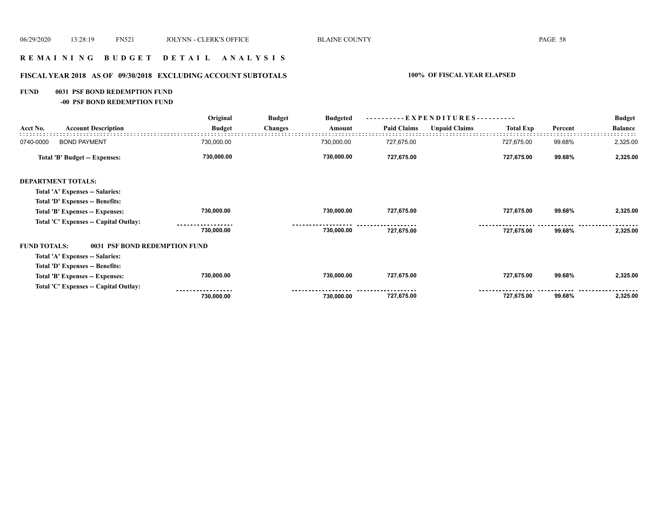# **R E M A I N I N G B U D G E T D E T A I L A N A L Y S I S**

# **FISCAL YEAR 2018 AS OF 09/30/2018 EXCLUDING ACCOUNT SUBTOTALS 100% OF FISCAL YEAR ELAPSED**

### **FUND 0031 PSF BOND REDEMPTION FUND**

**-00 PSF BOND REDEMPTION FUND**

|                     |                                       | Original      | <b>Budget</b>  | <b>Budgeted</b> | - E X P E N D I T U R E S - - - - - - - - - - |                      |                  |         | <b>Budget</b>  |
|---------------------|---------------------------------------|---------------|----------------|-----------------|-----------------------------------------------|----------------------|------------------|---------|----------------|
| Acct No.            | <b>Account Description</b>            | <b>Budget</b> | <b>Changes</b> | Amount          | <b>Paid Claims</b>                            | <b>Unpaid Claims</b> | <b>Total Exp</b> | Percent | <b>Balance</b> |
| 0740-0000           | <b>BOND PAYMENT</b>                   | 730,000.00    |                | 730,000.00      | 727,675.00                                    |                      | 727,675.00       | 99.68%  | 2,325.00       |
|                     | Total 'B' Budget -- Expenses:         | 730,000.00    |                | 730,000.00      | 727,675.00                                    |                      | 727,675.00       | 99.68%  | 2,325.00       |
|                     | <b>DEPARTMENT TOTALS:</b>             |               |                |                 |                                               |                      |                  |         |                |
|                     | Total 'A' Expenses -- Salaries:       |               |                |                 |                                               |                      |                  |         |                |
|                     | Total 'D' Expenses -- Benefits:       |               |                |                 |                                               |                      |                  |         |                |
|                     | Total 'B' Expenses -- Expenses:       | 730,000.00    |                | 730,000.00      | 727,675.00                                    |                      | 727,675.00       | 99.68%  | 2,325.00       |
|                     | Total 'C' Expenses -- Capital Outlay: |               |                |                 |                                               |                      |                  |         |                |
|                     |                                       | 730,000.00    |                | 730,000.00      | 727,675.00                                    |                      | 727,675.00       | 99.68%  | 2,325.00       |
| <b>FUND TOTALS:</b> | 0031 PSF BOND REDEMPTION FUND         |               |                |                 |                                               |                      |                  |         |                |
|                     | Total 'A' Expenses -- Salaries:       |               |                |                 |                                               |                      |                  |         |                |
|                     | Total 'D' Expenses -- Benefits:       |               |                |                 |                                               |                      |                  |         |                |
|                     | Total 'B' Expenses -- Expenses:       | 730,000.00    |                | 730,000.00      | 727,675.00                                    |                      | 727,675.00       | 99.68%  | 2,325.00       |
|                     | Total 'C' Expenses -- Capital Outlay: |               |                |                 |                                               |                      |                  |         |                |
|                     |                                       | 730,000.00    |                | 730,000.00      | 727,675.00                                    |                      | 727,675.00       | 99.68%  | 2,325.00       |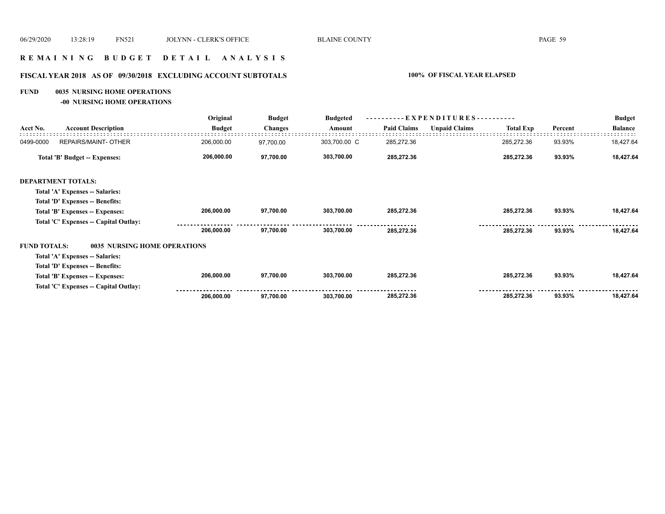# **R E M A I N I N G B U D G E T D E T A I L A N A L Y S I S**

## **FISCAL YEAR 2018 AS OF 09/30/2018 EXCLUDING ACCOUNT SUBTOTALS 100% OF FISCAL YEAR ELAPSED**

#### **FUND 0035 NURSING HOME OPERATIONS**

**-00 NURSING HOME OPERATIONS**

|                     |                                       | Original      | <b>Budget</b>  | <b>Budgeted</b> |                    | --- EXPENDITURES---------- |            | <b>Total Exp</b><br>Percent | <b>Budget</b>  |  |
|---------------------|---------------------------------------|---------------|----------------|-----------------|--------------------|----------------------------|------------|-----------------------------|----------------|--|
| Acct No.            | <b>Account Description</b>            | <b>Budget</b> | <b>Changes</b> | Amount          | <b>Paid Claims</b> | <b>Unpaid Claims</b>       |            |                             | <b>Balance</b> |  |
| 0499-0000           | <b>REPAIRS/MAINT- OTHER</b>           | 206,000.00    | 97,700.00      | 303,700.00 C    | 285,272.36         |                            | 285,272.36 | 93.93%                      | 18,427.64      |  |
|                     | Total 'B' Budget -- Expenses:         | 206,000.00    | 97,700.00      | 303,700.00      | 285,272.36         |                            | 285,272.36 | 93.93%                      | 18,427.64      |  |
|                     | <b>DEPARTMENT TOTALS:</b>             |               |                |                 |                    |                            |            |                             |                |  |
|                     | Total 'A' Expenses -- Salaries:       |               |                |                 |                    |                            |            |                             |                |  |
|                     | Total 'D' Expenses -- Benefits:       |               |                |                 |                    |                            |            |                             |                |  |
|                     | Total 'B' Expenses -- Expenses:       | 206,000.00    | 97,700.00      | 303,700.00      | 285,272.36         |                            | 285,272.36 | 93.93%                      | 18,427.64      |  |
|                     | Total 'C' Expenses -- Capital Outlay: |               |                |                 |                    |                            |            |                             |                |  |
|                     |                                       | 206,000.00    | 97,700.00      | 303,700.00      | 285.272.36         |                            | 285,272.36 | 93.93%                      | 18,427.64      |  |
| <b>FUND TOTALS:</b> | 0035 NURSING HOME OPERATIONS          |               |                |                 |                    |                            |            |                             |                |  |
|                     | Total 'A' Expenses -- Salaries:       |               |                |                 |                    |                            |            |                             |                |  |
|                     | Total 'D' Expenses -- Benefits:       |               |                |                 |                    |                            |            |                             |                |  |
|                     | Total 'B' Expenses -- Expenses:       | 206,000.00    | 97,700.00      | 303,700.00      | 285,272.36         |                            | 285,272.36 | 93.93%                      | 18,427.64      |  |
|                     | Total 'C' Expenses -- Capital Outlay: |               |                |                 |                    |                            |            |                             |                |  |
|                     |                                       | 206,000.00    | 97,700.00      | 303,700.00      | 285,272.36         |                            | 285,272.36 | 93.93%                      | 18,427.64      |  |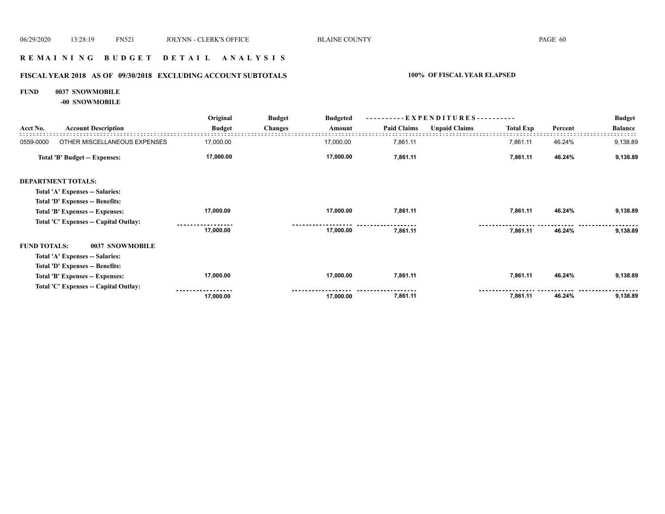## **R E M A I N I N G B U D G E T D E T A I L A N A L Y S I S**

# **FISCAL YEAR 2018 AS OF 09/30/2018 EXCLUDING ACCOUNT SUBTOTALS 100% OF FISCAL YEAR ELAPSED**

#### **FUND 0037 SNOWMOBILE**

**-00 SNOWMOBILE**

|                     |                                       | Original      | <b>Budget</b>  | <b>Budgeted</b> |                    |                      |                  |         | <b>Budget</b>  |  |
|---------------------|---------------------------------------|---------------|----------------|-----------------|--------------------|----------------------|------------------|---------|----------------|--|
| Acct No.            | <b>Account Description</b>            | <b>Budget</b> | <b>Changes</b> | Amount          | <b>Paid Claims</b> | <b>Unpaid Claims</b> | <b>Total Exp</b> | Percent | <b>Balance</b> |  |
| 0559-0000           | OTHER MISCELLANEOUS EXPENSES          | 17,000.00     |                | 17,000.00       | 7,861.11           |                      | 7,861.11         | 46.24%  | 9,138.89       |  |
|                     | Total 'B' Budget -- Expenses:         | 17,000.00     |                | 17,000.00       | 7,861.11           |                      | 7,861.11         | 46.24%  | 9,138.89       |  |
|                     | <b>DEPARTMENT TOTALS:</b>             |               |                |                 |                    |                      |                  |         |                |  |
|                     | Total 'A' Expenses -- Salaries:       |               |                |                 |                    |                      |                  |         |                |  |
|                     | Total 'D' Expenses -- Benefits:       |               |                |                 |                    |                      |                  |         |                |  |
|                     | Total 'B' Expenses -- Expenses:       | 17,000.00     |                | 17,000.00       | 7,861.11           |                      | 7,861.11         | 46.24%  | 9,138.89       |  |
|                     | Total 'C' Expenses -- Capital Outlay: |               |                |                 |                    |                      |                  |         |                |  |
|                     |                                       | 17,000.00     |                | 17,000.00       | 7,861.11           |                      | 7,861.11         | 46.24%  | 9,138.89       |  |
| <b>FUND TOTALS:</b> | 0037 SNOWMOBILE                       |               |                |                 |                    |                      |                  |         |                |  |
|                     | Total 'A' Expenses -- Salaries:       |               |                |                 |                    |                      |                  |         |                |  |
|                     | Total 'D' Expenses -- Benefits:       |               |                |                 |                    |                      |                  |         |                |  |
|                     | Total 'B' Expenses -- Expenses:       | 17,000.00     |                | 17,000.00       | 7,861.11           |                      | 7,861.11         | 46.24%  | 9,138.89       |  |
|                     | Total 'C' Expenses -- Capital Outlay: |               |                |                 |                    |                      |                  |         |                |  |
|                     |                                       | 17,000.00     |                | 17,000.00       | 7,861.11           |                      | 7,861.11         | 46.24%  | 9,138.89       |  |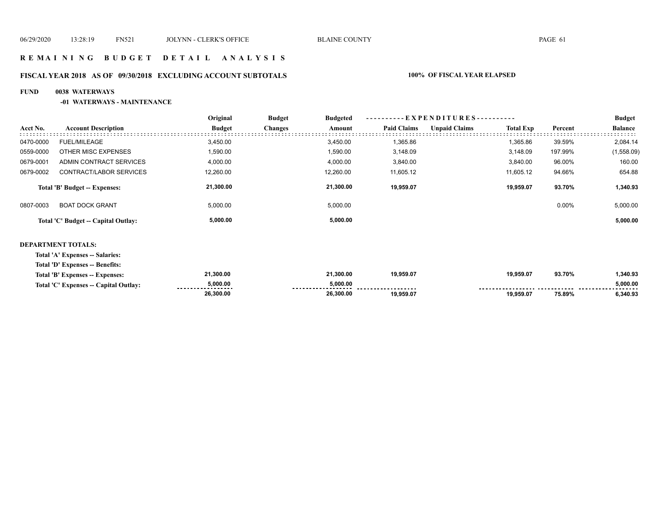## **R E M A I N I N G B U D G E T D E T A I L A N A L Y S I S**

## **FISCAL YEAR 2018 AS OF 09/30/2018 EXCLUDING ACCOUNT SUBTOTALS 100% OF FISCAL YEAR ELAPSED**

### **FUND 0038 WATERWAYS**

#### **-01 WATERWAYS - MAINTENANCE**

|           |                                     | Original      | <b>Budget</b>  | <b>Budgeted</b> |                    | ----------EXPENDITURES---------- |                  |          |                |  |  |
|-----------|-------------------------------------|---------------|----------------|-----------------|--------------------|----------------------------------|------------------|----------|----------------|--|--|
| Acct No.  | <b>Account Description</b>          | <b>Budget</b> | <b>Changes</b> | Amount          | <b>Paid Claims</b> | <b>Unpaid Claims</b>             | <b>Total Exp</b> | Percent  | <b>Balance</b> |  |  |
| 0470-0000 | <b>FUEL/MILEAGE</b>                 | 3,450.00      |                | 3.450.00        | 1,365.86           |                                  | 1,365.86         | 39.59%   | 2,084.14       |  |  |
| 0559-0000 | OTHER MISC EXPENSES                 | 1,590.00      |                | 1,590.00        | 3,148.09           |                                  | 3,148.09         | 197.99%  | (1,558.09)     |  |  |
| 0679-0001 | ADMIN CONTRACT SERVICES             | 4,000.00      |                | 4,000.00        | 3,840.00           |                                  | 3.840.00         | 96.00%   | 160.00         |  |  |
| 0679-0002 | CONTRACT/LABOR SERVICES             | 12,260.00     |                | 12,260.00       | 11,605.12          |                                  | 11,605.12        | 94.66%   | 654.88         |  |  |
|           | Total 'B' Budget -- Expenses:       | 21,300.00     |                | 21,300.00       | 19.959.07          |                                  | 19.959.07        | 93.70%   | 1,340.93       |  |  |
| 0807-0003 | <b>BOAT DOCK GRANT</b>              | 5,000.00      |                | 5,000.00        |                    |                                  |                  | $0.00\%$ | 5,000.00       |  |  |
|           | Total 'C' Budget -- Capital Outlay: | 5,000.00      |                | 5,000.00        |                    |                                  |                  |          | 5,000.00       |  |  |
|           |                                     |               |                |                 |                    |                                  |                  |          |                |  |  |

#### **DEPARTMENT TOTALS:**

**Total 'A' Expenses -- Salaries:**

| Total 'D' Expenses -- Benefits: |  |
|---------------------------------|--|
|---------------------------------|--|

| Total 'B' Expenses<br><b>Expenses:</b>   | 1.300.00                       | 21.300.00 | 19.959.07 | 19,959.07 | 93.70% | 340.93        |
|------------------------------------------|--------------------------------|-----------|-----------|-----------|--------|---------------|
| Total 'C' Expenses --<br>Canital Outlav: | 000.00.د<br>------------------ | 5.000.00  |           | ----      |        | 5,000.00<br>. |
|                                          | 26,300.00                      | 26,300.00 | 19.959.07 | 19,959.07 | 75.89% | 3,340.93      |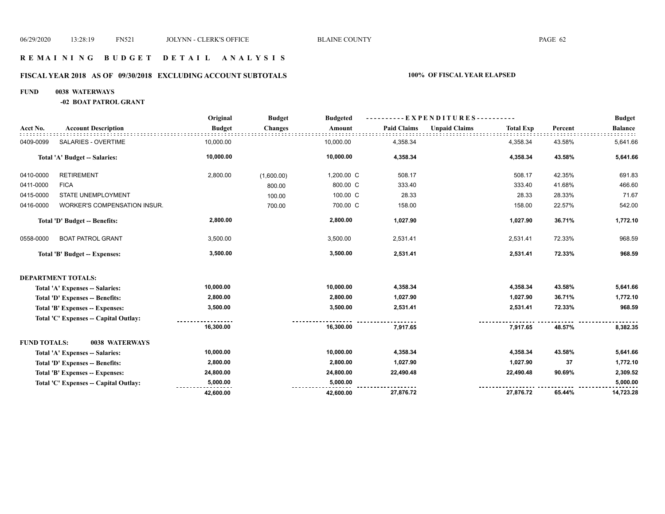## **R E M A I N I N G B U D G E T D E T A I L A N A L Y S I S**

## **FISCAL YEAR 2018 AS OF 09/30/2018 EXCLUDING ACCOUNT SUBTOTALS 100% OF FISCAL YEAR ELAPSED**

#### **FUND 0038 WATERWAYS**

**-02 BOAT PATROL GRANT**

|                     |                                        | Original      | <b>Budget</b>  | <b>Budgeted</b> |                    | $-EXPENDITURES$ --------- |                  |         | <b>Budget</b>  |
|---------------------|----------------------------------------|---------------|----------------|-----------------|--------------------|---------------------------|------------------|---------|----------------|
| Acct No.            | <b>Account Description</b>             | <b>Budget</b> | <b>Changes</b> | Amount          | <b>Paid Claims</b> | <b>Unpaid Claims</b>      | <b>Total Exp</b> | Percent | <b>Balance</b> |
| 0409-0099           | SALARIES - OVERTIME                    | 10,000.00     |                | 10,000.00       | 4,358.34           |                           | 4,358.34         | 43.58%  | 5,641.66       |
|                     | Total 'A' Budget -- Salaries:          | 10,000.00     |                | 10,000.00       | 4,358.34           |                           | 4,358.34         | 43.58%  | 5,641.66       |
| 0410-0000           | <b>RETIREMENT</b>                      | 2,800.00      | (1,600.00)     | 1,200.00 C      | 508.17             |                           | 508.17           | 42.35%  | 691.83         |
| 0411-0000           | <b>FICA</b>                            |               | 800.00         | 800.00 C        | 333.40             |                           | 333.40           | 41.68%  | 466.60         |
| 0415-0000           | STATE UNEMPLOYMENT                     |               | 100.00         | 100.00 C        | 28.33              |                           | 28.33            | 28.33%  | 71.67          |
| 0416-0000           | WORKER'S COMPENSATION INSUR.           |               | 700.00         | 700.00 C        | 158.00             |                           | 158.00           | 22.57%  | 542.00         |
|                     | Total 'D' Budget -- Benefits:          | 2,800.00      |                | 2,800.00        | 1,027.90           |                           | 1,027.90         | 36.71%  | 1,772.10       |
| 0558-0000           | <b>BOAT PATROL GRANT</b>               | 3,500.00      |                | 3,500.00        | 2,531.41           |                           | 2,531.41         | 72.33%  | 968.59         |
|                     | <b>Total 'B' Budget -- Expenses:</b>   | 3,500.00      |                | 3,500.00        | 2,531.41           |                           | 2,531.41         | 72.33%  | 968.59         |
|                     | <b>DEPARTMENT TOTALS:</b>              |               |                |                 |                    |                           |                  |         |                |
|                     | Total 'A' Expenses -- Salaries:        | 10,000.00     |                | 10,000.00       | 4,358.34           |                           | 4,358.34         | 43.58%  | 5,641.66       |
|                     | <b>Total 'D' Expenses -- Benefits:</b> | 2,800.00      |                | 2,800.00        | 1,027.90           |                           | 1,027.90         | 36.71%  | 1,772.10       |
|                     | Total 'B' Expenses -- Expenses:        | 3,500.00      |                | 3,500.00        | 2,531.41           |                           | 2,531.41         | 72.33%  | 968.59         |
|                     | Total 'C' Expenses - Capital Outlay:   |               |                |                 |                    |                           |                  |         |                |
|                     |                                        | 16,300.00     |                | 16,300.00       | 7,917.65           |                           | 7,917.65         | 48.57%  | 8,382.35       |
| <b>FUND TOTALS:</b> | 0038 WATERWAYS                         |               |                |                 |                    |                           |                  |         |                |
|                     | Total 'A' Expenses -- Salaries:        | 10,000.00     |                | 10,000.00       | 4,358.34           |                           | 4,358.34         | 43.58%  | 5,641.66       |
|                     | Total 'D' Expenses -- Benefits:        | 2,800.00      |                | 2,800.00        | 1,027.90           |                           | 1,027.90         | 37      | 1,772.10       |
|                     | Total 'B' Expenses -- Expenses:        | 24,800.00     |                | 24,800.00       | 22,490.48          |                           | 22,490.48        | 90.69%  | 2,309.52       |
|                     | Total 'C' Expenses - Capital Outlay:   | 5,000.00      |                | 5,000.00        |                    |                           |                  |         | 5,000.00       |
|                     |                                        | 42,600.00     |                | 42,600.00       | 27,876.72          |                           | 27,876.72        | 65.44%  | 14,723.28      |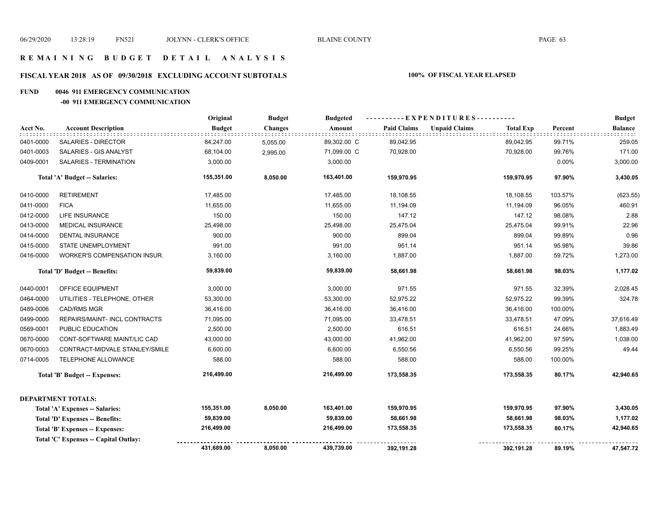## **FISCAL YEAR 2018 AS OF 09/30/2018 EXCLUDING ACCOUNT SUBTOTALS 100% OF FISCAL YEAR ELAPSED**

#### **FUND 0046 911 EMERGENCY COMMUNICATION**

#### **-00 911 EMERGENCY COMMUNICATION**

|                               |                                        | Original      | <b>Budget</b>  | <b>Budgeted</b> |                    | ----------EXPENDITURES---------- |                  |         | <b>Budget</b>  |
|-------------------------------|----------------------------------------|---------------|----------------|-----------------|--------------------|----------------------------------|------------------|---------|----------------|
| Acct No.                      | <b>Account Description</b>             | <b>Budget</b> | <b>Changes</b> | Amount          | <b>Paid Claims</b> | <b>Unpaid Claims</b>             | <b>Total Exp</b> | Percent | <b>Balance</b> |
| 0401-0000                     | <b>SALARIES - DIRECTOR</b>             | 84,247.00     | 5,055.00       | 89,302.00 C     | 89,042.95          |                                  | 89,042.95        | 99.71%  | 259.05         |
| 0401-0003                     | SALARIES - GIS ANALYST                 | 68,104.00     | 2,995.00       | 71,099.00 C     | 70,928.00          |                                  | 70,928.00        | 99.76%  | 171.00         |
| 0409-0001                     | SALARIES - TERMINATION                 | 3,000.00      |                | 3,000.00        |                    |                                  |                  | 0.00%   | 3,000.00       |
|                               | Total 'A' Budget -- Salaries:          | 155,351.00    | 8,050.00       | 163,401.00      | 159,970.95         |                                  | 159,970.95       | 97.90%  | 3,430.05       |
| 0410-0000                     | <b>RETIREMENT</b>                      | 17,485.00     |                | 17,485.00       | 18,108.55          |                                  | 18,108.55        | 103.57% | (623.55)       |
| 0411-0000                     | <b>FICA</b>                            | 11,655.00     |                | 11,655.00       | 11,194.09          |                                  | 11,194.09        | 96.05%  | 460.91         |
| 0412-0000                     | <b>LIFE INSURANCE</b>                  | 150.00        |                | 150.00          | 147.12             |                                  | 147.12           | 98.08%  | 2.88           |
| 0413-0000                     | MEDICAL INSURANCE                      | 25,498.00     |                | 25,498.00       | 25,475.04          |                                  | 25,475.04        | 99.91%  | 22.96          |
| 0414-0000                     | <b>DENTAL INSURANCE</b>                | 900.00        |                | 900.00          | 899.04             |                                  | 899.04           | 99.89%  | 0.96           |
| 0415-0000                     | STATE UNEMPLOYMENT                     | 991.00        |                | 991.00          | 951.14             |                                  | 951.14           | 95.98%  | 39.86          |
| 0416-0000                     | WORKER'S COMPENSATION INSUR.           | 3,160.00      |                | 3,160.00        | 1,887.00           |                                  | 1,887.00         | 59.72%  | 1,273.00       |
| Total 'D' Budget -- Benefits: |                                        | 59,839.00     |                | 59,839.00       | 58,661.98          |                                  | 58,661.98        | 98.03%  | 1,177.02       |
| 0440-0001                     | OFFICE EQUIPMENT                       | 3,000.00      |                | 3,000.00        | 971.55             |                                  | 971.55           | 32.39%  | 2,028.45       |
| 0464-0000                     | UTILITIES - TELEPHONE, OTHER           | 53,300.00     |                | 53,300.00       | 52,975.22          |                                  | 52,975.22        | 99.39%  | 324.78         |
| 0489-0006                     | <b>CAD/RMS MGR</b>                     | 36,416.00     |                | 36,416.00       | 36,416.00          |                                  | 36,416.00        | 100.00% |                |
| 0499-0000                     | REPAIRS/MAINT- INCL CONTRACTS          | 71,095.00     |                | 71,095.00       | 33,478.51          |                                  | 33,478.51        | 47.09%  | 37,616.49      |
| 0569-0001                     | PUBLIC EDUCATION                       | 2,500.00      |                | 2,500.00        | 616.51             |                                  | 616.51           | 24.66%  | 1,883.49       |
| 0670-0000                     | CONT-SOFTWARE MAINT/LIC CAD            | 43,000.00     |                | 43,000.00       | 41,962.00          |                                  | 41,962.00        | 97.59%  | 1,038.00       |
| 0670-0003                     | CONTRACT-MIDVALE STANLEY/SMILE         | 6,600.00      |                | 6,600.00        | 6,550.56           |                                  | 6,550.56         | 99.25%  | 49.44          |
| 0714-0005                     | TELEPHONE ALLOWANCE                    | 588.00        |                | 588.00          | 588.00             |                                  | 588.00           | 100.00% |                |
|                               | Total 'B' Budget -- Expenses:          | 216,499.00    |                | 216,499.00      | 173,558.35         |                                  | 173,558.35       | 80.17%  | 42,940.65      |
|                               | <b>DEPARTMENT TOTALS:</b>              |               |                |                 |                    |                                  |                  |         |                |
|                               | Total 'A' Expenses -- Salaries:        | 155,351.00    | 8,050.00       | 163,401.00      | 159,970.95         |                                  | 159,970.95       | 97.90%  | 3,430.05       |
|                               | Total 'D' Expenses -- Benefits:        | 59,839.00     |                | 59,839.00       | 58,661.98          |                                  | 58,661.98        | 98.03%  | 1,177.02       |
|                               | <b>Total 'B' Expenses -- Expenses:</b> | 216,499.00    |                | 216,499.00      | 173,558.35         |                                  | 173,558.35       | 80.17%  | 42,940.65      |
|                               | Total 'C' Expenses -- Capital Outlay:  |               |                |                 |                    |                                  |                  |         |                |
|                               |                                        | 431,689.00    | 8,050.00       | 439,739.00      | 392,191.28         |                                  | 392,191.28       | 89.19%  | 47,547.72      |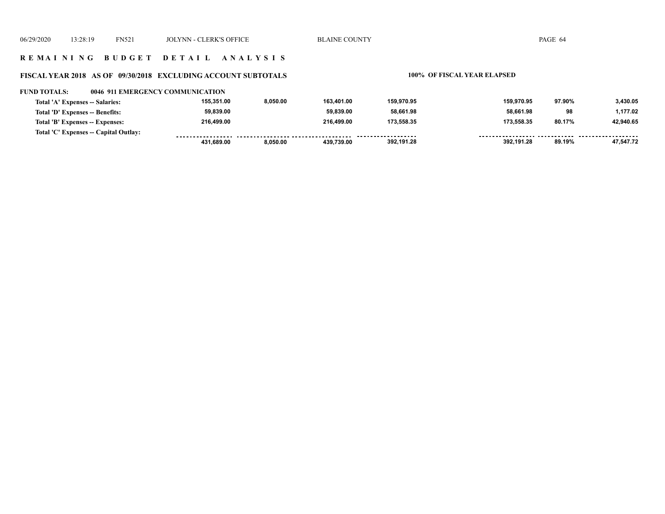## **R E M A I N I N G B U D G E T D E T A I L A N A L Y S I S**

## **FISCAL YEAR 2018 AS OF 09/30/2018 EXCLUDING ACCOUNT SUBTOTALS 100% OF FISCAL YEAR ELAPSED**

| <b>FUND TOTALS:</b>             |                                       | 0046_911 EMERGENCY COMMUNICATION |          |            |            |            |        |           |
|---------------------------------|---------------------------------------|----------------------------------|----------|------------|------------|------------|--------|-----------|
| Total 'A' Expenses -- Salaries: |                                       | 155.351.00                       | 8.050.00 | 163.401.00 | 159,970.95 | 159,970.95 | 97.90% | 3.430.05  |
| Total 'D' Expenses -- Benefits: |                                       | 59,839.00                        |          | 59.839.00  | 58,661.98  | 58.661.98  | 98     | 1,177.02  |
| Total 'B' Expenses -- Expenses: |                                       | 216.499.00                       |          | 216.499.00 | 173.558.35 | 173,558.35 | 80.17% | 42.940.65 |
|                                 | Total 'C' Expenses -- Capital Outlay: |                                  |          |            |            |            |        |           |
|                                 |                                       | 431.689.00                       | 8.050.00 | 439.739.00 | 392,191.28 | 392.191.28 | 89.19% | 47.547.72 |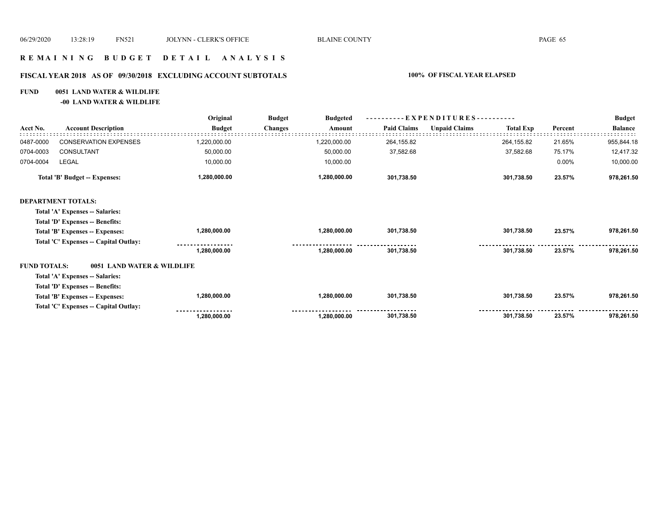## **R E M A I N I N G B U D G E T D E T A I L A N A L Y S I S**

## **FISCAL YEAR 2018 AS OF 09/30/2018 EXCLUDING ACCOUNT SUBTOTALS 100% OF FISCAL YEAR ELAPSED**

### **FUND 0051 LAND WATER & WILDLIFE**

**-00 LAND WATER & WILDLIFE**

|                     |                                       | Original      | <b>Budget</b><br><b>Budgeted</b> | - EXPENDITURES---------- |                      |                  |         | <b>Budget</b>  |
|---------------------|---------------------------------------|---------------|----------------------------------|--------------------------|----------------------|------------------|---------|----------------|
| Acct No.            | <b>Account Description</b>            | <b>Budget</b> | <b>Changes</b><br>Amount         | <b>Paid Claims</b>       | <b>Unpaid Claims</b> | <b>Total Exp</b> | Percent | <b>Balance</b> |
| 0487-0000           | <b>CONSERVATION EXPENSES</b>          | 1,220,000.00  | 1,220,000.00                     | 264,155.82               |                      | 264,155.82       | 21.65%  | 955,844.18     |
| 0704-0003           | <b>CONSULTANT</b>                     | 50,000.00     | 50,000.00                        | 37,582.68                |                      | 37,582.68        | 75.17%  | 12,417.32      |
| 0704-0004           | LEGAL                                 | 10,000.00     | 10,000.00                        |                          |                      |                  | 0.00%   | 10,000.00      |
|                     | Total 'B' Budget -- Expenses:         | 1,280,000.00  | 1,280,000.00                     | 301,738.50               |                      | 301,738.50       | 23.57%  | 978,261.50     |
|                     | <b>DEPARTMENT TOTALS:</b>             |               |                                  |                          |                      |                  |         |                |
|                     | Total 'A' Expenses -- Salaries:       |               |                                  |                          |                      |                  |         |                |
|                     | Total 'D' Expenses -- Benefits:       |               |                                  |                          |                      |                  |         |                |
|                     | Total 'B' Expenses -- Expenses:       | 1,280,000.00  | 1,280,000.00                     | 301,738.50               |                      | 301,738.50       | 23.57%  | 978,261.50     |
|                     | Total 'C' Expenses -- Capital Outlay: |               |                                  |                          |                      |                  |         |                |
|                     |                                       | 1,280,000.00  | 1,280,000.00                     | 301,738.50               |                      | 301,738.50       | 23.57%  | 978,261.50     |
| <b>FUND TOTALS:</b> | 0051 LAND WATER & WILDLIFE            |               |                                  |                          |                      |                  |         |                |
|                     | Total 'A' Expenses -- Salaries:       |               |                                  |                          |                      |                  |         |                |
|                     | Total 'D' Expenses -- Benefits:       |               |                                  |                          |                      |                  |         |                |
|                     | Total 'B' Expenses -- Expenses:       | 1,280,000.00  | 1,280,000.00                     | 301,738.50               |                      | 301,738.50       | 23.57%  | 978,261.50     |
|                     | Total 'C' Expenses -- Capital Outlay: |               |                                  |                          |                      |                  |         |                |
|                     |                                       | 1,280,000.00  | 1,280,000.00                     | 301,738.50               |                      | 301,738.50       | 23.57%  | 978,261.50     |